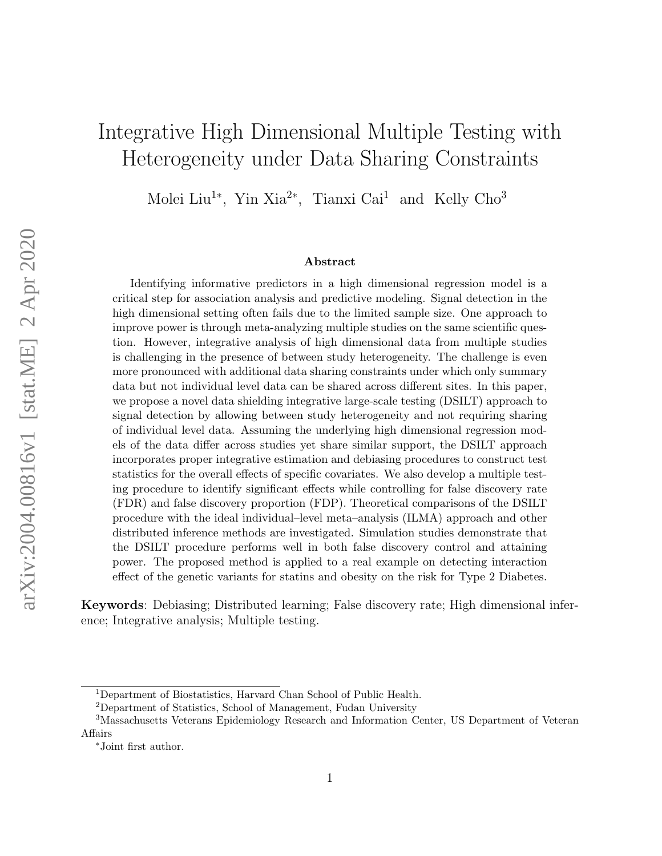# Integrative High Dimensional Multiple Testing with Heterogeneity under Data Sharing Constraints

Molei Liu<sup>1∗</sup>, Yin Xia<sup>2∗</sup>, Tianxi Cai<sup>1</sup> and Kelly Cho<sup>3</sup>

#### Abstract

Identifying informative predictors in a high dimensional regression model is a critical step for association analysis and predictive modeling. Signal detection in the high dimensional setting often fails due to the limited sample size. One approach to improve power is through meta-analyzing multiple studies on the same scientific question. However, integrative analysis of high dimensional data from multiple studies is challenging in the presence of between study heterogeneity. The challenge is even more pronounced with additional data sharing constraints under which only summary data but not individual level data can be shared across different sites. In this paper, we propose a novel data shielding integrative large-scale testing (DSILT) approach to signal detection by allowing between study heterogeneity and not requiring sharing of individual level data. Assuming the underlying high dimensional regression models of the data differ across studies yet share similar support, the DSILT approach incorporates proper integrative estimation and debiasing procedures to construct test statistics for the overall effects of specific covariates. We also develop a multiple testing procedure to identify significant effects while controlling for false discovery rate (FDR) and false discovery proportion (FDP). Theoretical comparisons of the DSILT procedure with the ideal individual–level meta–analysis (ILMA) approach and other distributed inference methods are investigated. Simulation studies demonstrate that the DSILT procedure performs well in both false discovery control and attaining power. The proposed method is applied to a real example on detecting interaction effect of the genetic variants for statins and obesity on the risk for Type 2 Diabetes.

Keywords: Debiasing; Distributed learning; False discovery rate; High dimensional inference; Integrative analysis; Multiple testing.

<sup>1</sup>Department of Biostatistics, Harvard Chan School of Public Health.

<sup>2</sup>Department of Statistics, School of Management, Fudan University

<sup>3</sup>Massachusetts Veterans Epidemiology Research and Information Center, US Department of Veteran Affairs

<sup>∗</sup>Joint first author.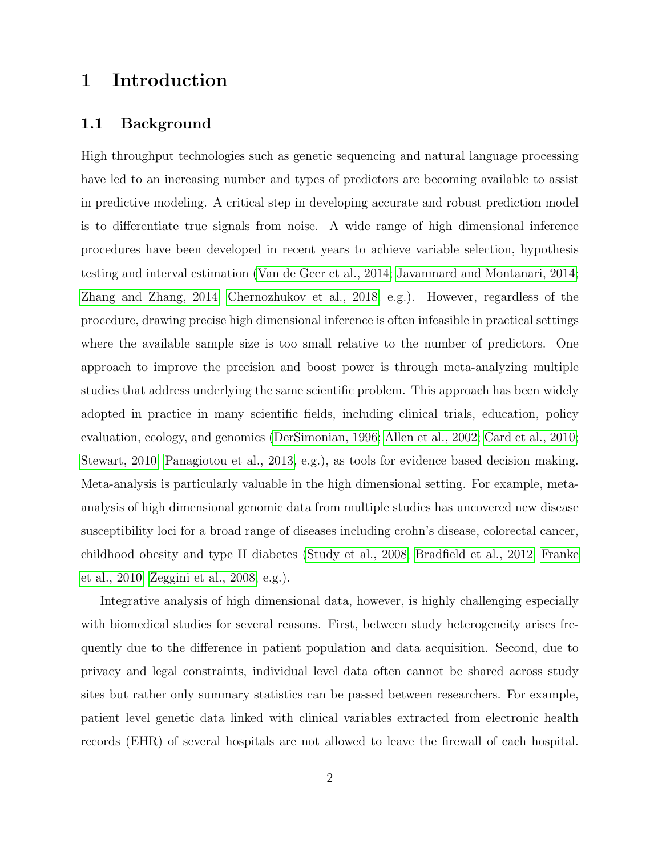# 1 Introduction

### 1.1 Background

High throughput technologies such as genetic sequencing and natural language processing have led to an increasing number and types of predictors are becoming available to assist in predictive modeling. A critical step in developing accurate and robust prediction model is to differentiate true signals from noise. A wide range of high dimensional inference procedures have been developed in recent years to achieve variable selection, hypothesis testing and interval estimation [\(Van de Geer et al., 2014;](#page-52-0) [Javanmard and Montanari, 2014;](#page-50-0) [Zhang and Zhang, 2014;](#page-53-0) [Chernozhukov et al., 2018,](#page-49-0) e.g.). However, regardless of the procedure, drawing precise high dimensional inference is often infeasible in practical settings where the available sample size is too small relative to the number of predictors. One approach to improve the precision and boost power is through meta-analyzing multiple studies that address underlying the same scientific problem. This approach has been widely adopted in practice in many scientific fields, including clinical trials, education, policy evaluation, ecology, and genomics [\(DerSimonian, 1996;](#page-49-1) [Allen et al., 2002;](#page-48-0) [Card et al., 2010;](#page-48-1) [Stewart, 2010;](#page-52-1) [Panagiotou et al., 2013,](#page-51-0) e.g.), as tools for evidence based decision making. Meta-analysis is particularly valuable in the high dimensional setting. For example, metaanalysis of high dimensional genomic data from multiple studies has uncovered new disease susceptibility loci for a broad range of diseases including crohn's disease, colorectal cancer, childhood obesity and type II diabetes [\(Study et al., 2008;](#page-52-2) [Bradfield et al., 2012;](#page-48-2) [Franke](#page-49-2) [et al., 2010;](#page-49-2) [Zeggini et al., 2008,](#page-53-1) e.g.).

Integrative analysis of high dimensional data, however, is highly challenging especially with biomedical studies for several reasons. First, between study heterogeneity arises frequently due to the difference in patient population and data acquisition. Second, due to privacy and legal constraints, individual level data often cannot be shared across study sites but rather only summary statistics can be passed between researchers. For example, patient level genetic data linked with clinical variables extracted from electronic health records (EHR) of several hospitals are not allowed to leave the firewall of each hospital.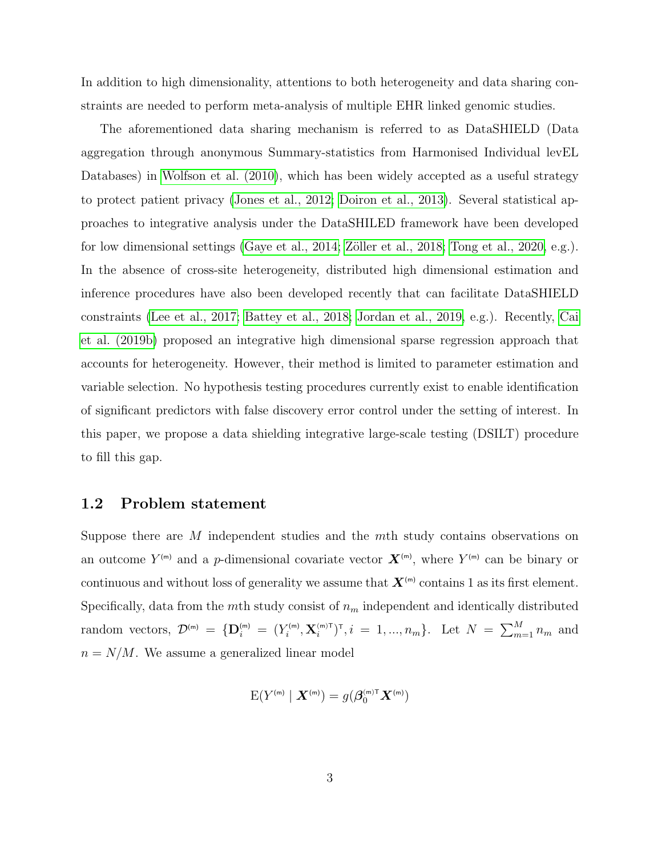In addition to high dimensionality, attentions to both heterogeneity and data sharing constraints are needed to perform meta-analysis of multiple EHR linked genomic studies.

The aforementioned data sharing mechanism is referred to as DataSHIELD (Data aggregation through anonymous Summary-statistics from Harmonised Individual levEL Databases) in [Wolfson et al. \(2010\)](#page-53-2), which has been widely accepted as a useful strategy to protect patient privacy [\(Jones et al., 2012;](#page-50-1) [Doiron et al., 2013\)](#page-49-3). Several statistical approaches to integrative analysis under the DataSHILED framework have been developed for low dimensional settings [\(Gaye et al., 2014;](#page-49-4) Zöller et al., 2018; [Tong et al., 2020,](#page-52-3) e.g.). In the absence of cross-site heterogeneity, distributed high dimensional estimation and inference procedures have also been developed recently that can facilitate DataSHIELD constraints [\(Lee et al., 2017;](#page-50-2) [Battey et al., 2018;](#page-48-3) [Jordan et al., 2019,](#page-50-3) e.g.). Recently, [Cai](#page-48-4) [et al. \(2019b\)](#page-48-4) proposed an integrative high dimensional sparse regression approach that accounts for heterogeneity. However, their method is limited to parameter estimation and variable selection. No hypothesis testing procedures currently exist to enable identification of significant predictors with false discovery error control under the setting of interest. In this paper, we propose a data shielding integrative large-scale testing (DSILT) procedure to fill this gap.

#### <span id="page-2-0"></span>1.2 Problem statement

Suppose there are M independent studies and the mth study contains observations on an outcome  $Y^{(m)}$  and a p-dimensional covariate vector  $\boldsymbol{X}^{(m)}$ , where  $Y^{(m)}$  can be binary or continuous and without loss of generality we assume that  $X^{(m)}$  contains 1 as its first element. Specifically, data from the mth study consist of  $n<sub>m</sub>$  independent and identically distributed random vectors,  $\mathcal{D}^{(m)} = {\{\mathbf{D}_i^{(m)} = (Y_i^{(m)}, \mathbf{X}_i^{(m)\mathsf{T}})^{\mathsf{T}}, i = 1, ..., n_m\}}$ . Let  $N = \sum_{m=1}^{M} n_m$  and  $n = N/M$ . We assume a generalized linear model

$$
\mathrm{E}(Y^{(\mathrm{m})}\mid \boldsymbol{X}^{(\mathrm{m})})=g(\boldsymbol{\beta}_0^{(\mathrm{m})\mathrm{T}}\boldsymbol{X}^{(\mathrm{m})})
$$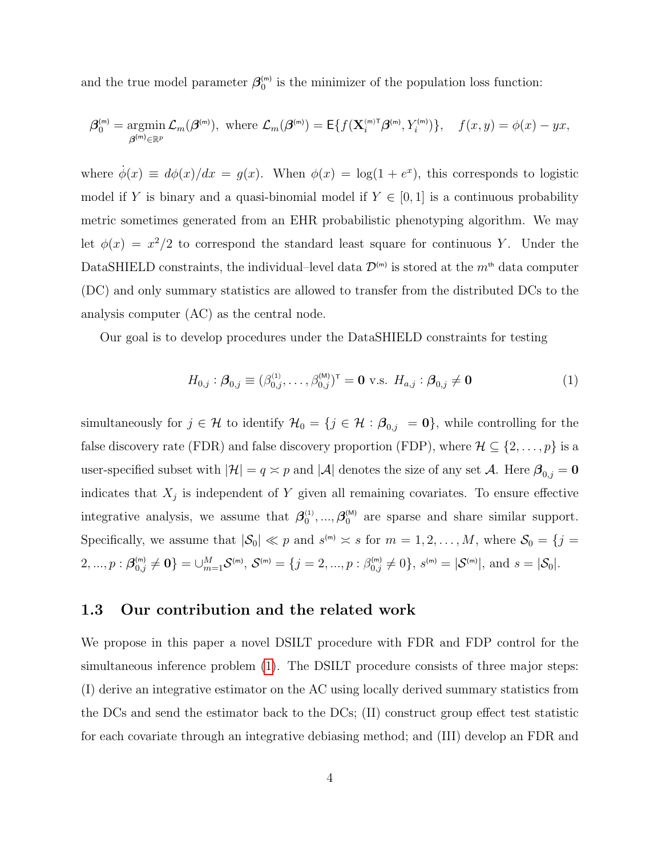and the true model parameter  $\beta_0^{(m)}$  is the minimizer of the population loss function:

$$
\boldsymbol{\beta}_0^{(m)} = \underset{\boldsymbol{\beta}^{(m)} \in \mathbb{R}^p}{\operatorname{argmin}} \mathcal{L}_m(\boldsymbol{\beta}^{(m)}), \text{ where } \mathcal{L}_m(\boldsymbol{\beta}^{(m)}) = \mathsf{E}\{f(\mathbf{X}_i^{(m)\mathsf{T}}\boldsymbol{\beta}^{(m)}, Y_i^{(m)})\}, \quad f(x, y) = \phi(x) - yx,
$$

where  $\dot{\phi}(x) \equiv d\phi(x)/dx = g(x)$ . When  $\phi(x) = \log(1 + e^x)$ , this corresponds to logistic model if Y is binary and a quasi-binomial model if  $Y \in [0,1]$  is a continuous probability metric sometimes generated from an EHR probabilistic phenotyping algorithm. We may let  $\phi(x) = x^2/2$  to correspond the standard least square for continuous Y. Under the DataSHIELD constraints, the individual–level data  $\mathcal{D}^{(m)}$  is stored at the  $m^{th}$  data computer (DC) and only summary statistics are allowed to transfer from the distributed DCs to the analysis computer (AC) as the central node.

Our goal is to develop procedures under the DataSHIELD constraints for testing

<span id="page-3-0"></span>
$$
H_{0,j} : \beta_{0,j} \equiv (\beta_{0,j}^{(1)}, \dots, \beta_{0,j}^{(M)})^{\top} = \mathbf{0} \text{ v.s. } H_{a,j} : \beta_{0,j} \neq \mathbf{0}
$$
 (1)

simultaneously for  $j \in \mathcal{H}$  to identify  $\mathcal{H}_0 = \{j \in \mathcal{H} : \beta_{0,j} = 0\}$ , while controlling for the false discovery rate (FDR) and false discovery proportion (FDP), where  $\mathcal{H} \subseteq \{2, \ldots, p\}$  is a user-specified subset with  $|\mathcal{H}| = q \approx p$  and  $|\mathcal{A}|$  denotes the size of any set  $\mathcal{A}$ . Here  $\beta_{0,j} = 0$ indicates that  $X_j$  is independent of Y given all remaining covariates. To ensure effective integrative analysis, we assume that  $\beta_0^{(1)},...,\beta_0^{(M)}$  are sparse and share similar support. Specifically, we assume that  $|\mathcal{S}_0| \ll p$  and  $s^{(m)} \approx s$  for  $m = 1, 2, ..., M$ , where  $\mathcal{S}_0 = \{j = 1, ..., N\}$  $2, ..., p : \mathcal{B}_{0,j}^{(m)} \neq \mathbf{0}$  =  $\cup_{m=1}^{M} \mathcal{S}^{(m)}$ ,  $\mathcal{S}^{(m)} = \{j = 2, ..., p : \beta_{0,j}^{(m)} \neq 0\}$ ,  $s^{(m)} = |\mathcal{S}^{(m)}|$ , and  $s = |\mathcal{S}_0|$ .

#### 1.3 Our contribution and the related work

We propose in this paper a novel DSILT procedure with FDR and FDP control for the simultaneous inference problem [\(1\)](#page-3-0). The DSILT procedure consists of three major steps: (I) derive an integrative estimator on the AC using locally derived summary statistics from the DCs and send the estimator back to the DCs; (II) construct group effect test statistic for each covariate through an integrative debiasing method; and (III) develop an FDR and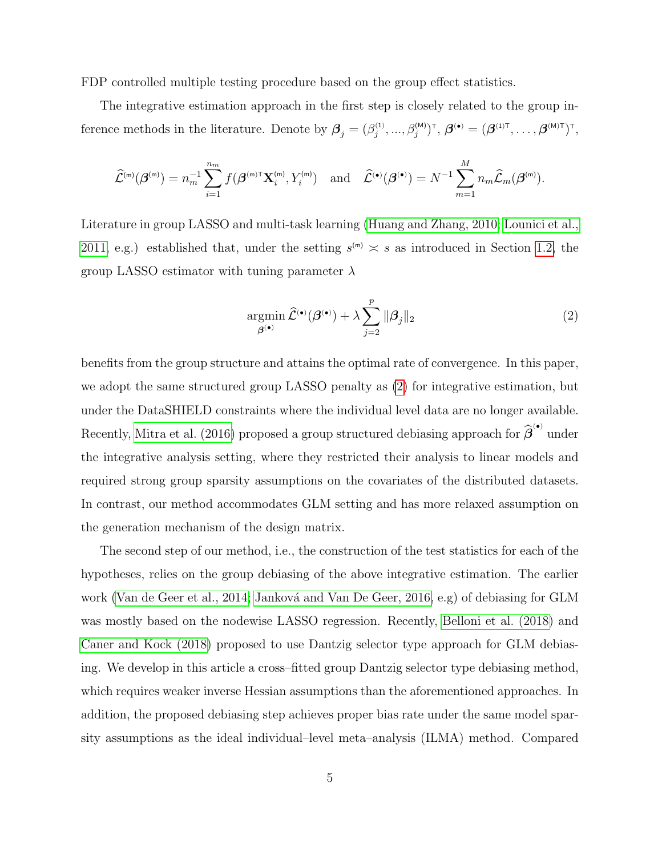FDP controlled multiple testing procedure based on the group effect statistics.

The integrative estimation approach in the first step is closely related to the group inference methods in the literature. Denote by  $\boldsymbol{\beta}_j = (\beta_j^{(1)}, ..., \beta_j^{(M)})^{\intercal}, \boldsymbol{\beta}^{(\bullet)} = (\boldsymbol{\beta}^{(1)\intercal}, ..., \boldsymbol{\beta}^{(M)\intercal})^{\intercal}$ ,

$$
\widehat{\mathcal{L}}^{(\mathsf{m})}(\boldsymbol{\beta}^{(\mathsf{m})}) = n_m^{-1} \sum_{i=1}^{n_m} f(\boldsymbol{\beta}^{(\mathsf{m})\mathsf{T}} \mathbf{X}_i^{(\mathsf{m})}, Y_i^{(\mathsf{m})}) \quad \text{and} \quad \widehat{\mathcal{L}}^{(\bullet)}(\boldsymbol{\beta}^{(\bullet)}) = N^{-1} \sum_{m=1}^{M} n_m \widehat{\mathcal{L}}_m(\boldsymbol{\beta}^{(\mathsf{m})}).
$$

Literature in group LASSO and multi-task learning [\(Huang and Zhang, 2010;](#page-50-4) [Lounici et al.,](#page-51-1) [2011,](#page-51-1) e.g.) established that, under the setting  $s^{(m)} \approx s$  as introduced in Section [1.2,](#page-2-0) the group LASSO estimator with tuning parameter  $\lambda$ 

<span id="page-4-0"></span>
$$
\underset{\beta^{(\bullet)}}{\operatorname{argmin}} \,\widehat{\mathcal{L}}^{(\bullet)}(\beta^{(\bullet)}) + \lambda \sum_{j=2}^{p} \|\beta_j\|_2 \tag{2}
$$

benefits from the group structure and attains the optimal rate of convergence. In this paper, we adopt the same structured group LASSO penalty as [\(2\)](#page-4-0) for integrative estimation, but under the DataSHIELD constraints where the individual level data are no longer available. Recently, [Mitra et al. \(2016\)](#page-51-2) proposed a group structured debiasing approach for  $\widehat{\boldsymbol{\beta}}^{(\bullet)}$  under the integrative analysis setting, where they restricted their analysis to linear models and required strong group sparsity assumptions on the covariates of the distributed datasets. In contrast, our method accommodates GLM setting and has more relaxed assumption on the generation mechanism of the design matrix.

The second step of our method, i.e., the construction of the test statistics for each of the hypotheses, relies on the group debiasing of the above integrative estimation. The earlier work [\(Van de Geer et al., 2014;](#page-52-0) Janková and Van De Geer, 2016, e.g) of debiasing for GLM was mostly based on the nodewise LASSO regression. Recently, [Belloni et al. \(2018\)](#page-48-5) and [Caner and Kock \(2018\)](#page-48-6) proposed to use Dantzig selector type approach for GLM debiasing. We develop in this article a cross–fitted group Dantzig selector type debiasing method, which requires weaker inverse Hessian assumptions than the aforementioned approaches. In addition, the proposed debiasing step achieves proper bias rate under the same model sparsity assumptions as the ideal individual–level meta–analysis (ILMA) method. Compared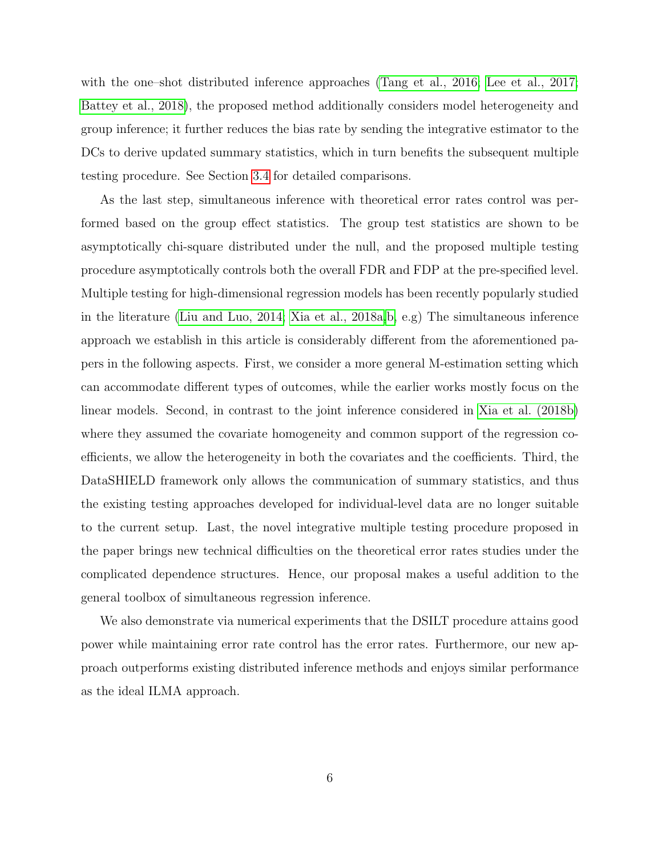with the one–shot distributed inference approaches [\(Tang et al., 2016;](#page-52-4) [Lee et al., 2017;](#page-50-2) [Battey et al., 2018\)](#page-48-3), the proposed method additionally considers model heterogeneity and group inference; it further reduces the bias rate by sending the integrative estimator to the DCs to derive updated summary statistics, which in turn benefits the subsequent multiple testing procedure. See Section [3.4](#page-18-0) for detailed comparisons.

As the last step, simultaneous inference with theoretical error rates control was performed based on the group effect statistics. The group test statistics are shown to be asymptotically chi-square distributed under the null, and the proposed multiple testing procedure asymptotically controls both the overall FDR and FDP at the pre-specified level. Multiple testing for high-dimensional regression models has been recently popularly studied in the literature [\(Liu and Luo, 2014;](#page-51-3) [Xia et al., 2018a,](#page-53-4)[b,](#page-53-5) e.g) The simultaneous inference approach we establish in this article is considerably different from the aforementioned papers in the following aspects. First, we consider a more general M-estimation setting which can accommodate different types of outcomes, while the earlier works mostly focus on the linear models. Second, in contrast to the joint inference considered in [Xia et al. \(2018b\)](#page-53-5) where they assumed the covariate homogeneity and common support of the regression coefficients, we allow the heterogeneity in both the covariates and the coefficients. Third, the DataSHIELD framework only allows the communication of summary statistics, and thus the existing testing approaches developed for individual-level data are no longer suitable to the current setup. Last, the novel integrative multiple testing procedure proposed in the paper brings new technical difficulties on the theoretical error rates studies under the complicated dependence structures. Hence, our proposal makes a useful addition to the general toolbox of simultaneous regression inference.

We also demonstrate via numerical experiments that the DSILT procedure attains good power while maintaining error rate control has the error rates. Furthermore, our new approach outperforms existing distributed inference methods and enjoys similar performance as the ideal ILMA approach.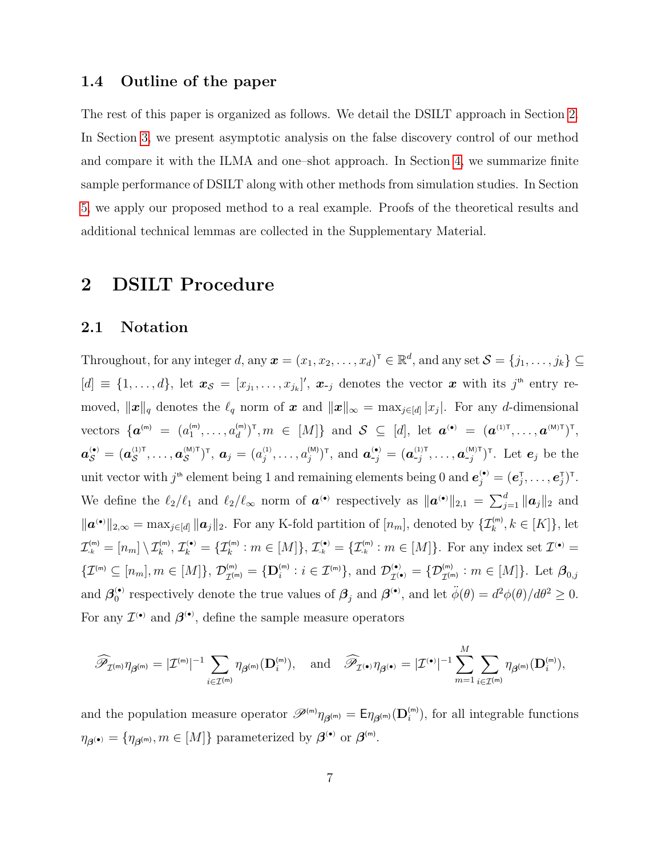#### 1.4 Outline of the paper

The rest of this paper is organized as follows. We detail the DSILT approach in Section [2.](#page-6-0) In Section [3,](#page-13-0) we present asymptotic analysis on the false discovery control of our method and compare it with the ILMA and one–shot approach. In Section [4,](#page-20-0) we summarize finite sample performance of DSILT along with other methods from simulation studies. In Section [5,](#page-22-0) we apply our proposed method to a real example. Proofs of the theoretical results and additional technical lemmas are collected in the Supplementary Material.

### <span id="page-6-0"></span>2 DSILT Procedure

#### <span id="page-6-1"></span>2.1 Notation

Throughout, for any integer d, any  $\boldsymbol{x} = (x_1, x_2, \dots, x_d)^\top \in \mathbb{R}^d$ , and any set  $\mathcal{S} = \{j_1, \dots, j_k\} \subseteq$  $[d] \equiv \{1,\ldots,d\}$ , let  $\mathbf{x}_{\mathcal{S}} = [x_{j_1},\ldots,x_{j_k}]'$ ,  $\mathbf{x}_{-j}$  denotes the vector  $\mathbf{x}$  with its  $j^{\text{th}}$  entry removed,  $\|\boldsymbol{x}\|_q$  denotes the  $\ell_q$  norm of  $\boldsymbol{x}$  and  $\|\boldsymbol{x}\|_{\infty} = \max_{j \in [d]} |x_j|$ . For any d-dimensional vectors  $\{ \boldsymbol{a}^{(\mathsf{m})} = (a_1^{(\mathsf{m})}, \dots, a_d^{(\mathsf{m})})^{\mathsf{T}}, m \in [M] \}$  and  $\mathcal{S} \subseteq [d]$ , let  $\boldsymbol{a}^{(\bullet)} = (\boldsymbol{a}^{(1)\mathsf{T}}, \dots, \boldsymbol{a}^{(\mathsf{M})\mathsf{T}})^{\mathsf{T}}$ ,  $a_{\mathcal{S}}^{(\bullet)} = (\boldsymbol{a}_{\mathcal{S}}^{(1)\text{T}}, \ldots, \boldsymbol{a}_{\mathcal{S}}^{(M)\text{T}})^{\text{T}}, \ \boldsymbol{a}_{j} = (a_{j}^{(1)}, \ldots, a_{j}^{(M)})^{\text{T}}, \text{ and } \boldsymbol{a}_{-j}^{(\bullet)} = (\boldsymbol{a}_{-j}^{(1)\text{T}}, \ldots, \boldsymbol{a}_{-j}^{(M)\text{T}})^{\text{T}}.$  Let  $\boldsymbol{e}_{j}$  be the unit vector with  $j^{\text{th}}$  element being 1 and remaining elements being 0 and  $\boldsymbol{e}_j^{(\bullet)} = (\boldsymbol{e}_j^{\intercal}, \dots, \boldsymbol{e}_j^{\intercal})^{\intercal}$ . We define the  $\ell_2/\ell_1$  and  $\ell_2/\ell_\infty$  norm of  $\boldsymbol{a}^{(\bullet)}$  respectively as  $\|\boldsymbol{a}^{(\bullet)}\|_{2,1} = \sum_{j=1}^d \|\boldsymbol{a}_j\|_2$  and  $\|\boldsymbol{a}^{(\bullet)}\|_{2,\infty} = \max_{j\in[d]}\|\boldsymbol{a}_j\|_2.$  For any K-fold partition of  $[n_m]$ , denoted by  $\{\mathcal{I}_k^{(m)}, k\in[K]\},$  let  $\mathcal{I}_{k}^{(m)}=[n_m]\setminus \mathcal{I}_{k}^{(m)},\mathcal{I}_{k}^{(\bullet)}=\{\mathcal{I}_{k}^{(m)}: m\in[M]\},\mathcal{I}_{k}^{(\bullet)}=\{\mathcal{I}_{k}^{(m)}: m\in[M]\}.$  For any index set  $\mathcal{I}^{(\bullet)}=$  $\{\mathcal{I}^{(m)} \subseteq [n_m], m \in [M]\}, \mathcal{D}_{\mathcal{I}^{(m)}}^{(m)}$  $\mathcal{I}_{\mathcal{I}^{(m)}}^{(m)} = \{ \mathbf{D}_{i}^{(m)} : i \in \mathcal{I}^{(m)} \}, \text{ and } \mathcal{D}_{\mathcal{I}^{(m)}}^{(m)} \}$  $\mathcal{I}^{( \bullet )}_{\mathcal{I}^{( \bullet )}} = \{\mathcal{D}^{( \mathsf{m} )}_{\mathcal{I}^{( \mathsf{m} )}} : m \in [M]\}.$  Let  $\boldsymbol{\beta} _{0,j}$ and  $\beta_0^{(\bullet)}$  respectively denote the true values of  $\beta_j$  and  $\beta^{(\bullet)}$ , and let  $\ddot{\phi}(\theta) = d^2\phi(\theta)/d\theta^2 \ge 0$ . For any  $\mathcal{I}^{(\bullet)}$  and  $\boldsymbol{\beta}^{(\bullet)}$ , define the sample measure operators

$$
\widehat{\mathscr{P}}_{\mathcal{I}^{(m)}} \eta_{\boldsymbol{\beta}^{(m)}} = |\mathcal{I}^{(m)}|^{-1} \sum_{i \in \mathcal{I}^{(m)}} \eta_{\boldsymbol{\beta}^{(m)}}(\mathbf{D}_i^{(m)}), \quad \text{and} \quad \widehat{\mathscr{P}}_{\mathcal{I}^{(\bullet)}} \eta_{\boldsymbol{\beta}^{(\bullet)}} = |\mathcal{I}^{(\bullet)}|^{-1} \sum_{m=1}^M \sum_{i \in \mathcal{I}^{(m)}} \eta_{\boldsymbol{\beta}^{(m)}}(\mathbf{D}_i^{(m)}),
$$

and the population measure operator  $\mathscr{P}^{(m)}\eta_{\beta^{(m)}} = \mathsf{E}\eta_{\beta^{(m)}}(\mathbf{D}_{i}^{(m)})$ , for all integrable functions  $\eta_{\boldsymbol{\beta}^{(\bullet)}} = \{\eta_{\boldsymbol{\beta}^{(m)}}, m \in [M]\}$  parameterized by  $\boldsymbol{\beta}^{(\bullet)}$  or  $\boldsymbol{\beta}^{(m)}$ .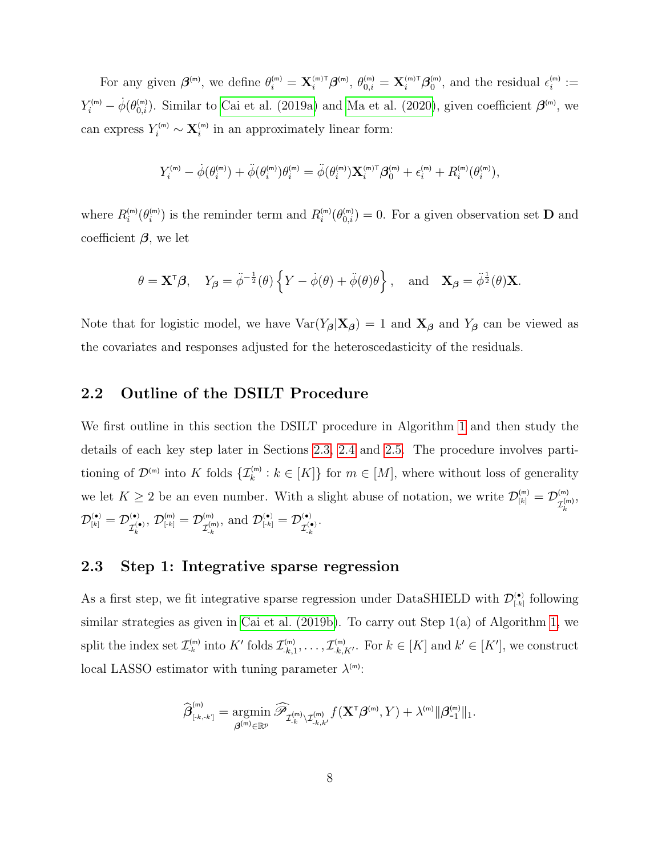For any given  $\boldsymbol{\beta}^{(m)}$ , we define  $\theta_i^{(m)} = \mathbf{X}_i^{(m)\mathsf{T}} \boldsymbol{\beta}^{(m)}$ ,  $\theta_{0,i}^{(m)} = \mathbf{X}_i^{(m)\mathsf{T}} \boldsymbol{\beta}_0^{(m)}$ , and the residual  $\epsilon_i^{(m)} :=$  $Y_i^{(m)} - \dot{\phi}(\theta_{0,i}^{(m)})$ . Similar to [Cai et al. \(2019a\)](#page-48-7) and [Ma et al. \(2020\)](#page-51-4), given coefficient  $\boldsymbol{\beta}^{(m)}$ , we can express  $Y_i^{(m)} \sim \mathbf{X}_i^{(m)}$  in an approximately linear form:

$$
Y_i^{^{(m)}}-\dot{\phi}(\theta_i^{^{(m)}})+\ddot{\phi}(\theta_i^{^{(m)}})\theta_i^{^{(m)}}=\ddot{\phi}(\theta_i^{^{(m)}}){\bf X}_i^{^{(m)\mathsf{T}}}\boldsymbol{\beta}_0^{^{(m)}}+\epsilon_i^{^{(m)}}+R_i^{^{(m)}}(\theta_i^{^{(m)}}),
$$

where  $R_i^{(m)}(\theta_i^{(m)})$  is the reminder term and  $R_i^{(m)}(\theta_{0,i}^{(m)})=0$ . For a given observation set **D** and coefficient  $\beta$ , we let

$$
\theta = \mathbf{X}^{\mathsf{T}} \boldsymbol{\beta}, \quad Y_{\boldsymbol{\beta}} = \ddot{\phi}^{-\frac{1}{2}}(\theta) \left\{ Y - \dot{\phi}(\theta) + \ddot{\phi}(\theta)\theta \right\}, \text{ and } \mathbf{X}_{\boldsymbol{\beta}} = \ddot{\phi}^{\frac{1}{2}}(\theta)\mathbf{X}.
$$

Note that for logistic model, we have  $Var(Y_{\beta}|\mathbf{X}_{\beta}) = 1$  and  $\mathbf{X}_{\beta}$  and  $Y_{\beta}$  can be viewed as the covariates and responses adjusted for the heteroscedasticity of the residuals.

### 2.2 Outline of the DSILT Procedure

We first outline in this section the DSILT procedure in Algorithm [1](#page-8-0) and then study the details of each key step later in Sections [2.3,](#page-7-0) [2.4](#page-9-0) and [2.5.](#page-10-0) The procedure involves partitioning of  $\mathcal{D}^{(m)}$  into K folds  $\{\mathcal{I}_k^{(m)}: k \in [K]\}\$  for  $m \in [M]$ , where without loss of generality we let  $K \geq 2$  be an even number. With a slight abuse of notation, we write  $\mathcal{D}_{[k]}^{(m)} = \mathcal{D}_{\tau^{(m)}}^{(m)}$  ${\cal I}_k^{({\sf m})}$ ,  $\mathcal{D}_{[\overline{k}]}^{(\bullet)}=\mathcal{D}_{\tau^{(\bullet)}}^{(\bullet)}$  $\mathcal{I}_k^{(\bullet)}$ ,  $\mathcal{D}_{\left\lceil -k\right\rceil }^{\left( \mathsf{m}\right) }=\mathcal{D}_{_{\mathcal{J}\left( \mathsf{n}\right) }}^{\left( \mathsf{m}\right) }$  $\mathcal{I}_{\text{-}k}^{(\textsf{m})}$ , and  $\mathcal{D}_{\left[\cdot k\right]}^{(\bullet)} = \mathcal{D}_{\tau(\cdot)}^{(\bullet)}$  $\mathcal{I}_{\text{-}k}^{(\bullet)}$ .

### <span id="page-7-0"></span>2.3 Step 1: Integrative sparse regression

As a first step, we fit integrative sparse regression under DataSHIELD with  $\mathcal{D}_{\lceil k \rceil}^{(\bullet)}$  following similar strategies as given in Cai et al.  $(2019b)$ . To carry out Step 1(a) of Algorithm [1,](#page-8-0) we split the index set  $\mathcal{I}_{-k}^{(m)}$  into  $K'$  folds  $\mathcal{I}_{-k,1}^{(m)},\ldots,\mathcal{I}_{-k,K'}^{(m)}$ . For  $k \in [K]$  and  $k' \in [K']$ , we construct local LASSO estimator with tuning parameter  $\lambda^{(m)}$ :

$$
\widehat{\boldsymbol{\beta}}^{^{(m)}}_{\scriptscriptstyle{[.k,-k^\prime]}}=\underset{\boldsymbol{\beta}^{(m)}\in\mathbb{R}^p}{\arg\!\min}\, \widehat{\mathscr{P}}_{\mathcal{I}^{(m)}_{\cdot k}\backslash\mathcal{I}^{(m)}_{\cdot k,k^\prime}}f(\mathbf{X}^{\scriptscriptstyle{\text{T}}}\boldsymbol{\beta}^{^{(m)}},Y)+\lambda^{^{(m)}}\|\boldsymbol{\beta}^{^{(m)}}_{\text{-}1}\|_1.
$$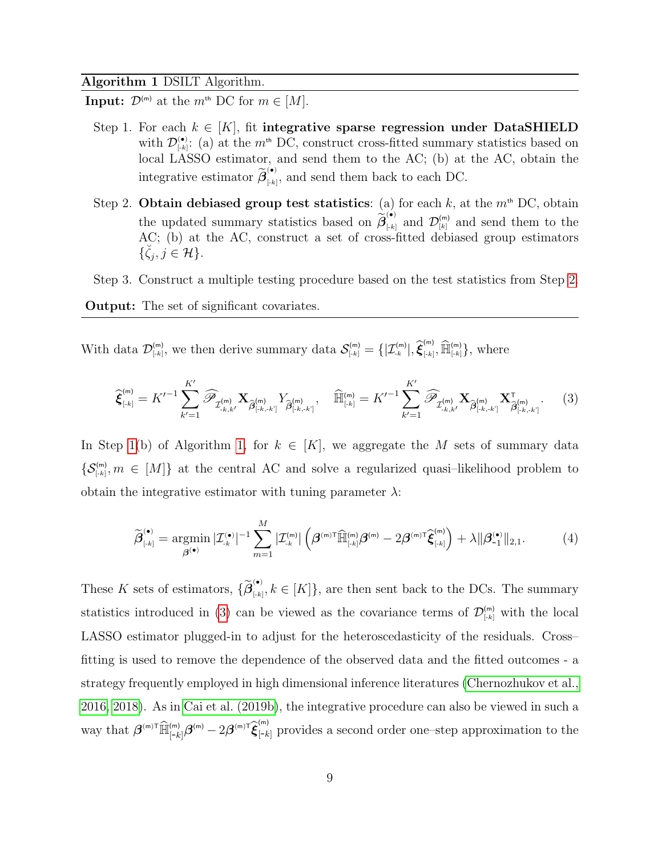#### Algorithm 1 DSILT Algorithm.

**Input:**  $\mathcal{D}^{(m)}$  at the  $m^{\text{th}}$  DC for  $m \in [M]$ .

- <span id="page-8-2"></span>Step 1. For each  $k \in [K]$ , fit integrative sparse regression under DataSHIELD with  $\mathcal{D}^{(\bullet)}_{[k]}$ : (a) at the  $m^{\text{th}}$  DC, construct cross-fitted summary statistics based on local LASSO estimator, and send them to the AC; (b) at the AC, obtain the integrative estimator  $\widetilde{\beta}_{\text{\tiny{[*]}}}^{(\bullet)}$  $\left( \begin{matrix} \cdot \\ \cdot \\ \cdot \end{matrix} \right)$ , and send them back to each DC.
- <span id="page-8-1"></span>Step 2. Obtain debiased group test statistics: (a) for each  $k$ , at the  $m<sup>th</sup>$  DC, obtain the updated summary statistics based on  $\widetilde{\beta}_{\left[k\right]}^{(\bullet)}$  $[\mathcal{L}]_{[k]}$  and  $\mathcal{D}_{[k]}^{(m)}$  and send them to the AC; (b) at the AC, construct a set of cross-fitted debiased group estimators  $\{\breve{\zeta}_j, j \in \mathcal{H}\}.$

<span id="page-8-0"></span>Step 3. Construct a multiple testing procedure based on the test statistics from Step [2.](#page-8-1)

Output: The set of significant covariates.

With data  $\mathcal{D}_{[k]}^{(m)}$ , we then derive summary data  $\mathcal{S}_{[k]}^{(m)} = \{|\mathcal{I}_{k}^{(m)}|, \hat{\boldsymbol{\xi}}_{[k]}^{(m)}\}$  $[\bar{f}_{[k]}, \widehat{\mathbb{H}}_{[k]}^{(m)}],$  where

<span id="page-8-3"></span>
$$
\widehat{\xi}_{\text{[-k]}}^{(\text{m})} = K'^{-1} \sum_{k'=1}^{K'} \widehat{\mathscr{P}}_{\mathcal{I}_{\text{-k},k'}^{(\text{m})}} X_{\widehat{\beta}_{\text{[-k,-k]}}^{(\text{m})}} Y_{\widehat{\beta}_{\text{[-k,-k]}}^{(\text{m})}}, \quad \widehat{\mathbb{H}}_{\text{[-k]}}^{(\text{m})} = K'^{-1} \sum_{k'=1}^{K'} \widehat{\mathscr{P}}_{\mathcal{I}_{\text{-k},k'}^{(\text{m})}} X_{\widehat{\beta}_{\text{[-k,-k]}}^{(\text{m})}} X_{\widehat{\beta}_{\text{[-k,-k]}}^{(\text{m})}}.
$$
 (3)

In Step [1\(](#page-8-2)b) of Algorithm [1,](#page-8-0) for  $k \in [K]$ , we aggregate the M sets of summary data  $\{\mathcal{S}_{\lceil k \rceil}^{(m)}, m \in [M]\}\$ at the central AC and solve a regularized quasi-likelihood problem to obtain the integrative estimator with tuning parameter  $\lambda$ :

<span id="page-8-4"></span>
$$
\widetilde{\boldsymbol{\beta}}_{\left[\cdot k\right]}^{(\bullet)} = \underset{\boldsymbol{\beta}^{(\bullet)}}{\operatorname{argmin}} \, |\mathcal{I}_{\cdot k}^{(\bullet)}|^{-1} \sum_{m=1}^{M} |\mathcal{I}_{\cdot k}^{(m)}| \left( \boldsymbol{\beta}^{(m)\top} \widehat{\mathbb{H}}_{\left[\cdot k\right]}^{(m)} \boldsymbol{\beta}^{(m)} - 2 \boldsymbol{\beta}^{(m)\top} \widehat{\boldsymbol{\xi}}_{\left[\cdot k\right]}^{(m)} \right) + \lambda ||\boldsymbol{\beta}_{-1}^{(\bullet)}||_{2,1}.
$$
 (4)

These K sets of estimators,  $\{ \widetilde{\beta}_{\text{\tiny{[-k]}}}^{(•)} \}$  $[\mu_k, k \in [K]$ , are then sent back to the DCs. The summary statistics introduced in [\(3\)](#page-8-3) can be viewed as the covariance terms of  $\mathcal{D}_{[k]}^{(m)}$  with the local LASSO estimator plugged-in to adjust for the heteroscedasticity of the residuals. Cross– fitting is used to remove the dependence of the observed data and the fitted outcomes - a strategy frequently employed in high dimensional inference literatures [\(Chernozhukov et al.,](#page-49-5) [2016,](#page-49-5) [2018\)](#page-49-0). As in [Cai et al. \(2019b\)](#page-48-4), the integrative procedure can also be viewed in such a way that  $\beta^{(m)\top} \widehat{\mathbb{H}}_{[-k]}^{(m)} \beta^{(m)} - 2\beta^{(m)\top} \widehat{\xi}_{[-k]}^{(m)}$  provides a second order one-step approximation to the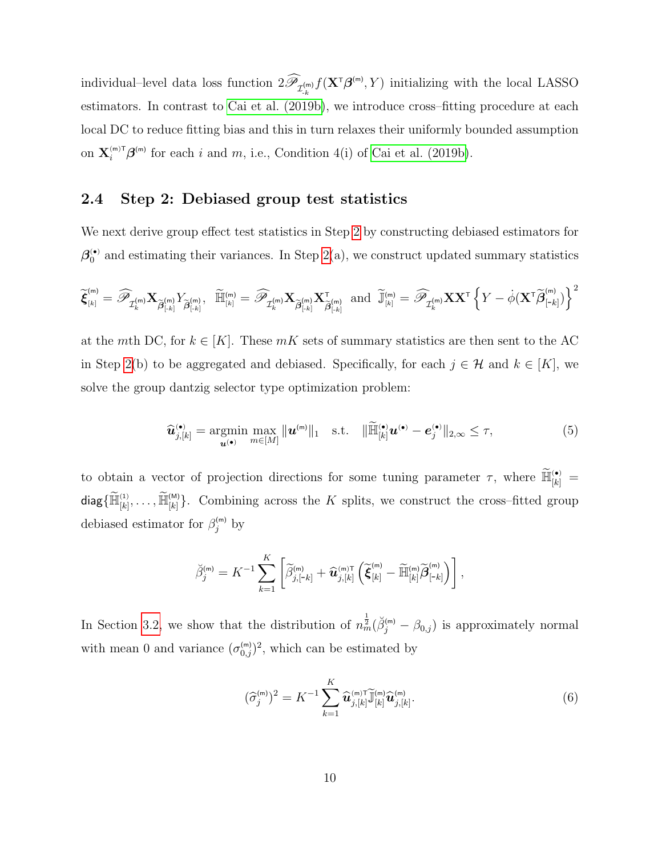individual–level data loss function  $2\mathscr{P}_{\mathcal{I}^{(m)}_{k}}f(\mathbf{X}^{\tau}\boldsymbol{\beta}^{(m)},Y)$  initializing with the local LASSO estimators. In contrast to [Cai et al. \(2019b\)](#page-48-4), we introduce cross–fitting procedure at each local DC to reduce fitting bias and this in turn relaxes their uniformly bounded assumption on  $\mathbf{X}_{i}^{(\text{m})\text{T}} \boldsymbol{\beta}^{(\text{m})}$  for each i and m, i.e., Condition 4(i) of [Cai et al. \(2019b\)](#page-48-4).

### <span id="page-9-0"></span>2.4 Step 2: Debiased group test statistics

We next derive group effect test statistics in Step [2](#page-8-1) by constructing debiased estimators for  $\beta_0^{(\bullet)}$  and estimating their variances. In Step [2\(](#page-8-1)a), we construct updated summary statistics

$$
\widetilde{\boldsymbol{\xi}}_{\scriptscriptstyle[k]}^{(\sf{m})}=\widehat{\mathscr{P}}_{\mathcal{I}^{(\sf{m})}_{k}}\mathbf{X}_{\widetilde{\boldsymbol{\beta}}_{\scriptscriptstyle \lfloor k\rfloor}^{(\sf{m})}}Y_{\widetilde{\boldsymbol{\beta}}_{\scriptscriptstyle \lfloor k\rfloor}^{(\sf{m})}},\;\;\widetilde{\mathbb{H}}_{\scriptscriptstyle [k]}^{(\sf{m})}=\widehat{\mathscr{P}}_{\mathcal{I}^{(\sf{m})}_{k}}\mathbf{X}_{\widetilde{\boldsymbol{\beta}}_{\scriptscriptstyle \lceil k\rfloor}^{(\sf{m})}}\; \text{and}\;\; \widetilde{\mathbb{J}}_{\scriptscriptstyle [k]}^{(\sf{m})}=\widehat{\mathscr{P}}_{\mathcal{I}^{(\sf{m)}}_{k}}\mathbf{X}\mathbf{X}^{\intercal}\left\{Y-\dot{\phi}(\mathbf{X}^{\intercal}\widetilde{\boldsymbol{\beta}}_{\scriptscriptstyle \lceil k\rfloor}^{(\sf{m})})\right\}^2
$$

at the mth DC, for  $k \in [K]$ . These mK sets of summary statistics are then sent to the AC in Step [2\(](#page-8-1)b) to be aggregated and debiased. Specifically, for each  $j \in \mathcal{H}$  and  $k \in [K]$ , we solve the group dantzig selector type optimization problem:

<span id="page-9-2"></span>
$$
\widehat{\boldsymbol{u}}_{j,[k]}^{(\bullet)} = \underset{\boldsymbol{u}^{(\bullet)}}{\operatorname{argmin}} \max_{m \in [M]} \|\boldsymbol{u}^{(m)}\|_1 \quad \text{s.t.} \quad \|\widetilde{\mathbb{H}}_{[k]}^{(\bullet)} \boldsymbol{u}^{(\bullet)} - \boldsymbol{e}_j^{(\bullet)}\|_{2,\infty} \leq \tau,\tag{5}
$$

to obtain a vector of projection directions for some tuning parameter  $\tau$ , where  $\widetilde{\mathbb{H}}_{[k]}^{(\bullet)} =$  $\textsf{diag}\{\widetilde{\mathbb{H}}^{(1)}_{[k]},\ldots,\widetilde{\mathbb{H}}^{(\mathsf{M})}_{[k]}\}.$  Combining across the  $K$  splits, we construct the cross-fitted group debiased estimator for  $\beta_j^{(m)}$  by

$$
\breve{\beta}_{j}^{(\mathsf{m})}=K^{-1}\sum_{k=1}^{K}\left[\widetilde{\beta}_{j,[-k]}^{(\mathsf{m})}+\widehat{\mathbf{u}}_{j,[k]}^{(\mathsf{m})\mathsf{T}}\left(\widetilde{\boldsymbol{\xi}}_{[k]}^{(\mathsf{m})}-\widetilde{\mathbb{H}}_{[k]}^{(\mathsf{m})}\widetilde{\boldsymbol{\beta}}_{[-k]}^{(\mathsf{m})}\right)\right],
$$

In Section [3.2,](#page-15-0) we show that the distribution of  $n_m^{\frac{1}{2}}(\check{\beta}_j^{(m)} - \beta_{0,j})$  is approximately normal with mean 0 and variance  $(\sigma_{0,j}^{(m)})^2$ , which can be estimated by

<span id="page-9-1"></span>
$$
(\widehat{\sigma}_j^{(\mathsf{m})})^2 = K^{-1} \sum_{k=1}^K \widehat{\mathbf{u}}_{j,[k]}^{(\mathsf{m}) \mathsf{T}} \widetilde{\mathbf{J}}_{[k]}^{(\mathsf{m})} \widehat{\mathbf{u}}_{j,[k]}^{(\mathsf{m})}.
$$
\n(6)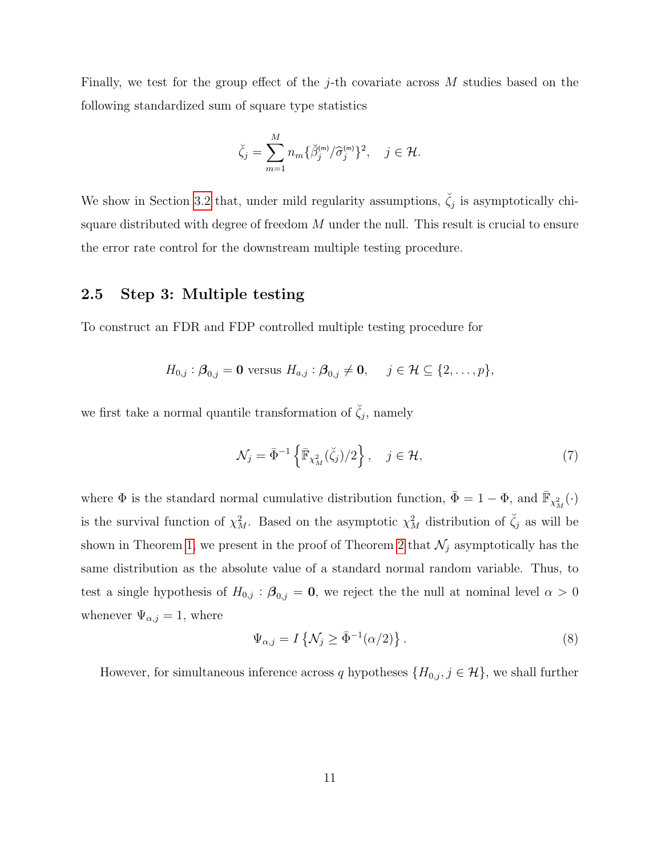Finally, we test for the group effect of the j-th covariate across  $M$  studies based on the following standardized sum of square type statistics

$$
\breve{\zeta}_j = \sum_{m=1}^M n_m \{ \breve{\beta}_j^{(m)} / \widehat{\sigma}_j^{(m)} \}^2, \quad j \in \mathcal{H}.
$$

We show in Section [3.2](#page-15-0) that, under mild regularity assumptions,  $\check{\zeta}_j$  is asymptotically chisquare distributed with degree of freedom  $M$  under the null. This result is crucial to ensure the error rate control for the downstream multiple testing procedure.

#### <span id="page-10-0"></span>2.5 Step 3: Multiple testing

To construct an FDR and FDP controlled multiple testing procedure for

$$
H_{0,j} : \boldsymbol{\beta}_{0,j} = \mathbf{0} \text{ versus } H_{a,j} : \boldsymbol{\beta}_{0,j} \neq \mathbf{0}, \quad j \in \mathcal{H} \subseteq \{2,\ldots,p\},
$$

we first take a normal quantile transformation of  $\check{\zeta}_j$ , namely

$$
\mathcal{N}_j = \bar{\Phi}^{-1} \left\{ \bar{\mathbb{F}}_{\chi_M^2}(\zeta_j)/2 \right\}, \quad j \in \mathcal{H}, \tag{7}
$$

where  $\Phi$  is the standard normal cumulative distribution function,  $\bar{\Phi} = 1 - \Phi$ , and  $\bar{\mathbb{F}}_{\chi^2_M}(\cdot)$ is the survival function of  $\chi^2_M$ . Based on the asymptotic  $\chi^2_M$  distribution of  $\check{\zeta}_j$  as will be shown in Theorem [1,](#page-17-0) we present in the proof of Theorem [2](#page-17-1) that  $\mathcal{N}_j$  asymptotically has the same distribution as the absolute value of a standard normal random variable. Thus, to test a single hypothesis of  $H_{0,j}$ :  $\beta_{0,j} = 0$ , we reject the the null at nominal level  $\alpha > 0$ whenever  $\Psi_{\alpha,j} = 1$ , where

$$
\Psi_{\alpha,j} = I\left\{\mathcal{N}_j \ge \bar{\Phi}^{-1}(\alpha/2)\right\}.
$$
\n(8)

However, for simultaneous inference across q hypotheses  $\{H_{0,j}, j \in \mathcal{H}\}\)$ , we shall further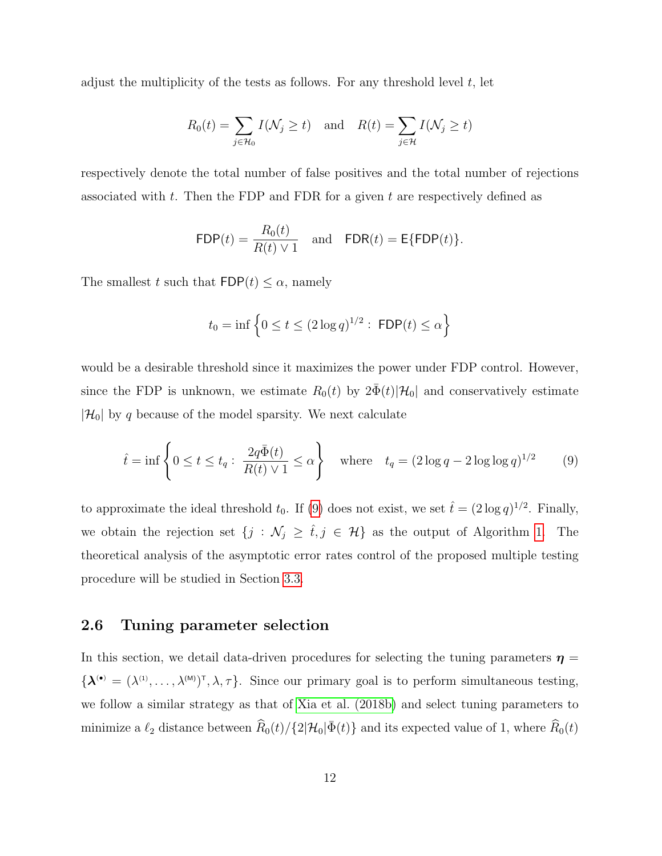adjust the multiplicity of the tests as follows. For any threshold level t, let

$$
R_0(t) = \sum_{j \in \mathcal{H}_0} I(\mathcal{N}_j \ge t) \quad \text{and} \quad R(t) = \sum_{j \in \mathcal{H}} I(\mathcal{N}_j \ge t)
$$

respectively denote the total number of false positives and the total number of rejections associated with t. Then the FDP and FDR for a given t are respectively defined as

$$
\mathsf{FDP}(t) = \frac{R_0(t)}{R(t) \vee 1} \quad \text{and} \quad \mathsf{FDR}(t) = \mathsf{E}\{\mathsf{FDP}(t)\}.
$$

The smallest t such that  $\textsf{FDP}(t) \leq \alpha$ , namely

$$
t_0 = \inf \left\{ 0 \le t \le (2 \log q)^{1/2} : \text{ FDP}(t) \le \alpha \right\}
$$

would be a desirable threshold since it maximizes the power under FDP control. However, since the FDP is unknown, we estimate  $R_0(t)$  by  $2\bar{\Phi}(t)|\mathcal{H}_0|$  and conservatively estimate  $|\mathcal{H}_0|$  by q because of the model sparsity. We next calculate

<span id="page-11-0"></span>
$$
\hat{t} = \inf \left\{ 0 \le t \le t_q : \frac{2q\bar{\Phi}(t)}{R(t) \vee 1} \le \alpha \right\} \quad \text{where} \quad t_q = (2\log q - 2\log \log q)^{1/2} \tag{9}
$$

to approximate the ideal threshold  $t_0$ . If [\(9\)](#page-11-0) does not exist, we set  $\hat{t} = (2 \log q)^{1/2}$ . Finally, we obtain the rejection set  $\{j : \mathcal{N}_j \geq \hat{t}, j \in \mathcal{H}\}\$ as the output of Algorithm [1.](#page-8-0) The theoretical analysis of the asymptotic error rates control of the proposed multiple testing procedure will be studied in Section [3.3.](#page-17-2)

### <span id="page-11-1"></span>2.6 Tuning parameter selection

In this section, we detail data-driven procedures for selecting the tuning parameters  $\eta$  $\{\boldsymbol{\lambda}^{(\bullet)} = (\lambda^{(1)}, \ldots, \lambda^{(M)})^{\dagger}, \lambda, \tau\}.$  Since our primary goal is to perform simultaneous testing, we follow a similar strategy as that of [Xia et al. \(2018b\)](#page-53-5) and select tuning parameters to minimize a  $\ell_2$  distance between  $\widehat{R}_0(t)/\{2|\mathcal{H}_0|\bar{\Phi}(t)\}$  and its expected value of 1, where  $\widehat{R}_0(t)$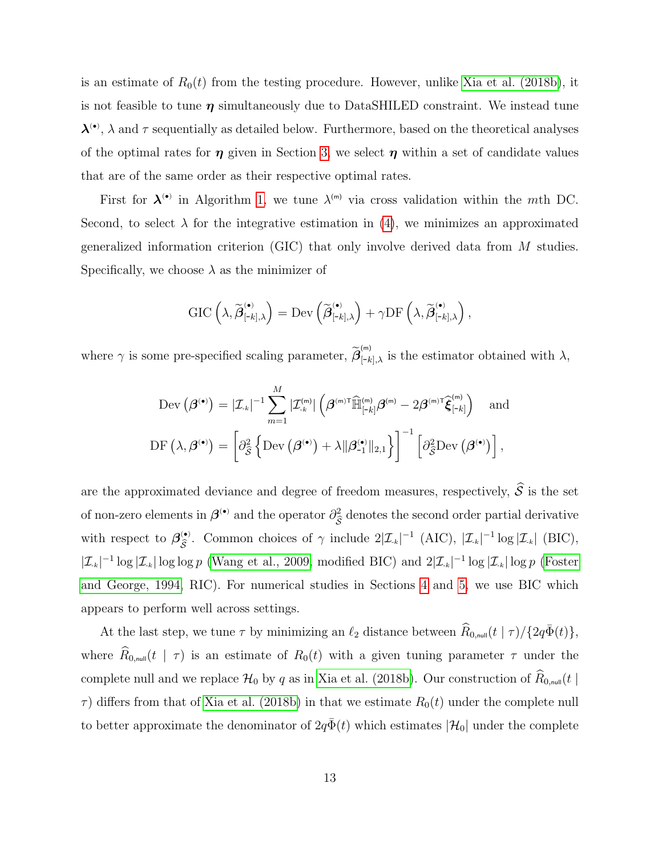is an estimate of  $R_0(t)$  from the testing procedure. However, unlike [Xia et al. \(2018b\)](#page-53-5), it is not feasible to tune  $\eta$  simultaneously due to DataSHILED constraint. We instead tune  $\lambda^{(•)}$ ,  $\lambda$  and  $\tau$  sequentially as detailed below. Furthermore, based on the theoretical analyses of the optimal rates for  $\eta$  given in Section [3,](#page-13-0) we select  $\eta$  within a set of candidate values that are of the same order as their respective optimal rates.

First for  $\lambda^{(n)}$  in Algorithm [1,](#page-8-0) we tune  $\lambda^{(m)}$  via cross validation within the mth DC. Second, to select  $\lambda$  for the integrative estimation in [\(4\)](#page-8-4), we minimizes an approximated generalized information criterion (GIC) that only involve derived data from M studies. Specifically, we choose  $\lambda$  as the minimizer of

$$
\text{GIC}\left(\lambda,\widetilde{\boldsymbol{\beta}}_{\left[\text{-}k\right],\lambda}^{\left(\bullet\right)}\right)=\text{Dev}\left(\widetilde{\boldsymbol{\beta}}_{\left[\text{-}k\right],\lambda}^{\left(\bullet\right)}\right)+\gamma\text{DF}\left(\lambda,\widetilde{\boldsymbol{\beta}}_{\left[\text{-}k\right],\lambda}^{\left(\bullet\right)}\right),
$$

where  $\gamma$  is some pre-specified scaling parameter,  $\widetilde{\beta}_{[-k],\lambda}^{(m)}$  is the estimator obtained with  $\lambda$ ,

$$
\text{Dev}(\boldsymbol{\beta}^{(\bullet)}) = |\mathcal{I}_{\cdot k}|^{-1} \sum_{m=1}^{M} |\mathcal{I}_{\cdot k}^{(m)}| \left( \boldsymbol{\beta}^{(m)\mathsf{T}} \widehat{\mathbb{H}}_{\left[ -k \right]}^{(m)} \boldsymbol{\beta}^{(m)} - 2 \boldsymbol{\beta}^{(m)\mathsf{T}} \widehat{\boldsymbol{\xi}}_{\left[ -k \right]}^{(m)} \right) \text{ and}
$$
\n
$$
\text{DF}(\lambda, \boldsymbol{\beta}^{(\bullet)}) = \left[ \partial_{\widehat{\mathcal{S}}}^2 \left\{ \text{Dev}(\boldsymbol{\beta}^{(\bullet)}) + \lambda ||\boldsymbol{\beta}_{-1}^{(\bullet)}||_{2,1} \right\} \right]^{-1} \left[ \partial_{\widehat{\mathcal{S}}}^2 \text{Dev}(\boldsymbol{\beta}^{(\bullet)}) \right],
$$

are the approximated deviance and degree of freedom measures, respectively,  $\widehat{S}$  is the set of non-zero elements in  $\beta^{(•)}$  and the operator  $\partial_{\hat{\beta}}^2$  $\mathcal{S}_{\beta}$ denotes the second order partial derivative with respect to  $\beta_{\hat{\varepsilon}}^{(•)}$ (•). Common choices of  $\gamma$  include  $2|\mathcal{I}_{k}|^{-1}$  (AIC),  $|\mathcal{I}_{k}|^{-1} \log |\mathcal{I}_{k}|$  (BIC),  $|\mathcal{I}_{k}|^{-1} \log |\mathcal{I}_{k}| \log \log p$  [\(Wang et al., 2009,](#page-52-5) modified BIC) and  $2|\mathcal{I}_{k}|^{-1} \log |\mathcal{I}_{k}| \log p$  [\(Foster](#page-49-6) [and George, 1994,](#page-49-6) RIC). For numerical studies in Sections [4](#page-20-0) and [5,](#page-22-0) we use BIC which appears to perform well across settings.

At the last step, we tune  $\tau$  by minimizing an  $\ell_2$  distance between  $\widehat{R}_{0,\text{null}}(t \mid \tau) / {2q\bar{\Phi}(t)}$ , where  $\hat{R}_{0,\text{null}}(t \mid \tau)$  is an estimate of  $R_0(t)$  with a given tuning parameter  $\tau$  under the complete null and we replace  $\mathcal{H}_0$  by q as in [Xia et al. \(2018b\)](#page-53-5). Our construction of  $\widehat{R}_{0,\text{null}}(t |$  $\tau$ ) differs from that of [Xia et al. \(2018b\)](#page-53-5) in that we estimate  $R_0(t)$  under the complete null to better approximate the denominator of  $2q\bar{\Phi}(t)$  which estimates  $|\mathcal{H}_0|$  under the complete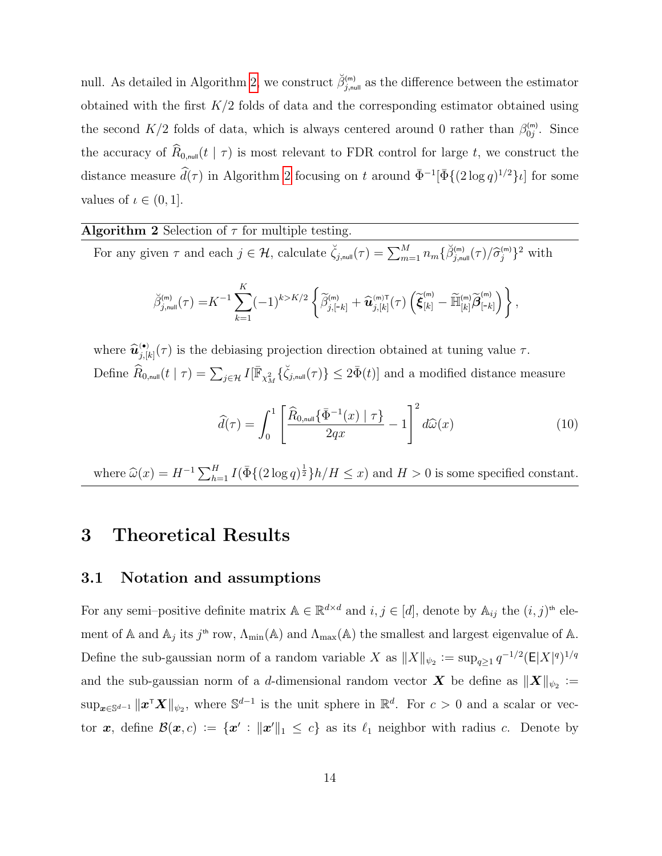null. As detailed in Algorithm [2,](#page-13-1) we construct  $\breve{\beta}_{j,\text{null}}^{(m)}$  as the difference between the estimator obtained with the first  $K/2$  folds of data and the corresponding estimator obtained using the second  $K/2$  folds of data, which is always centered around 0 rather than  $\beta_{0j}^{(m)}$ . Since the accuracy of  $\widehat{R}_{0,\text{null}}(t \mid \tau)$  is most relevant to FDR control for large t, we construct the distance measure  $\hat{d}(\tau)$  in Algorithm [2](#page-13-1) focusing on t around  $\bar{\Phi}^{-1}[\bar{\Phi}\{(2\log q)^{1/2}\}\iota]$  for some values of  $\iota \in (0,1]$ .

#### **Algorithm 2** Selection of  $\tau$  for multiple testing.

For any given  $\tau$  and each  $j \in \mathcal{H}$ , calculate  $\check{\zeta}_{j,\text{null}}(\tau) = \sum_{m=1}^{M} n_m \{ \check{\beta}_{j,\text{null}}^{(m)}(\tau) / \hat{\sigma}_j^{(m)} \}^2$  with

$$
\widetilde{\beta}_{j,\text{null}}^{(m)}(\tau) = K^{-1} \sum_{k=1}^{K} (-1)^{k > K/2} \left\{ \widetilde{\beta}_{j,[-k]}^{(m)} + \widehat{\mathbf{u}}_{j,[k]}^{(m)}(\tau) \left( \widetilde{\boldsymbol{\xi}}_{[k]}^{(m)} - \widetilde{\mathbb{H}}_{[k]}^{(m)} \widetilde{\boldsymbol{\beta}}_{[-k]}^{(m)} \right) \right\},
$$

where  $\widehat{u}_{j,[k]}^{(\bullet)}(\tau)$  is the debiasing projection direction obtained at tuning value  $\tau$ . Define  $\widehat{R}_{0,\text{null}}(t \mid \tau) = \sum_{j \in \mathcal{H}} I[\overline{\mathbb{F}}_{\chi^2_M} \{\breve{\zeta}_{j,\text{null}}(\tau)\} \leq 2\bar{\Phi}(t)]$  and a modified distance measure

<span id="page-13-1"></span>
$$
\widehat{d}(\tau) = \int_0^1 \left[ \frac{\widehat{R}_{0,\text{null}}\{\bar{\Phi}^{-1}(x) \mid \tau\}}{2qx} - 1 \right]^2 d\widehat{\omega}(x) \tag{10}
$$

where  $\widehat{\omega}(x) = H^{-1} \sum_{h=1}^{H} I(\overline{\Phi} \{ (2 \log q)^{\frac{1}{2}} \} h/H \leq x)$  and  $H > 0$  is some specified constant.

### <span id="page-13-0"></span>3 Theoretical Results

#### 3.1 Notation and assumptions

For any semi–positive definite matrix  $A \in \mathbb{R}^{d \times d}$  and  $i, j \in [d]$ , denote by  $A_{ij}$  the  $(i, j)$ <sup>th</sup> element of A and  $\mathbb{A}_j$  its  $j^{\text{th}}$  row,  $\Lambda_{\text{min}}(\mathbb{A})$  and  $\Lambda_{\text{max}}(\mathbb{A})$  the smallest and largest eigenvalue of A. Define the sub-gaussian norm of a random variable X as  $||X||_{\psi_2} := \sup_{q \geq 1} q^{-1/2} (\mathsf{E}|X|^q)^{1/q}$ and the sub-gaussian norm of a *d*-dimensional random vector  $\boldsymbol{X}$  be define as  $\|\boldsymbol{X}\|_{\psi_2} :=$  $\sup_{x \in \mathbb{S}^{d-1}} \|x^{\mathsf{T}} X\|_{\psi_2}$ , where  $\mathbb{S}^{d-1}$  is the unit sphere in  $\mathbb{R}^d$ . For  $c > 0$  and a scalar or vector x, define  $\mathcal{B}(x,c) := \{x' : ||x'||_1 \leq c\}$  as its  $\ell_1$  neighbor with radius c. Denote by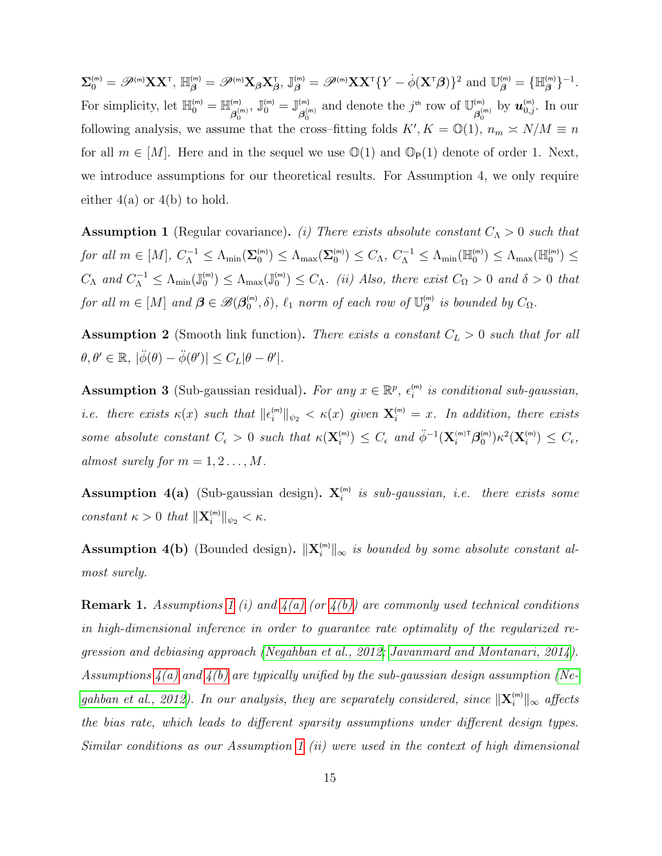$\boldsymbol{\Sigma}_0^{(\mathsf{m})} = \mathscr{P}^{(\mathsf{m})}\mathbf{X}\mathbf{X}^{\mathsf{T}}, \ \mathbb{H}_{\boldsymbol{\beta}}^{(\mathsf{m})} = \mathscr{P}^{(\mathsf{m})}\mathbf{X}_{\boldsymbol{\beta}}\mathbf{X}_{\boldsymbol{\beta}}^{\mathsf{T}}, \ \mathbb{J}_{\boldsymbol{\beta}}^{(\mathsf{m})} = \mathscr{P}^{(\mathsf{m})}\mathbf{X}\mathbf{X}^{\mathsf{T}}\{Y - \dot{\phi}(\mathbf{X}^{\mathsf{T}}\boldsymbol{\beta})\}^2 \ \text{and} \ \mathbb{U}_{\boldsymbol{\beta}}^{(\mathsf{m})$ For simplicity, let  $\mathbb{H}_0^{(m)} = \mathbb{H}_{\mathcal{A}^{(n)}}^{(m)}$  $\mathcal{B}_0^{(m)}$ ,  $\mathbb{J}_0^{(m)} = \mathbb{J}_{\boldsymbol{\beta}_0^{(m)}}^{(m)}$  $\beta_0^{(m)}$  and denote the  $j^{\text{th}}$  row of  $\mathbb{U}_{\beta_0^{(m)}}^{(m)}$  $\overset{\mathsf{(m)}}{\beta_0^{\mathsf{(m)}}}$  by  $\bm{u}_{0,j}^{\mathsf{(m)}}$ . In our following analysis, we assume that the cross–fitting folds  $K', K = \mathbb{O}(1)$ ,  $n_m \simeq N/M \equiv n$ for all  $m \in [M]$ . Here and in the sequel we use  $\mathbb{O}(1)$  and  $\mathbb{O}_P(1)$  denote of order 1. Next, we introduce assumptions for our theoretical results. For Assumption 4, we only require either  $4(a)$  or  $4(b)$  to hold.

<span id="page-14-0"></span>**Assumption 1** (Regular covariance). (i) There exists absolute constant  $C_{\Lambda} > 0$  such that  $for \ all \ m \in [M], \ C_{\Lambda}^{-1} \leq \Lambda_{\min}(\mathbf{\Sigma}_{0}^{(\mathsf{m})}) \leq \Lambda_{\max}(\mathbf{\Sigma}_{0}^{(\mathsf{m})}) \leq C_{\Lambda}, \ C_{\Lambda}^{-1} \leq \Lambda_{\min}(\mathbb{H}_{0}^{(\mathsf{m})}) \leq \Lambda_{\max}(\mathbb{H}_{0}^{(\mathsf{m})}) \leq C_{\Lambda}$  $C_{\Lambda}$  and  $C_{\Lambda}^{-1} \leq \Lambda_{\min}(\mathbb{J}_{0}^{(m)}) \leq \Lambda_{\max}(\mathbb{J}_{0}^{(m)}) \leq C_{\Lambda}$ . (ii) Also, there exist  $C_{\Omega} > 0$  and  $\delta > 0$  that for all  $m \in [M]$  and  $\boldsymbol{\beta} \in \mathscr{B}(\boldsymbol{\beta}_0^{\text{(m)}}, \delta)$ ,  $\ell_1$  norm of each row of  $\mathbb{U}_{\boldsymbol{\beta}}^{\text{(m)}}$  is bounded by  $C_{\Omega}$ .

<span id="page-14-1"></span>**Assumption 2** (Smooth link function). There exists a constant  $C_L > 0$  such that for all  $\theta, \theta' \in \mathbb{R}, \, |\ddot{\phi}(\theta) - \ddot{\phi}(\theta')| \leq C_L |\theta - \theta'|.$ 

<span id="page-14-2"></span>**Assumption 3** (Sub-gaussian residual). For any  $x \in \mathbb{R}^p$ ,  $\epsilon_i^{(m)}$  is conditional sub-gaussian, *i.e.* there exists  $\kappa(x)$  such that  $\|\epsilon_i^{(\text{m})}\|_{\psi_2} < \kappa(x)$  given  $\mathbf{X}_i^{(\text{m})} = x$ . In addition, there exists some absolute constant  $C_{\epsilon} > 0$  such that  $\kappa(\mathbf{X}_{i}^{(\text{m})}) \leq C_{\epsilon}$  and  $\ddot{\phi}^{-1}(\mathbf{X}_{i}^{(\text{m})} \tau \mathcal{B}_{0}^{(\text{m})}) \kappa^{2}(\mathbf{X}_{i}^{(\text{m})}) \leq C_{\epsilon}$ , almost surely for  $m = 1, 2, \ldots, M$ .

**Assumption 4(a)** (Sub-gaussian design).  $\mathbf{X}_i^{(m)}$  is sub-gaussian, i.e. there exists some constant  $\kappa > 0$  that  $\|\mathbf{X}_{i}^{(m)}\|_{\psi_2} < \kappa$ .

**Assumption 4(b)** (Bounded design).  $\|\mathbf{X}_i^{(m)}\|_{\infty}$  is bounded by some absolute constant almost surely.

**Remark [1](#page-14-0).** Assumptions 1 (i) and  $\mathcal{A}(a)$  (or  $\mathcal{A}(b)$ ) are commonly used technical conditions in high-dimensional inference in order to guarantee rate optimality of the regularized regression and debiasing approach [\(Negahban et al., 2012;](#page-51-5) [Javanmard and Montanari, 2014\)](#page-50-0). Assumptions  $\mathcal{A}(a)$  and  $\mathcal{A}(b)$  are typically unified by the sub-gaussian design assumption [\(Ne](#page-51-5)[gahban et al., 2012\)](#page-51-5). In our analysis, they are separately considered, since  $\|\mathbf{X}_i^{(\text{m})}\|_{\infty}$  affects the bias rate, which leads to different sparsity assumptions under different design types. Similar conditions as our Assumption [1](#page-14-0) (ii) were used in the context of high dimensional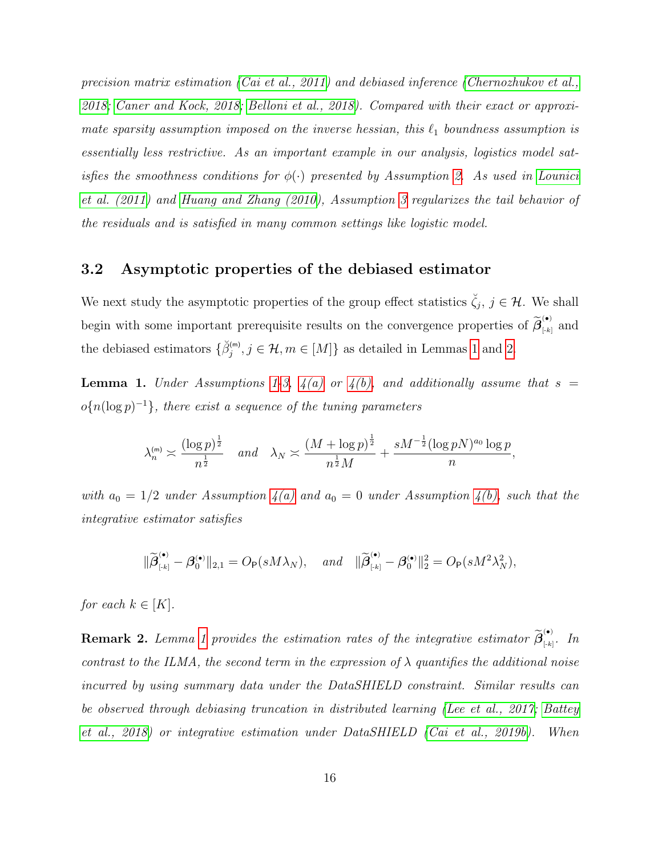precision matrix estimation [\(Cai et al., 2011\)](#page-48-8) and debiased inference [\(Chernozhukov et al.,](#page-49-0) [2018;](#page-49-0) [Caner and Kock, 2018;](#page-48-6) [Belloni et al., 2018\)](#page-48-5). Compared with their exact or approximate sparsity assumption imposed on the inverse hessian, this  $\ell_1$  boundness assumption is essentially less restrictive. As an important example in our analysis, logistics model satisfies the smoothness conditions for  $\phi(\cdot)$  presented by Assumption [2.](#page-14-1) As used in [Lounici](#page-51-1) [et al. \(2011\)](#page-51-1) and [Huang and Zhang \(2010\)](#page-50-4), Assumption [3](#page-14-2) regularizes the tail behavior of the residuals and is satisfied in many common settings like logistic model.

#### <span id="page-15-0"></span>3.2 Asymptotic properties of the debiased estimator

We next study the asymptotic properties of the group effect statistics  $\check{\zeta}_j$ ,  $j \in \mathcal{H}$ . We shall begin with some important prerequisite results on the convergence properties of  $\widetilde{\beta}_{\scriptscriptstyle{[k]}}^{(\bullet)}$  $\left[\begin{smallmatrix} \cdot & \cdot \\ \cdot & k \end{smallmatrix}\right]$  and the debiased estimators  $\{\breve{\beta}_j^{(m)}, j \in \mathcal{H}, m \in [M]\}$  as detailed in Lemmas [1](#page-15-1) and [2.](#page-16-0)

<span id="page-15-1"></span>**Lemma 1.** Under Assumptions [1-](#page-14-0)[3,](#page-14-2)  $4(a)$  or  $4(b)$ , and additionally assume that  $s =$  $o\{n(\log p)^{-1}\}\$ , there exist a sequence of the tuning parameters

$$
\lambda_n^{(m)} \asymp \frac{(\log p)^{\frac{1}{2}}}{n^{\frac{1}{2}}} \quad \text{and} \quad \lambda_N \asymp \frac{(M + \log p)^{\frac{1}{2}}}{n^{\frac{1}{2}}M} + \frac{sM^{-\frac{1}{2}}(\log pN)^{a_0}\log p}{n},
$$

with  $a_0 = 1/2$  under Assumption  $4(a)$  and  $a_0 = 0$  under Assumption  $4(b)$ , such that the integrative estimator satisfies

$$
\|\widetilde{\boldsymbol{\beta}}_{\scriptscriptstyle{[+k]}}^{\scriptscriptstyle{(\bullet)}} - \boldsymbol{\beta}_0^{\scriptscriptstyle{(\bullet)}}\|_{2,1} = O_{\mathsf{P}}(sM\lambda_N), \quad \text{and} \quad \|\widetilde{\boldsymbol{\beta}}_{\scriptscriptstyle{[+k]}}^{\scriptscriptstyle{(\bullet)}} - \boldsymbol{\beta}_0^{\scriptscriptstyle{(\bullet)}}\|_2^2 = O_{\mathsf{P}}(sM^2\lambda_N^2),
$$

for each  $k \in [K]$ .

<span id="page-15-2"></span>**Remark 2.** Lemma [1](#page-15-1) provides the estimation rates of the integrative estimator  $\widetilde{\beta}_{\left[k\right]}^{(\bullet)}$  $\sum_{\lbrack -k \rbrack}$ . In contrast to the ILMA, the second term in the expression of  $\lambda$  quantifies the additional noise incurred by using summary data under the DataSHIELD constraint. Similar results can be observed through debiasing truncation in distributed learning [\(Lee et al., 2017;](#page-50-2) [Battey](#page-48-3) [et al., 2018\)](#page-48-3) or integrative estimation under DataSHIELD [\(Cai et al., 2019b\)](#page-48-4). When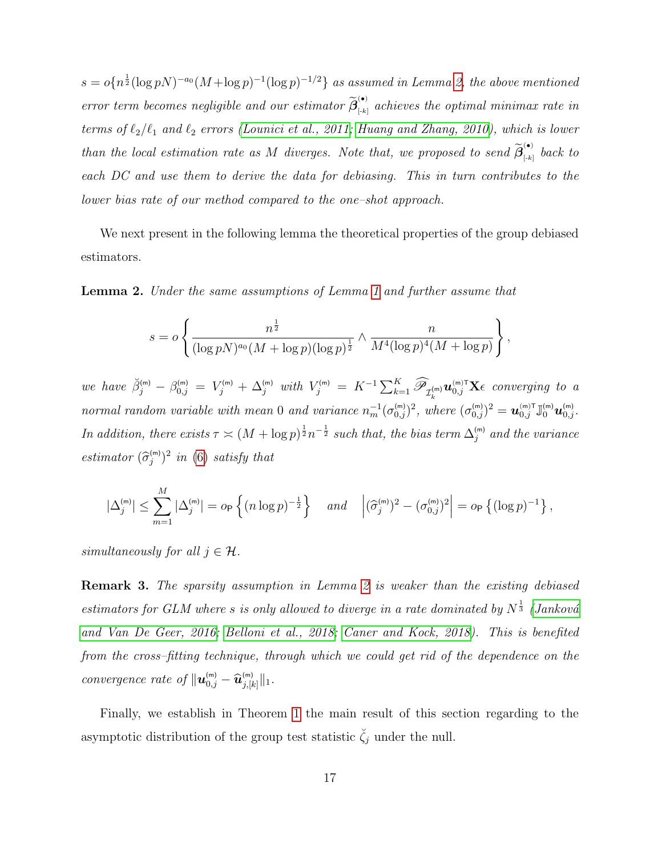$s = o\{n^{\frac{1}{2}}(\log pN)^{-a_0}(M+\log p)^{-1}(\log p)^{-1/2}\}\;$  as assumed in Lemma [2,](#page-16-0) the above mentioned error term becomes negligible and our estimator  $\widetilde{\beta}_{[k]}^{(\bullet)}$  achieves the optimal minimax rate in terms of  $\ell_2/\ell_1$  and  $\ell_2$  errors [\(Lounici et al., 2011;](#page-51-1) [Huang and Zhang, 2010\)](#page-50-4), which is lower than the local estimation rate as M diverges. Note that, we proposed to send  $\widetilde{\beta}_{\scriptscriptstyle{[*]}}^{(\bullet)}$  $\sum_{k=1}^{\infty}$  back to each DC and use them to derive the data for debiasing. This in turn contributes to the lower bias rate of our method compared to the one–shot approach.

We next present in the following lemma the theoretical properties of the group debiased estimators.

<span id="page-16-0"></span>Lemma 2. Under the same assumptions of Lemma [1](#page-15-1) and further assume that

$$
s = o\left\{\frac{n^{\frac{1}{2}}}{(\log pN)^{a_0}(M+\log p)(\log p)^{\frac{1}{2}}}\wedge \frac{n}{M^4(\log p)^4(M+\log p)}\right\},\,
$$

we have  $\breve{\beta}_j^{(m)} - \beta_{0,j}^{(m)} = V_j^{(m)} + \Delta_j^{(m)}$  with  $V_j^{(m)} = K^{-1} \sum_{k=1}^K \widehat{\mathscr{P}}_{\mathcal{I}_k^{(m)}} \boldsymbol{u}_{0,j}^{(m)T} \mathbf{X} \epsilon$  converging to a normal random variable with mean 0 and variance  $n_m^{-1}(\sigma_{0,j}^{(m)})^2$ , where  $(\sigma_{0,j}^{(m)})^2 = \mathbf{u}_{0,j}^{(m)} \mathbb{J}_0^{(m)} \mathbf{u}_{0,j}^{(m)}$ . In addition, there exists  $\tau \asymp (M + \log p)^{\frac{1}{2}} n^{-\frac{1}{2}}$  such that, the bias term  $\Delta_j^{(\mathsf{m})}$  and the variance estimator  $(\widehat{\sigma}_{j}^{(m)})^2$  in [\(6\)](#page-9-1) satisfy that

$$
|\Delta_j^{(m)}| \leq \sum_{m=1}^M |\Delta_j^{(m)}| = o_P\left\{ (n \log p)^{-\frac{1}{2}} \right\} \quad and \quad \left| (\widehat{\sigma}_j^{(m)})^2 - (\sigma_{0,j}^{(m)})^2 \right| = o_P\left\{ (\log p)^{-1} \right\},\,
$$

simultaneously for all  $j \in \mathcal{H}$ .

Remark 3. The sparsity assumption in Lemma [2](#page-16-0) is weaker than the existing debiased estimators for GLM where s is only allowed to diverge in a rate dominated by  $N^{\frac{1}{3}}$  (Janková [and Van De Geer, 2016;](#page-50-5) [Belloni et al., 2018;](#page-48-5) [Caner and Kock, 2018\)](#page-48-6). This is benefited from the cross–fitting technique, through which we could get rid of the dependence on the convergence rate of  $\|\mathbf{u}_{0,j}^{(\mathsf{m})} - \widehat{\mathbf{u}}_{j,[k]}^{(\mathsf{m})}\|_1$ .

Finally, we establish in Theorem [1](#page-17-0) the main result of this section regarding to the asymptotic distribution of the group test statistic  $\check{\zeta}_j$  under the null.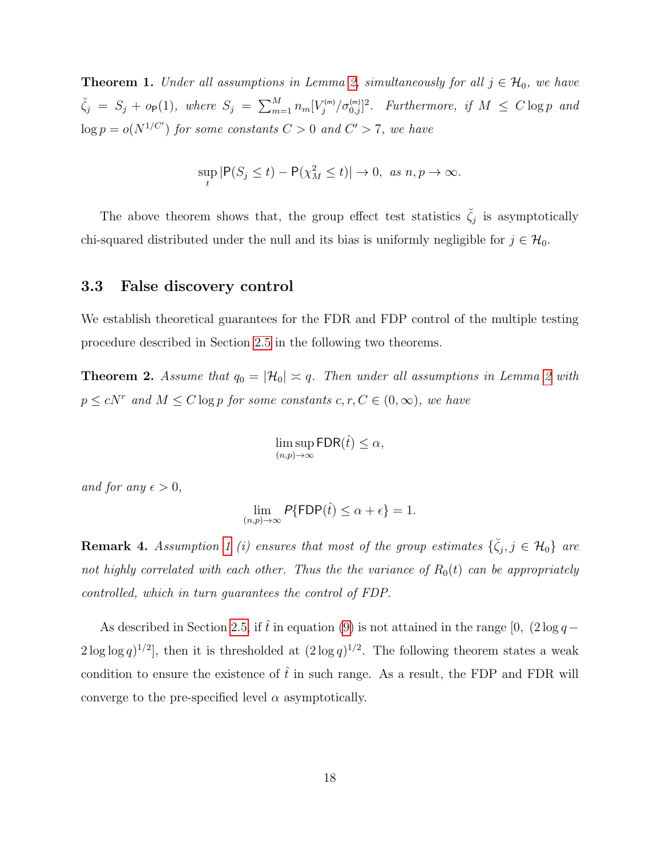<span id="page-17-0"></span>**Theorem 1.** Under all assumptions in Lemma [2,](#page-16-0) simultaneously for all  $j \in \mathcal{H}_0$ , we have  $\zeta_j = S_j + o_P(1)$ , where  $S_j = \sum_{m=1}^M n_m [V_j^{(m)}/\sigma_{0,j}^{(m)}]^2$ . Furthermore, if  $M \leq C \log p$  and  $\log p = o(N^{1/C'})$  for some constants  $C > 0$  and  $C' > 7$ , we have

$$
\sup_{t} |\mathsf{P}(S_j \le t) - \mathsf{P}(\chi_M^2 \le t)| \to 0, \text{ as } n, p \to \infty.
$$

The above theorem shows that, the group effect test statistics  $\check{\zeta}_j$  is asymptotically chi-squared distributed under the null and its bias is uniformly negligible for  $j \in \mathcal{H}_0$ .

#### <span id="page-17-2"></span>3.3 False discovery control

We establish theoretical guarantees for the FDR and FDP control of the multiple testing procedure described in Section [2.5](#page-10-0) in the following two theorems.

<span id="page-17-1"></span>**Theorem [2](#page-16-0).** Assume that  $q_0 = |\mathcal{H}_0| \approx q$ . Then under all assumptions in Lemma 2 with  $p \le cN^r$  and  $M \le C \log p$  for some constants  $c, r, C \in (0, \infty)$ , we have

$$
\limsup_{(n,p)\to\infty} {\sf FDR}(\hat t)\leq \alpha,
$$

and for any  $\epsilon > 0$ ,

$$
\lim_{(n,p)\to\infty}P\{\mathsf{FDP}(\hat{t})\leq \alpha+\epsilon\}=1.
$$

**Remark 4.** Assumption [1](#page-14-0) (i) ensures that most of the group estimates  $\{\breve{\zeta}_j, j \in \mathcal{H}_0\}$  are not highly correlated with each other. Thus the the variance of  $R_0(t)$  can be appropriately controlled, which in turn guarantees the control of FDP.

As described in Section [2.5,](#page-10-0) if  $\hat{t}$  in equation [\(9\)](#page-11-0) is not attained in the range [0,  $(2 \log q - )$  $2\log\log q$ <sup>1/2</sup>, then it is thresholded at  $(2\log q)^{1/2}$ . The following theorem states a weak condition to ensure the existence of  $\hat{t}$  in such range. As a result, the FDP and FDR will converge to the pre-specified level  $\alpha$  asymptotically.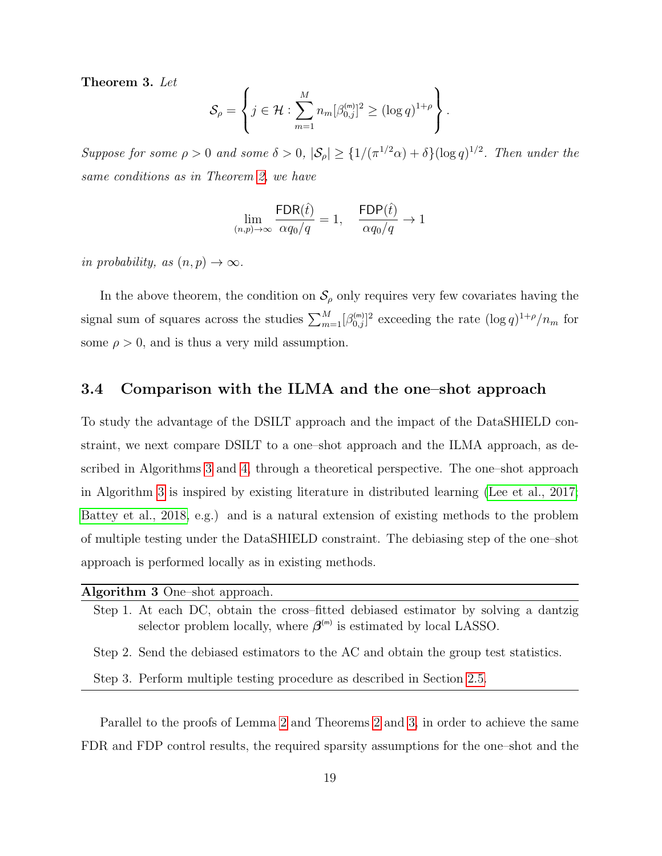<span id="page-18-2"></span>Theorem 3. Let

$$
\mathcal{S}_{\rho} = \left\{ j \in \mathcal{H} : \sum_{m=1}^{M} n_m [\beta_{0,j}^{(m)}]^2 \geq (\log q)^{1+\rho} \right\}.
$$

Suppose for some  $\rho > 0$  and some  $\delta > 0$ ,  $|\mathcal{S}_{\rho}| \geq \{1/(\pi^{1/2}\alpha) + \delta\}(\log q)^{1/2}$ . Then under the same conditions as in Theorem [2,](#page-17-1) we have

$$
\lim_{(n,p)\to\infty} \frac{\textsf{FDR}(\widehat{t})}{\alpha q_0/q} = 1, \quad \frac{\textsf{FDP}(\widehat{t})}{\alpha q_0/q} \to 1
$$

in probability, as  $(n, p) \rightarrow \infty$ .

In the above theorem, the condition on  $\mathcal{S}_{\rho}$  only requires very few covariates having the signal sum of squares across the studies  $\sum_{m=1}^{M} [\beta_{0,j}^{(m)}]^2$  exceeding the rate  $(\log q)^{1+\rho}/n_m$  for some  $\rho > 0$ , and is thus a very mild assumption.

#### <span id="page-18-0"></span>3.4 Comparison with the ILMA and the one–shot approach

To study the advantage of the DSILT approach and the impact of the DataSHIELD constraint, we next compare DSILT to a one–shot approach and the ILMA approach, as described in Algorithms [3](#page-18-1) and [4,](#page-19-0) through a theoretical perspective. The one–shot approach in Algorithm [3](#page-18-1) is inspired by existing literature in distributed learning [\(Lee et al., 2017;](#page-50-2) [Battey et al., 2018,](#page-48-3) e.g.) and is a natural extension of existing methods to the problem of multiple testing under the DataSHIELD constraint. The debiasing step of the one–shot approach is performed locally as in existing methods.

<span id="page-18-1"></span>

|  |  | Algorithm 3 One-shot approach. |                                                                                     |  |  |  |
|--|--|--------------------------------|-------------------------------------------------------------------------------------|--|--|--|
|  |  |                                | Step 1. At each DC, obtain the cross-fitted debiased estimator by solving a dantzig |  |  |  |

Step 2. Send the debiased estimators to the AC and obtain the group test statistics.

selector problem locally, where  $\beta^{(m)}$  is estimated by local LASSO.

Step 3. Perform multiple testing procedure as described in Section [2.5.](#page-10-0)

Parallel to the proofs of Lemma [2](#page-16-0) and Theorems [2](#page-17-1) and [3,](#page-18-2) in order to achieve the same FDR and FDP control results, the required sparsity assumptions for the one–shot and the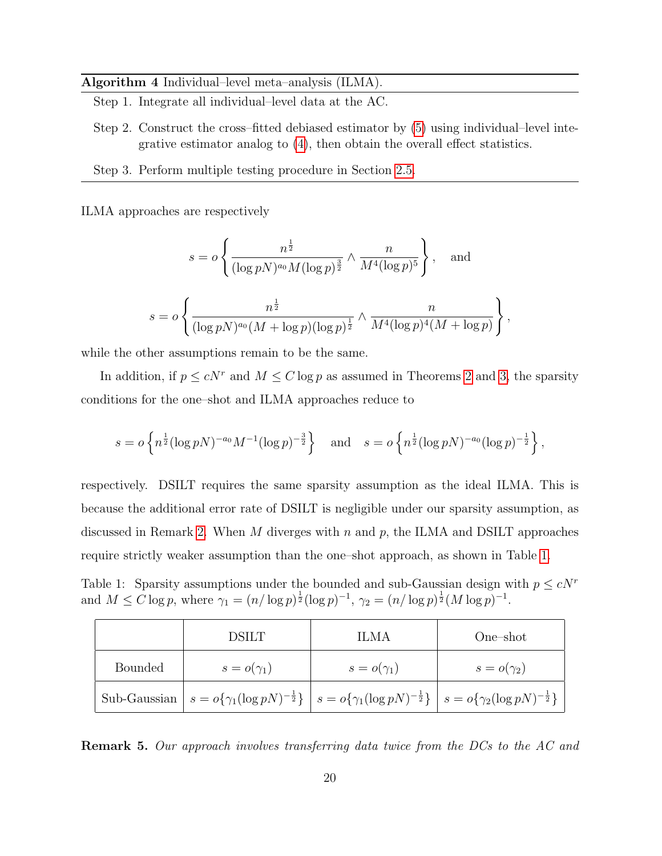#### Algorithm 4 Individual–level meta–analysis (ILMA).

- <span id="page-19-0"></span>Step 1. Integrate all individual–level data at the AC.
- Step 2. Construct the cross–fitted debiased estimator by [\(5\)](#page-9-2) using individual–level integrative estimator analog to [\(4\)](#page-8-4), then obtain the overall effect statistics.
- Step 3. Perform multiple testing procedure in Section [2.5.](#page-10-0)

ILMA approaches are respectively

$$
s = o\left\{\frac{n^{\frac{1}{2}}}{(\log pN)^{a_0}M(\log p)^{\frac{3}{2}}}\wedge \frac{n}{M^4(\log p)^5}\right\}, \text{ and}
$$
  

$$
s = o\left\{\frac{n^{\frac{1}{2}}}{(\log pN)^{a_0}(M+\log p)(\log p)^{\frac{1}{2}}}\wedge \frac{n}{M^4(\log p)^4(M+\log p)}\right\},
$$

while the other assumptions remain to be the same.

In addition, if  $p \le cN^r$  and  $M \le C \log p$  as assumed in Theorems [2](#page-17-1) and [3,](#page-18-2) the sparsity conditions for the one–shot and ILMA approaches reduce to

$$
s = o\left\{ n^{\frac{1}{2}} (\log pN)^{-a_0} M^{-1} (\log p)^{-\frac{3}{2}} \right\} \quad \text{and} \quad s = o\left\{ n^{\frac{1}{2}} (\log pN)^{-a_0} (\log p)^{-\frac{1}{2}} \right\},
$$

respectively. DSILT requires the same sparsity assumption as the ideal ILMA. This is because the additional error rate of DSILT is negligible under our sparsity assumption, as discussed in Remark [2.](#page-15-2) When M diverges with n and p, the ILMA and DSILT approaches require strictly weaker assumption than the one–shot approach, as shown in Table [1.](#page-19-1)

<span id="page-19-1"></span>Table 1: Sparsity assumptions under the bounded and sub-Gaussian design with  $p \leq cN^r$ and  $M \leq C \log p$ , where  $\gamma_1 = (n/\log p)^{\frac{1}{2}} (\log p)^{-1}$ ,  $\gamma_2 = (n/\log p)^{\frac{1}{2}} (M \log p)^{-1}$ .

|                | <b>DSILT</b>                                                                                                                                                                                  | ILMA              | One-shot          |
|----------------|-----------------------------------------------------------------------------------------------------------------------------------------------------------------------------------------------|-------------------|-------------------|
| <b>Bounded</b> | $s = o(\gamma_1)$                                                                                                                                                                             | $s = o(\gamma_1)$ | $s = o(\gamma_2)$ |
|                | Sub-Gaussian $s = o\{\gamma_1(\log pN)^{-\frac{1}{2}}\}\  s = o\{\gamma_1(\log pN)^{-\frac{1}{2}}\}\  s = o\{\gamma_2(\log pN)^{-\frac{1}{2}}\}\  s = o\{\gamma_2(\log pN)^{-\frac{1}{2}}\}\$ |                   |                   |

Remark 5. Our approach involves transferring data twice from the DCs to the AC and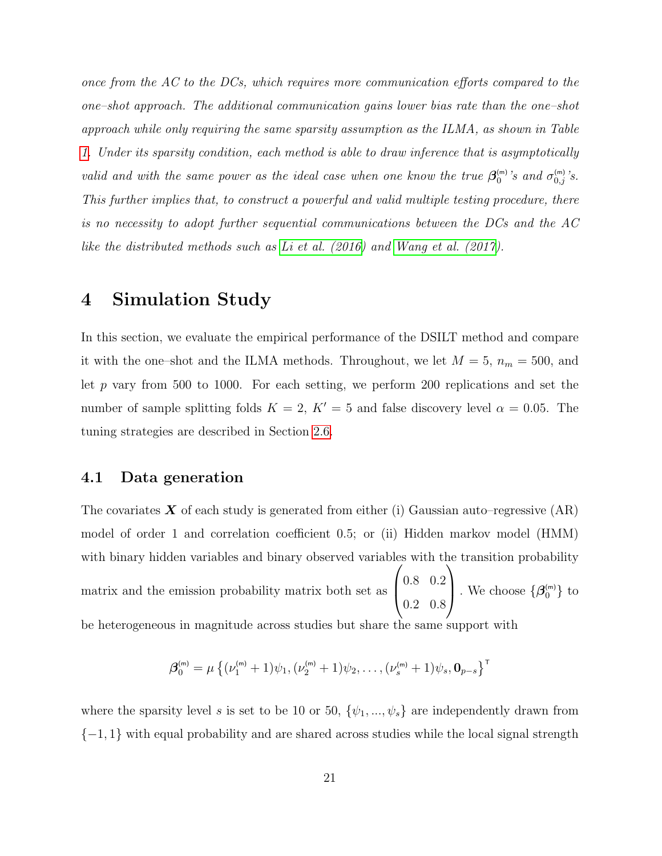once from the AC to the DCs, which requires more communication efforts compared to the one–shot approach. The additional communication gains lower bias rate than the one–shot approach while only requiring the same sparsity assumption as the ILMA, as shown in Table [1.](#page-19-1) Under its sparsity condition, each method is able to draw inference that is asymptotically valid and with the same power as the ideal case when one know the true  $\beta_0^{(m)}$ 's and  $\sigma_{0,j}^{(m)}$ 's. This further implies that, to construct a powerful and valid multiple testing procedure, there is no necessity to adopt further sequential communications between the DCs and the AC like the distributed methods such as [Li et al. \(2016\)](#page-50-6) and [Wang et al. \(2017\)](#page-52-6).

# <span id="page-20-0"></span>4 Simulation Study

In this section, we evaluate the empirical performance of the DSILT method and compare it with the one–shot and the ILMA methods. Throughout, we let  $M = 5$ ,  $n_m = 500$ , and let p vary from 500 to 1000. For each setting, we perform 200 replications and set the number of sample splitting folds  $K = 2$ ,  $K' = 5$  and false discovery level  $\alpha = 0.05$ . The tuning strategies are described in Section [2.6.](#page-11-1)

#### <span id="page-20-1"></span>4.1 Data generation

The covariates  $\boldsymbol{X}$  of each study is generated from either (i) Gaussian auto–regressive (AR) model of order 1 and correlation coefficient 0.5; or (ii) Hidden markov model (HMM) with binary hidden variables and binary observed variables with the transition probability matrix and the emission probability matrix both set as  $\sqrt{ }$  $\left\lfloor \right\rfloor$ 0.8 0.2 0.2 0.8  $\setminus$ . We choose  $\{\boldsymbol{\beta}_0^{(m)}\}$  to be heterogeneous in magnitude across studies but share the same support with

$$
\boldsymbol{\beta}_0^{(m)} = \mu \left\{ (\nu_1^{(m)} + 1) \psi_1, (\nu_2^{(m)} + 1) \psi_2, \dots, (\nu_s^{(m)} + 1) \psi_s, \mathbf{0}_{p-s} \right\}^{\mathsf{T}}
$$

where the sparsity level s is set to be 10 or 50,  $\{\psi_1, ..., \psi_s\}$  are independently drawn from  ${-1, 1}$  with equal probability and are shared across studies while the local signal strength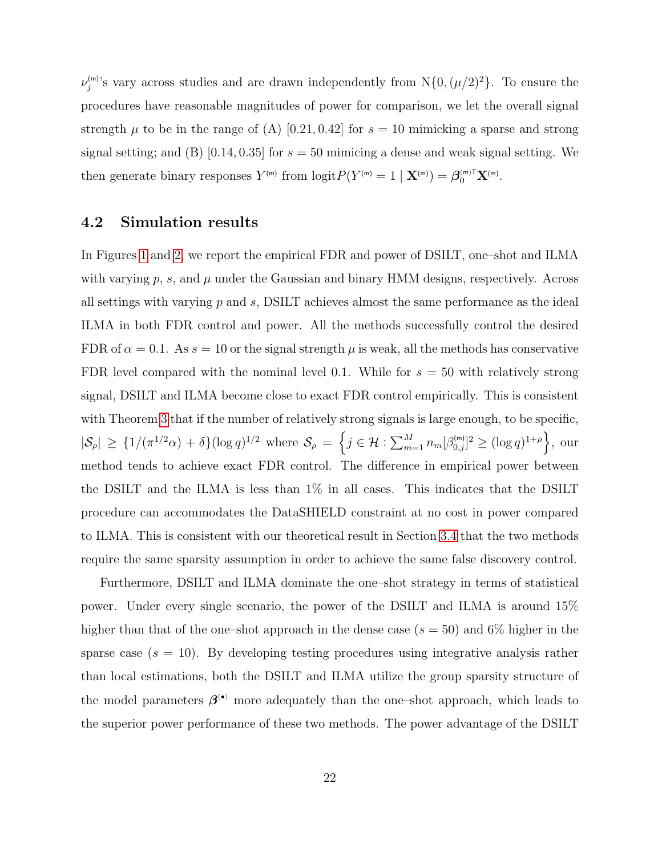$\nu_j^{(m)}$ 's vary across studies and are drawn independently from  $N\{0, (\mu/2)^2\}$ . To ensure the procedures have reasonable magnitudes of power for comparison, we let the overall signal strength  $\mu$  to be in the range of (A) [0.21, 0.42] for  $s = 10$  mimicking a sparse and strong signal setting; and (B) [0.14, 0.35] for  $s = 50$  mimicing a dense and weak signal setting. We then generate binary responses  $Y^{(m)}$  from  $logit P(Y^{(m)} = 1 | \mathbf{X}^{(m)}) = \mathbf{\beta}_0^{(m)T} \mathbf{X}^{(m)}$ .

#### 4.2 Simulation results

In Figures [1](#page-27-0) and [2,](#page-28-0) we report the empirical FDR and power of DSILT, one–shot and ILMA with varying  $p$ ,  $s$ , and  $\mu$  under the Gaussian and binary HMM designs, respectively. Across all settings with varying  $p$  and  $s$ , DSILT achieves almost the same performance as the ideal ILMA in both FDR control and power. All the methods successfully control the desired FDR of  $\alpha = 0.1$ . As  $s = 10$  or the signal strength  $\mu$  is weak, all the methods has conservative FDR level compared with the nominal level 0.1. While for  $s = 50$  with relatively strong signal, DSILT and ILMA become close to exact FDR control empirically. This is consistent with Theorem [3](#page-18-2) that if the number of relatively strong signals is large enough, to be specific,  $|\mathcal{S}_{\rho}| \geq \{1/(\pi^{1/2}\alpha) + \delta\}(\log q)^{1/2}$  where  $\mathcal{S}_{\rho} = \left\{j \in \mathcal{H} : \sum_{m=1}^{M} n_m[\beta_{0,j}^{(m)}]^2 \geq (\log q)^{1+\rho}\right\}$ , our method tends to achieve exact FDR control. The difference in empirical power between the DSILT and the ILMA is less than 1% in all cases. This indicates that the DSILT procedure can accommodates the DataSHIELD constraint at no cost in power compared to ILMA. This is consistent with our theoretical result in Section [3.4](#page-18-0) that the two methods require the same sparsity assumption in order to achieve the same false discovery control.

Furthermore, DSILT and ILMA dominate the one–shot strategy in terms of statistical power. Under every single scenario, the power of the DSILT and ILMA is around 15% higher than that of the one–shot approach in the dense case  $(s = 50)$  and 6% higher in the sparse case  $(s = 10)$ . By developing testing procedures using integrative analysis rather than local estimations, both the DSILT and ILMA utilize the group sparsity structure of the model parameters  $\beta^{\bullet}$  more adequately than the one–shot approach, which leads to the superior power performance of these two methods. The power advantage of the DSILT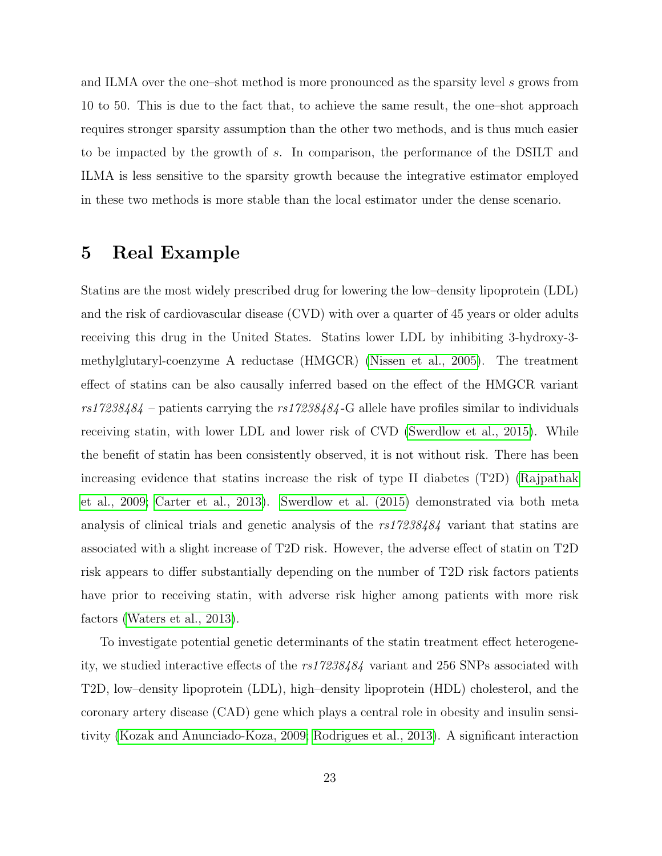and ILMA over the one–shot method is more pronounced as the sparsity level s grows from 10 to 50. This is due to the fact that, to achieve the same result, the one–shot approach requires stronger sparsity assumption than the other two methods, and is thus much easier to be impacted by the growth of s. In comparison, the performance of the DSILT and ILMA is less sensitive to the sparsity growth because the integrative estimator employed in these two methods is more stable than the local estimator under the dense scenario.

# <span id="page-22-0"></span>5 Real Example

Statins are the most widely prescribed drug for lowering the low–density lipoprotein (LDL) and the risk of cardiovascular disease (CVD) with over a quarter of 45 years or older adults receiving this drug in the United States. Statins lower LDL by inhibiting 3-hydroxy-3 methylglutaryl-coenzyme A reductase (HMGCR) [\(Nissen et al., 2005\)](#page-51-6). The treatment effect of statins can be also causally inferred based on the effect of the HMGCR variant  $rs17238484$  – patients carrying the  $rs17238484$ -G allele have profiles similar to individuals receiving statin, with lower LDL and lower risk of CVD [\(Swerdlow et al., 2015\)](#page-52-7). While the benefit of statin has been consistently observed, it is not without risk. There has been increasing evidence that statins increase the risk of type II diabetes (T2D) [\(Rajpathak](#page-51-7) [et al., 2009;](#page-51-7) [Carter et al., 2013\)](#page-49-7). [Swerdlow et al. \(2015\)](#page-52-7) demonstrated via both meta analysis of clinical trials and genetic analysis of the rs17238484 variant that statins are associated with a slight increase of T2D risk. However, the adverse effect of statin on T2D risk appears to differ substantially depending on the number of T2D risk factors patients have prior to receiving statin, with adverse risk higher among patients with more risk factors [\(Waters et al., 2013\)](#page-52-8).

To investigate potential genetic determinants of the statin treatment effect heterogeneity, we studied interactive effects of the rs17238484 variant and 256 SNPs associated with T2D, low–density lipoprotein (LDL), high–density lipoprotein (HDL) cholesterol, and the coronary artery disease (CAD) gene which plays a central role in obesity and insulin sensitivity [\(Kozak and Anunciado-Koza, 2009;](#page-50-7) [Rodrigues et al., 2013\)](#page-51-8). A significant interaction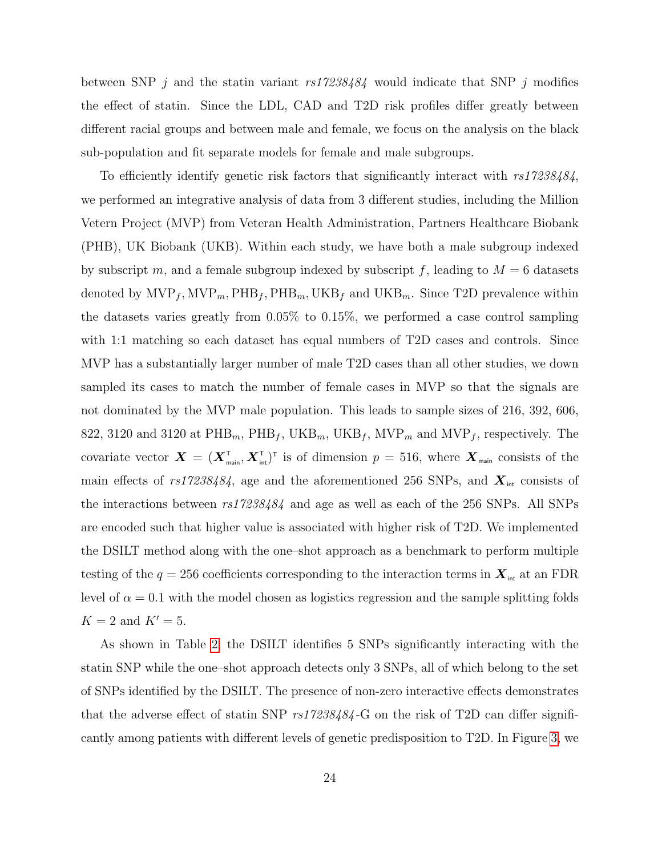between SNP j and the statin variant  $rs17238484$  would indicate that SNP j modifies the effect of statin. Since the LDL, CAD and T2D risk profiles differ greatly between different racial groups and between male and female, we focus on the analysis on the black sub-population and fit separate models for female and male subgroups.

To efficiently identify genetic risk factors that significantly interact with rs17238484, we performed an integrative analysis of data from 3 different studies, including the Million Vetern Project (MVP) from Veteran Health Administration, Partners Healthcare Biobank (PHB), UK Biobank (UKB). Within each study, we have both a male subgroup indexed by subscript m, and a female subgroup indexed by subscript f, leading to  $M = 6$  datasets denoted by  $\text{MVP}_f, \text{MVP}_m, \text{PHB}_f, \text{PHB}_m, \text{UKB}_f$  and  $\text{UKB}_m$ . Since T2D prevalence within the datasets varies greatly from 0.05% to 0.15%, we performed a case control sampling with 1:1 matching so each dataset has equal numbers of T2D cases and controls. Since MVP has a substantially larger number of male T2D cases than all other studies, we down sampled its cases to match the number of female cases in MVP so that the signals are not dominated by the MVP male population. This leads to sample sizes of 216, 392, 606, 822, 3120 and 3120 at  $\mathrm{PHB}_{m}$ ,  $\mathrm{PHB}_{f}$ ,  $\mathrm{UKB}_{m}$ ,  $\mathrm{UKB}_{f}$ ,  $\mathrm{MVP}_{m}$  and  $\mathrm{MVP}_{f}$ , respectively. The covariate vector  $\bm{X} = (\bm{X}_{\text{main}}^{\text{T}}, \bm{X}_{\text{int}}^{\text{T}})^{\text{T}}$  is of dimension  $p = 516$ , where  $\bm{X}_{\text{main}}$  consists of the main effects of rs17238484, age and the aforementioned 256 SNPs, and  $\boldsymbol{X}_{\text{int}}$  consists of the interactions between rs17238484 and age as well as each of the 256 SNPs. All SNPs are encoded such that higher value is associated with higher risk of T2D. We implemented the DSILT method along with the one–shot approach as a benchmark to perform multiple testing of the  $q = 256$  coefficients corresponding to the interaction terms in  $\boldsymbol{X}_{\scriptscriptstyle{\text{int}}}$  at an FDR level of  $\alpha = 0.1$  with the model chosen as logistics regression and the sample splitting folds  $K = 2$  and  $K' = 5$ .

As shown in Table [2,](#page-28-1) the DSILT identifies 5 SNPs significantly interacting with the statin SNP while the one–shot approach detects only 3 SNPs, all of which belong to the set of SNPs identified by the DSILT. The presence of non-zero interactive effects demonstrates that the adverse effect of statin SNP  $rs17238484$ -G on the risk of T2D can differ significantly among patients with different levels of genetic predisposition to T2D. In Figure [3,](#page-29-0) we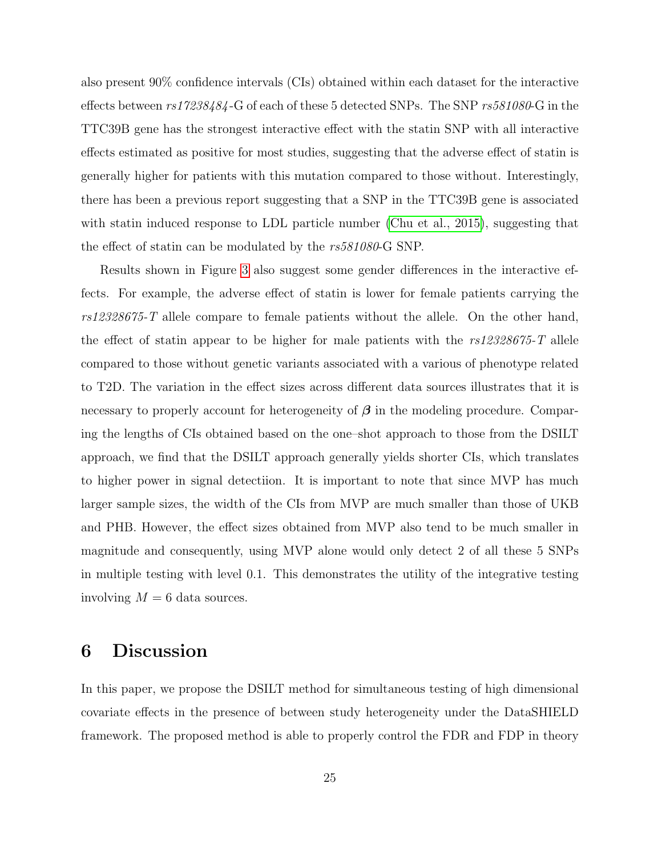also present 90% confidence intervals (CIs) obtained within each dataset for the interactive effects between rs17238484 -G of each of these 5 detected SNPs. The SNP rs581080-G in the TTC39B gene has the strongest interactive effect with the statin SNP with all interactive effects estimated as positive for most studies, suggesting that the adverse effect of statin is generally higher for patients with this mutation compared to those without. Interestingly, there has been a previous report suggesting that a SNP in the TTC39B gene is associated with statin induced response to LDL particle number [\(Chu et al., 2015\)](#page-49-8), suggesting that the effect of statin can be modulated by the rs581080-G SNP.

Results shown in Figure [3](#page-29-0) also suggest some gender differences in the interactive effects. For example, the adverse effect of statin is lower for female patients carrying the rs12328675-T allele compare to female patients without the allele. On the other hand, the effect of statin appear to be higher for male patients with the  $rs12328675$ -T allele compared to those without genetic variants associated with a various of phenotype related to T2D. The variation in the effect sizes across different data sources illustrates that it is necessary to properly account for heterogeneity of  $\beta$  in the modeling procedure. Comparing the lengths of CIs obtained based on the one–shot approach to those from the DSILT approach, we find that the DSILT approach generally yields shorter CIs, which translates to higher power in signal detectiion. It is important to note that since MVP has much larger sample sizes, the width of the CIs from MVP are much smaller than those of UKB and PHB. However, the effect sizes obtained from MVP also tend to be much smaller in magnitude and consequently, using MVP alone would only detect 2 of all these 5 SNPs in multiple testing with level 0.1. This demonstrates the utility of the integrative testing involving  $M = 6$  data sources.

# 6 Discussion

In this paper, we propose the DSILT method for simultaneous testing of high dimensional covariate effects in the presence of between study heterogeneity under the DataSHIELD framework. The proposed method is able to properly control the FDR and FDP in theory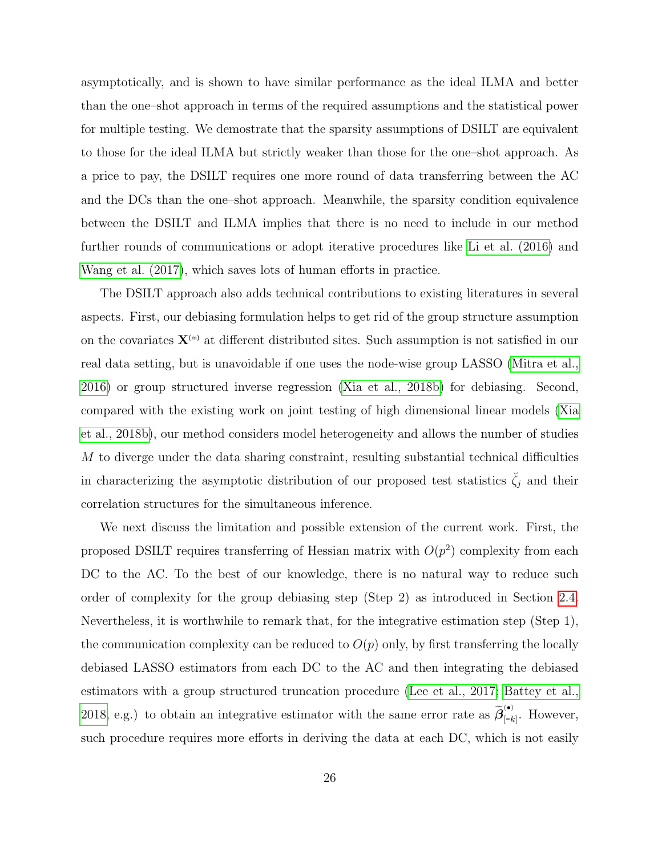asymptotically, and is shown to have similar performance as the ideal ILMA and better than the one–shot approach in terms of the required assumptions and the statistical power for multiple testing. We demostrate that the sparsity assumptions of DSILT are equivalent to those for the ideal ILMA but strictly weaker than those for the one–shot approach. As a price to pay, the DSILT requires one more round of data transferring between the AC and the DCs than the one–shot approach. Meanwhile, the sparsity condition equivalence between the DSILT and ILMA implies that there is no need to include in our method further rounds of communications or adopt iterative procedures like [Li et al. \(2016\)](#page-50-6) and [Wang et al. \(2017\)](#page-52-6), which saves lots of human efforts in practice.

The DSILT approach also adds technical contributions to existing literatures in several aspects. First, our debiasing formulation helps to get rid of the group structure assumption on the covariates  $X^{(m)}$  at different distributed sites. Such assumption is not satisfied in our real data setting, but is unavoidable if one uses the node-wise group LASSO [\(Mitra et al.,](#page-51-2) [2016\)](#page-51-2) or group structured inverse regression [\(Xia et al., 2018b\)](#page-53-5) for debiasing. Second, compared with the existing work on joint testing of high dimensional linear models [\(Xia](#page-53-5) [et al., 2018b\)](#page-53-5), our method considers model heterogeneity and allows the number of studies M to diverge under the data sharing constraint, resulting substantial technical difficulties in characterizing the asymptotic distribution of our proposed test statistics  $\zeta_j$  and their correlation structures for the simultaneous inference.

We next discuss the limitation and possible extension of the current work. First, the proposed DSILT requires transferring of Hessian matrix with  $O(p^2)$  complexity from each DC to the AC. To the best of our knowledge, there is no natural way to reduce such order of complexity for the group debiasing step (Step 2) as introduced in Section [2.4.](#page-9-0) Nevertheless, it is worthwhile to remark that, for the integrative estimation step (Step 1), the communication complexity can be reduced to  $O(p)$  only, by first transferring the locally debiased LASSO estimators from each DC to the AC and then integrating the debiased estimators with a group structured truncation procedure [\(Lee et al., 2017;](#page-50-2) [Battey et al.,](#page-48-3) [2018,](#page-48-3) e.g.) to obtain an integrative estimator with the same error rate as  $\widetilde{\beta}^{(\bullet)}_{[-k]}$ . However, such procedure requires more efforts in deriving the data at each DC, which is not easily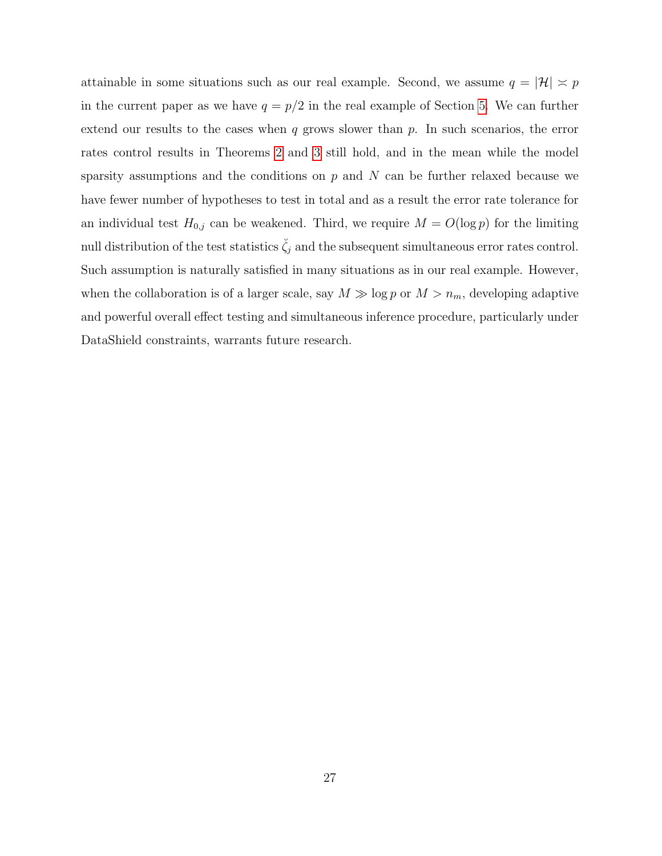attainable in some situations such as our real example. Second, we assume  $q = |\mathcal{H}| \approx p$ in the current paper as we have  $q = p/2$  in the real example of Section [5.](#page-22-0) We can further extend our results to the cases when  $q$  grows slower than  $p$ . In such scenarios, the error rates control results in Theorems [2](#page-17-1) and [3](#page-18-2) still hold, and in the mean while the model sparsity assumptions and the conditions on  $p$  and  $N$  can be further relaxed because we have fewer number of hypotheses to test in total and as a result the error rate tolerance for an individual test  $H_{0,j}$  can be weakened. Third, we require  $M = O(\log p)$  for the limiting null distribution of the test statistics  $\check{\zeta}_j$  and the subsequent simultaneous error rates control. Such assumption is naturally satisfied in many situations as in our real example. However, when the collaboration is of a larger scale, say  $M \gg \log p$  or  $M > n_m$ , developing adaptive and powerful overall effect testing and simultaneous inference procedure, particularly under DataShield constraints, warrants future research.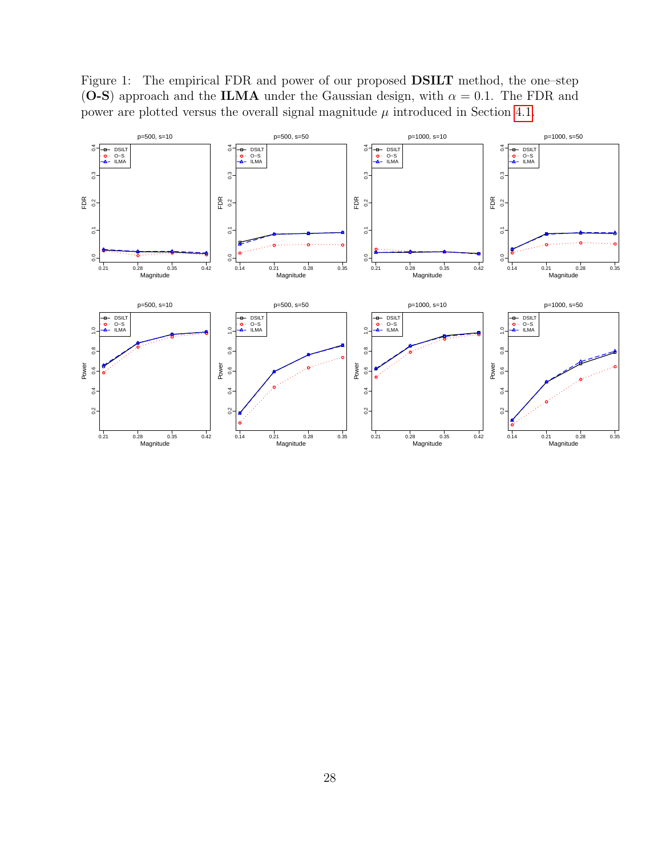<span id="page-27-0"></span>Figure 1: The empirical FDR and power of our proposed DSILT method, the one–step (O-S) approach and the ILMA under the Gaussian design, with  $\alpha = 0.1$ . The FDR and power are plotted versus the overall signal magnitude  $\mu$  introduced in Section [4.1.](#page-20-1)

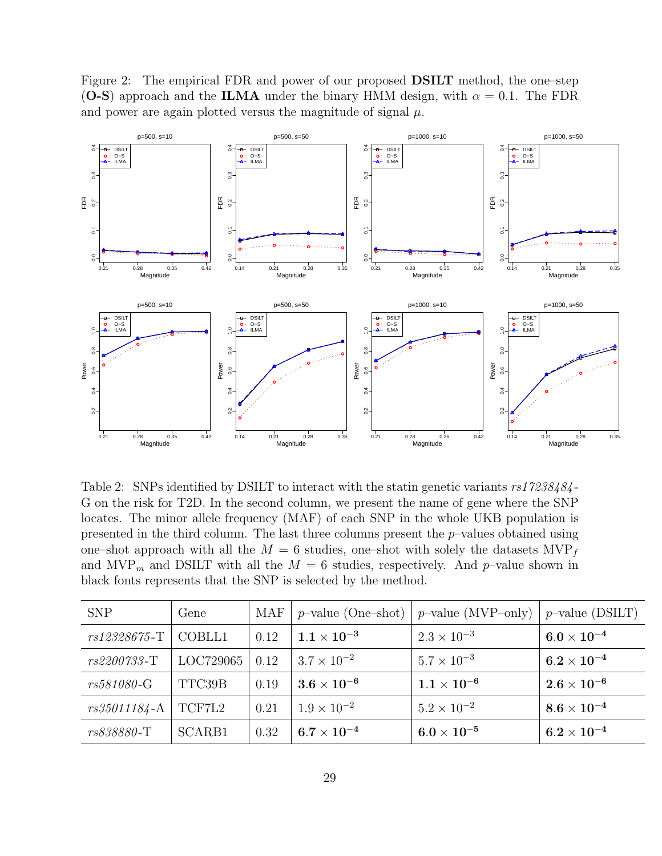<span id="page-28-0"></span>Figure 2: The empirical FDR and power of our proposed DSILT method, the one–step (O-S) approach and the ILMA under the binary HMM design, with  $\alpha = 0.1$ . The FDR and power are again plotted versus the magnitude of signal  $\mu$ .



<span id="page-28-1"></span>Table 2: SNPs identified by DSILT to interact with the statin genetic variants  $rs17238484$ -G on the risk for T2D. In the second column, we present the name of gene where the SNP locates. The minor allele frequency (MAF) of each SNP in the whole UKB population is presented in the third column. The last three columns present the p–values obtained using one–shot approach with all the  $M = 6$  studies, one–shot with solely the datasets  $MVP_f$ and MVP<sub>m</sub> and DSILT with all the  $M = 6$  studies, respectively. And p-value shown in black fonts represents that the SNP is selected by the method.

| <b>SNP</b>       | Gene      | MAF  | $p$ -value (One-shot) | $p$ -value (MVP-only) | $p$ -value (DSILT) |
|------------------|-----------|------|-----------------------|-----------------------|--------------------|
| rs12328675-T     | COBLL1    | 0.12 | $1.1\times10^{-3}$    | $2.3 \times 10^{-3}$  | $6.0\times10^{-4}$ |
| rs2200733-T      | LOC729065 | 0.12 | $3.7 \times 10^{-2}$  | $5.7 \times 10^{-3}$  | $6.2\times10^{-4}$ |
| rs581080-G       | TTC39B    | 0.19 | $3.6\times10^{-6}$    | $1.1\times10^{-6}$    | $2.6\times10^{-6}$ |
| $rs35011184 - A$ | TCF7L2    | 0.21 | $1.9 \times 10^{-2}$  | $5.2 \times 10^{-2}$  | $8.6\times10^{-4}$ |
| rs838880-T       | SCARB1    | 0.32 | $6.7\times10^{-4}$    | $6.0\times10^{-5}$    | $6.2\times10^{-4}$ |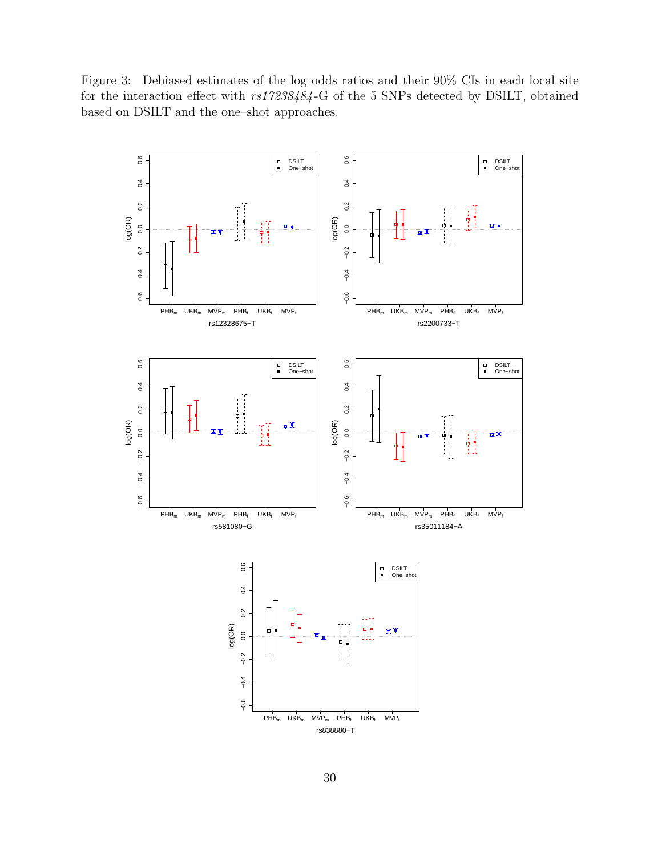<span id="page-29-0"></span>Figure 3: Debiased estimates of the log odds ratios and their 90% CIs in each local site for the interaction effect with rs17238484 -G of the 5 SNPs detected by DSILT, obtained based on DSILT and the one–shot approaches.

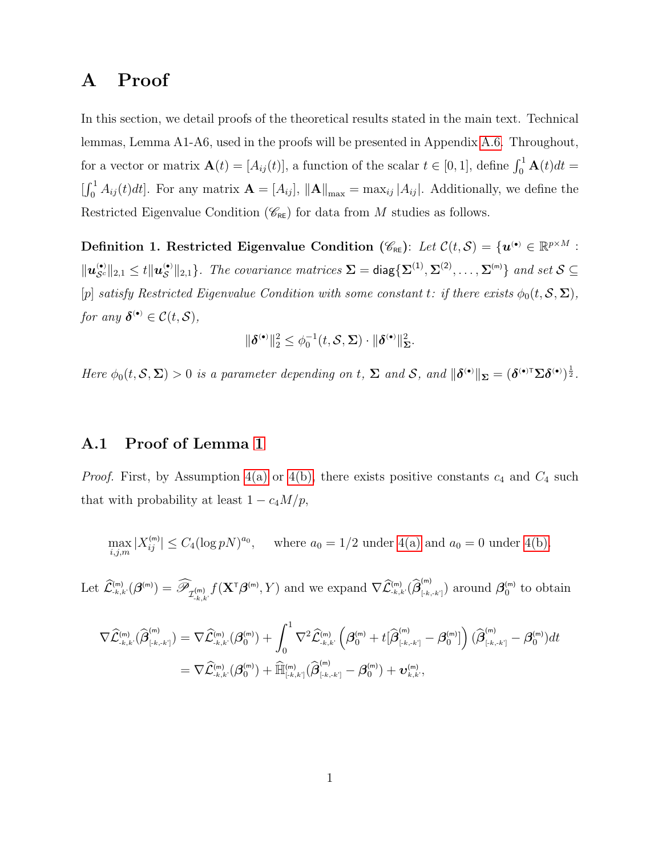# A Proof

In this section, we detail proofs of the theoretical results stated in the main text. Technical lemmas, Lemma A1-A6, used in the proofs will be presented in Appendix [A.6.](#page-45-0) Throughout, for a vector or matrix  $\mathbf{A}(t) = [A_{ij}(t)],$  a function of the scalar  $t \in [0, 1],$  define  $\int_0^1 \mathbf{A}(t)dt =$  $\iint_0^1 A_{ij}(t)dt$ . For any matrix  $\mathbf{A} = [A_{ij}]$ ,  $\|\mathbf{A}\|_{\text{max}} = \max_{ij} |A_{ij}|$ . Additionally, we define the Restricted Eigenvalue Condition ( $\mathscr{C}_{RE}$ ) for data from M studies as follows.

Definition 1. Restricted Eigenvalue Condition  $(\mathscr{C}_{RE})$ : Let  $\mathcal{C}(t, \mathcal{S}) = \{\mathbf{u}^{(\bullet)} \in \mathbb{R}^{p \times M}$ :  $\|\boldsymbol{u}^{(\bullet)}_{\mathcal{S}^c}\|_{2,1} \leq t \|\boldsymbol{u}^{(\bullet)}_{\mathcal{S}}\|_{2,1}$ . The covariance matrices  $\boldsymbol{\Sigma} = \text{diag}\{\boldsymbol{\Sigma}^{(1)}, \boldsymbol{\Sigma}^{(2)}, \dots, \boldsymbol{\Sigma}^{(\mathsf{m})}\}\$  and set  $\mathcal{S} \subseteq$ [p] satisfy Restricted Eigenvalue Condition with some constant t: if there exists  $\phi_0(t, S, \Sigma)$ , for any  $\boldsymbol{\delta}^{(\bullet)} \in \mathcal{C}(t, \mathcal{S}),$ 

$$
\|\boldsymbol{\delta}^{(\bullet)}\|_2^2 \leq \phi_0^{-1}(t, \mathcal{S}, \boldsymbol{\Sigma}) \cdot \|\boldsymbol{\delta}^{(\bullet)}\|_{\boldsymbol{\Sigma}}^2.
$$

Here  $\phi_0(t, \mathcal{S}, \Sigma) > 0$  is a parameter depending on t,  $\Sigma$  and  $\mathcal{S}$ , and  $\|\boldsymbol{\delta}^{(\bullet)}\|_{\Sigma} = (\boldsymbol{\delta}^{(\bullet)T} \Sigma \boldsymbol{\delta}^{(\bullet)})^{\frac{1}{2}}$ .

#### A.1 Proof of Lemma [1](#page-15-1)

*Proof.* First, by Assumption [4\(a\)](#page-14-0) or [4\(b\),](#page-14-1) there exists positive constants  $c_4$  and  $C_4$  such that with probability at least  $1 - c_4 M/p$ ,

$$
\max_{i,j,m} |X_{ij}^{(m)}| \le C_4 (\log pN)^{a_0}, \quad \text{where } a_0 = 1/2 \text{ under } 4(a) \text{ and } a_0 = 0 \text{ under } 4(b).
$$

Let  $\widehat{\mathcal{L}}^{\text{(m)}}_{\text{-}k,k'}(\boldsymbol{\beta}^{\text{(m)}}) = \widehat{\mathscr{P}}_{\mathcal{I}^{\text{(m)}}_{\text{-}k,k'}}f(\mathbf{X}^{\text{T}}\boldsymbol{\beta}^{\text{(m)}}, Y)$  and we expand  $\nabla \widehat{\mathcal{L}}^{\text{(m)}}_{\text{-}k,k'}(\widehat{\boldsymbol{\beta}}^{\text{(m)}}_{\text{-}k,k'})$  $\binom{[m]}{[k,k]}$  around  $\boldsymbol{\beta}_0^{(m)}$  to obtain

$$
\begin{aligned} \nabla \widehat{\mathcal{L}}^{\text{\tiny (m)}}_{\text{\tiny -},k,k^\prime}(\widehat{\boldsymbol{\beta}}^{\text{\tiny (m)}}_{[\text{\tiny -},k,k^\prime]}) &= \nabla \widehat{\mathcal{L}}^{\text{\tiny (m)}}_{\text{\tiny -},k,k^\prime}(\boldsymbol{\beta}^{\text{\tiny (m)}}_{0}) + \int_{0}^{1} \nabla^2 \widehat{\mathcal{L}}^{\text{\tiny (m)}}_{\text{\tiny -},k,k^\prime}\left(\boldsymbol{\beta}^{\text{\tiny (m)}}_{0} + t[\widehat{\boldsymbol{\beta}}^{\text{\tiny (m)}}_{[\text{\tiny -},k,k^\prime]} - \boldsymbol{\beta}^{\text{\tiny (m)}}_{0}]\right) (\widehat{\boldsymbol{\beta}}^{\text{\tiny (m)}}_{[\text{\tiny -},k,k^\prime]} - \boldsymbol{\beta}^{\text{\tiny (m)}}_{0}) dt \\ &= \nabla \widehat{\mathcal{L}}^{\text{\tiny (m)}}_{\text{\tiny -},k,k^\prime}(\boldsymbol{\beta}^{\text{\tiny (m)}}_{0}) + \widehat{\mathbb{H}}^{\text{\tiny (m)}}_{[\text{\tiny -},k,k^\prime]}(\widehat{\boldsymbol{\beta}}^{\text{\tiny (m)}}_{[\text{\tiny -},k,k^\prime]} - \boldsymbol{\beta}^{\text{\tiny (m)}}_{0}) + \boldsymbol{\upsilon}^{\text{\tiny (m)}}_{k,k^\prime}, \end{aligned}
$$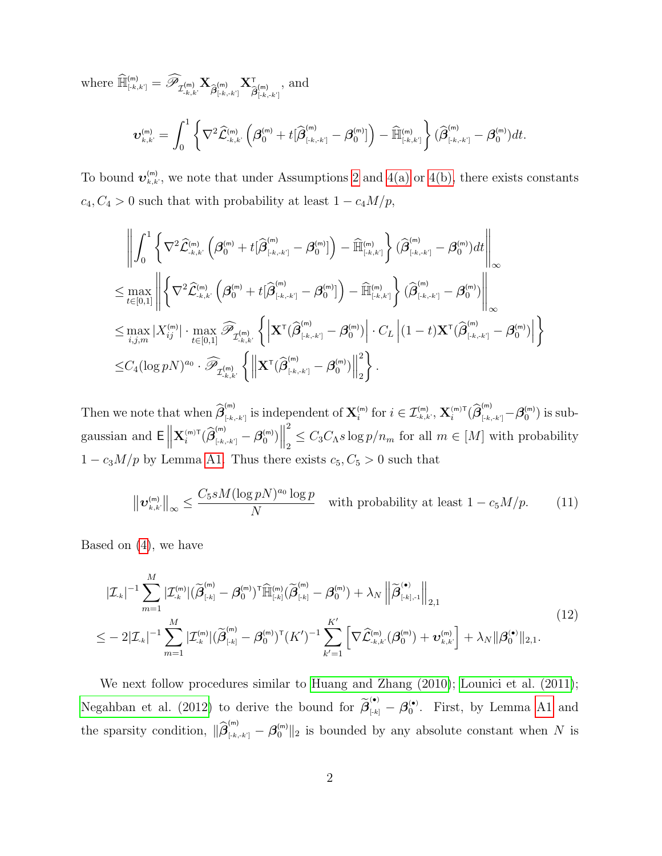where  $\widehat{\mathbb{H}}_{\text{\tiny{[-k,k']}}}^{\text{\tiny{(m)}}} = \widehat{\mathscr{P}}_{\mathcal{I}_{\text{\tiny{-}}k,k'}^{\text{\tiny{(m)}}}} \mathbf{X}$  $\widehat{\bm{\beta}}_{[-k,-k']}^{\text{(m)}} \mathbf{X}_{\widehat{\mathcal{L}}}^{\text{\textsf{T}}}$  $\widehat{\bm{\beta}}_{[-k,-k']}^{(\mathsf{m})}$ , and

$$
\boldsymbol{\upsilon}^{(\textnormal{\texttt{m}})}_{\textnormal{\texttt{k}},\textnormal{\texttt{k}}'} = \int_0^1 \bigg\{\nabla^2 \widehat{\mathcal{L}}^{(\textnormal{\texttt{m}})}_{\textnormal{\texttt{-}}\textnormal{\texttt{k}},\textnormal{\texttt{k}}'}\left(\boldsymbol{\beta}^{(\textnormal{\texttt{m}})}_0 + t[\widehat{\boldsymbol{\beta}}^{(\textnormal{\texttt{m}})}_{\textnormal{\texttt{[-}}\textnormal{\texttt{k}},\textnormal{\texttt{k}}'}] - \boldsymbol{\beta}^{(\textnormal{\texttt{m}})}_0]\right) - \widehat{\mathbb{H}}^{(\textnormal{\texttt{m}})}_{\textnormal{\texttt{[-}}\textnormal{\texttt{k}},\textnormal{\texttt{k}}'}\bigg\}\, (\widehat{\boldsymbol{\beta}}^{(\textnormal{\texttt{m}})}_{\textnormal{\texttt{[-}}\textnormal{\texttt{k}},\textnormal{\texttt{k}}'} - \boldsymbol{\beta}^{(\textnormal{\texttt{m}})}_0) dt.
$$

To bound  $\mathbf{v}_{k,k}^{(m)}$ , we note that under Assumptions [2](#page-14-1) and [4\(a\)](#page-14-0) or [4\(b\),](#page-14-1) there exists constants  $c_4, C_4 > 0$  such that with probability at least  $1 - c_4 M/p$ ,

$$
\begin{split}\label{eq:2} & \left\|\int_0^1\left\{\nabla^2\widehat{\mathcal{L}}^{(\mathrm{m})}_{\cdot,k,k'}\left(\boldsymbol{\beta}_0^{(\mathrm{m})}+t[\widehat{\boldsymbol{\beta}}_{[\cdot k,\cdot k']}^{(\mathrm{m})}-\boldsymbol{\beta}_0^{(\mathrm{m})}\right)-\widehat{\mathbb{H}}^{(\mathrm{m})}_{[\cdot k,k']}\right\}(\widehat{\boldsymbol{\beta}}^{(\mathrm{m})}_{[\cdot k,\cdot k']}-\boldsymbol{\beta}_0^{(\mathrm{m})})dt\right\|_\infty\\ \leq & \max_{t\in[0,1]}\left\|\left\{\nabla^2\widehat{\mathcal{L}}^{(\mathrm{m})}_{\cdot k,k'}\left(\boldsymbol{\beta}_0^{(\mathrm{m})}+t[\widehat{\boldsymbol{\beta}}^{(\mathrm{m})}_{[\cdot k,\cdot k']}-\boldsymbol{\beta}_0^{(\mathrm{m})}\right)-\widehat{\mathbb{H}}^{(\mathrm{m})}_{[\cdot k,k']}\right\}(\widehat{\boldsymbol{\beta}}^{(\mathrm{m})}_{[\cdot k,\cdot k']}-\boldsymbol{\beta}_0^{(\mathrm{m})})\right\|_\infty\\ \leq & \max_{i,j,m}|X_{ij}^{(\mathrm{m})}|\cdot \max_{t\in[0,1]}\widehat{\mathscr{P}}_{\mathcal{I}^{(\mathrm{m})}_{\cdot k,k'}}\left\{\left|\mathbf{X}^{\text{T}}(\widehat{\boldsymbol{\beta}}^{(\mathrm{m})}_{[\cdot k,\cdot k']}-\boldsymbol{\beta}_0^{(\mathrm{m})})\right|\cdot C_L\left|(1-t)\mathbf{X}^{\text{T}}(\widehat{\boldsymbol{\beta}}^{(\mathrm{m})}_{[\cdot k,\cdot k']}-\boldsymbol{\beta}_0^{(\mathrm{m})})\right|\right\}\\ \leq & C_4(\log pN)^{a_0}\cdot \widehat{\mathscr{P}}_{\mathcal{I}^{(\mathrm{m})}_{\cdot k,k'}}\left\{\left\|\mathbf{X}^{\text{T}}(\widehat{\boldsymbol{\beta}}^{(\mathrm{m})}_{[\cdot k,\cdot k']}-\boldsymbol{\beta}_0^{(\mathrm{m})})\right\|_2^2\right\}.\end{split}
$$

Then we note that when  $\widehat{\boldsymbol{\beta}}_{[k]}^{(m)}$  $[\mathbf{z}_{[k,k^{\prime}]}^{(m)}]$  is independent of  $\mathbf{X}_{i}^{(m)}$  for  $i \in \mathcal{I}_{k,k^{\prime}}^{(m)}$ ,  $\mathbf{X}_{i}^{(m)\mathsf{T}}(\widehat{\boldsymbol{\beta}}_{[k,k^{\prime}]}^{(m)} - \boldsymbol{\beta}_{0}^{(m)})$  is subgaussian and  $E \parallel$  $\mathbf{X}^{\scriptscriptstyle(\mathsf{m})\mathsf{T}}_{i}(\widehat{\boldsymbol{\beta}}^{\scriptscriptstyle(\mathsf{m})}_{\scriptscriptstyle[\text{-}k,\text{-}k']} - \boldsymbol{\beta}^{\scriptscriptstyle(\mathsf{m})}_0)\Big\|$ 2  $\sum_{2} \leq C_{3} C_{\Lambda} s \log p / n_{m}$  for all  $m \in [M]$  with probability  $1 - c_3 M/p$  by Lemma [A1.](#page-15-1) Thus there exists  $c_5, C_5 > 0$  such that

<span id="page-31-0"></span>
$$
\left\|\boldsymbol{v}_{k,k'}^{(m)}\right\|_{\infty} \le \frac{C_5 s M (\log p)^{a_0} \log p}{N} \quad \text{with probability at least } 1 - c_5 M/p. \tag{11}
$$

Based on [\(4\)](#page-8-4), we have

$$
|\mathcal{I}_{-k}|^{-1} \sum_{m=1}^{M} |\mathcal{I}_{-k}^{(m)}| (\widetilde{\beta}_{[k]}^{(m)} - \beta_{0}^{(m)})^{\mathrm{T}} \widehat{\mathbb{H}}_{[k]}^{(m)} (\widetilde{\beta}_{[k]}^{(m)} - \beta_{0}^{(m)}) + \lambda_{N} \left\| \widetilde{\beta}_{[k],-1}^{(\bullet)} \right\|_{2,1} \n\leq -2|\mathcal{I}_{-k}|^{-1} \sum_{m=1}^{M} |\mathcal{I}_{-k}^{(m)}| (\widetilde{\beta}_{[k]}^{(m)} - \beta_{0}^{(m)})^{\mathrm{T}} (K')^{-1} \sum_{k'=1}^{K'} \left[ \nabla \widehat{\mathcal{L}}_{-k,k'}^{(m)} (\beta_{0}^{(m)}) + \mathbf{v}_{k,k'}^{(m)} \right] + \lambda_{N} \|\beta_{0}^{(\bullet)}\|_{2,1}.
$$
\n(12)

We next follow procedures similar to Huang and Zhang  $(2010)$ ; Lounici et al.  $(2011)$ ; [Negahban et al. \(2012\)](#page-51-5) to derive the bound for  $\widetilde{\beta}_{[k]}^{(\bullet)} - \beta_0^{(\bullet)}$ . First, by Lemma [A1](#page-15-1) and the sparsity condition,  $\|\hat{\beta}_{[k,k]}^{(m)} - \beta_0^{(m)}\|_2$  is bounded by any absolute constant when N is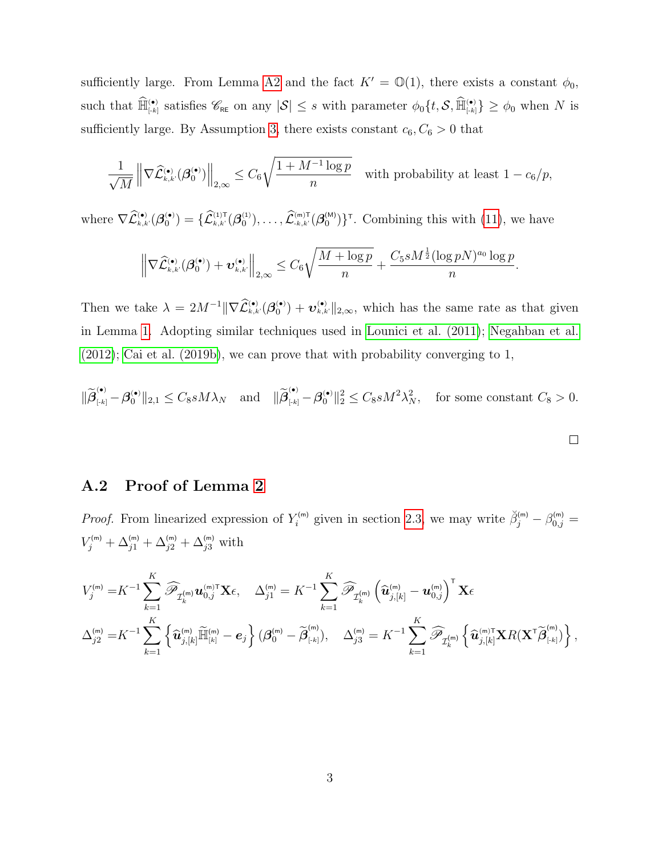sufficiently large. From Lemma [A2](#page-16-0) and the fact  $K' = \mathbb{O}(1)$ , there exists a constant  $\phi_0$ , such that  $\widehat{\mathbb{H}}^{\bullet}_{\lbrack k\rbrack}$  satisfies  $\mathscr{C}_{\texttt{RE}}$  on any  $|\mathcal{S}|\leq s$  with parameter  $\phi_0\{t,\mathcal{S},\widehat{\mathbb{H}}^{\bullet}_{\lbrack k\rbrack}\}\geq\phi_0$  when N is sufficiently large. By Assumption [3,](#page-14-2) there exists constant  $c_6, C_6 > 0$  that

$$
\frac{1}{\sqrt{M}} \left\| \nabla \widehat{\mathcal{L}}_{\scriptscriptstyle k,k'}^{(\bullet)} (\boldsymbol{\beta}_0^{(\bullet)}) \right\|_{2,\infty} \leq C_6 \sqrt{\frac{1+M^{-1}\log p}{n}} \quad \text{with probability at least } 1-c_6/p,
$$

where  $\nabla \mathcal{L}_{k,k'}^{(\bullet)}(\boldsymbol{\beta}_0^{(\bullet)}) = \{\mathcal{L}_{k,k'}^{(1)T}(\boldsymbol{\beta}_0^{(1)}), \ldots, \mathcal{L}_{k,k'}^{(m)T}(\boldsymbol{\beta}_0^{(M)})\}^{\tau}$ . Combining this with [\(11\)](#page-31-0), we have

$$
\left\|\nabla\widehat{\mathcal{L}}_{k,k'}^{(\bullet)}(\boldsymbol{\beta}_0^{(\bullet)}) + \boldsymbol{v}_{k,k'}^{(\bullet)}\right\|_{2,\infty} \leq C_6\sqrt{\frac{M+\log p}{n}} + \frac{C_5sM^{\frac{1}{2}}(\log pN)^{a_0}\log p}{n}
$$

.

Then we take  $\lambda = 2M^{-1} \|\nabla \hat{\mathcal{L}}_{k,k'}^{(\bullet)}(\boldsymbol{\beta}_0^{(\bullet)}) + \boldsymbol{v}_{k,k'}^{(\bullet)}\|_{2,\infty}$ , which has the same rate as that given in Lemma [1.](#page-15-1) Adopting similar techniques used in [Lounici et al. \(2011\)](#page-51-1); [Negahban et al.](#page-51-5) [\(2012\)](#page-51-5); [Cai et al. \(2019b\)](#page-48-4), we can prove that with probability converging to 1,

$$
\|\widetilde{\beta}_{\scriptscriptstyle{[.k]}}^{(\bullet)} - \beta_0^{(\bullet)}\|_{2,1} \le C_8 s M\lambda_N \quad \text{and} \quad \|\widetilde{\beta}_{\scriptscriptstyle{[.k]}}^{(\bullet)} - \beta_0^{(\bullet)}\|_2^2 \le C_8 s M^2 \lambda_N^2, \quad \text{for some constant } C_8 > 0.
$$

### A.2 Proof of Lemma [2](#page-16-0)

*Proof.* From linearized expression of  $Y_i^{(m)}$  given in section [2.3,](#page-7-0) we may write  $\breve{\beta}_j^{(m)} - \beta_{0,j}^{(m)} =$  $V_j^{(m)} + \Delta_{j1}^{(m)} + \Delta_{j2}^{(m)} + \Delta_{j3}^{(m)}$  with

$$
V_j^{(m)} = K^{-1} \sum_{k=1}^K \widehat{\mathscr{P}}_{\mathcal{I}_k^{(m)}} \mathbf{u}_{0,j}^{(m)\mathsf{T}} \mathbf{X} \epsilon, \quad \Delta_{j1}^{(m)} = K^{-1} \sum_{k=1}^K \widehat{\mathscr{P}}_{\mathcal{I}_k^{(m)}} \left( \widehat{\mathbf{u}}_{j,[k]}^{(m)} - \mathbf{u}_{0,j}^{(m)} \right)^{\mathsf{T}} \mathbf{X} \epsilon
$$
  

$$
\Delta_{j2}^{(m)} = K^{-1} \sum_{k=1}^K \left\{ \widehat{\mathbf{u}}_{j,[k]}^{(m)} \widetilde{\mathbb{H}}_{\left[k\right]}^{(m)} - \mathbf{e}_j \right\} (\boldsymbol{\beta}_0^{(m)} - \widetilde{\boldsymbol{\beta}}_{\left[\cdot k\right]}^{(m)}), \quad \Delta_{j3}^{(m)} = K^{-1} \sum_{k=1}^K \widehat{\mathscr{P}}_{\mathcal{I}_k^{(m)}} \left\{ \widehat{\mathbf{u}}_{j,[k]}^{(m)\mathsf{T}} \mathbf{X} R (\mathbf{X}^{\mathsf{T}} \widetilde{\boldsymbol{\beta}}_{\left[\cdot k\right]}^{(m)}) \right\},
$$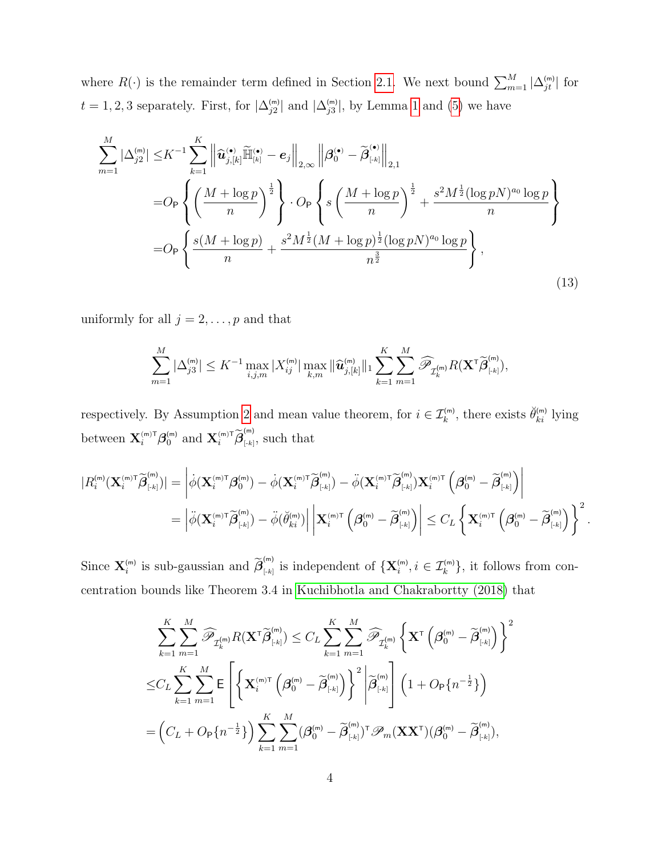where  $R(\cdot)$  is the remainder term defined in Section [2.1.](#page-6-1) We next bound  $\sum_{m=1}^{M} |\Delta_{jt}^{(m)}|$  for  $t = 1, 2, 3$  $t = 1, 2, 3$  $t = 1, 2, 3$  separately. First, for  $|\Delta_{j2}^{(m)}|$  and  $|\Delta_{j3}^{(m)}|$ , by Lemma 1 and [\(5\)](#page-9-2) we have

<span id="page-33-0"></span>
$$
\sum_{m=1}^{M} |\Delta_{j2}^{(m)}| \leq K^{-1} \sum_{k=1}^{K} \left\| \widehat{\mathbf{u}}_{j,[k]}^{(\bullet)} \widetilde{\mathbb{H}}_{[k]}^{(\bullet)} - e_j \right\|_{2,\infty} \left\| \beta_0^{(\bullet)} - \widetilde{\beta}_{[k]}^{(\bullet)} \right\|_{2,1}
$$
  
\n
$$
= O_P \left\{ \left( \frac{M + \log p}{n} \right)^{\frac{1}{2}} \right\} \cdot O_P \left\{ s \left( \frac{M + \log p}{n} \right)^{\frac{1}{2}} + \frac{s^2 M^{\frac{1}{2}} (\log p N)^{a_0} \log p}{n} \right\}
$$
  
\n
$$
= O_P \left\{ \frac{s(M + \log p)}{n} + \frac{s^2 M^{\frac{1}{2}} (M + \log p)^{\frac{1}{2}} (\log p N)^{a_0} \log p}{n^{\frac{3}{2}}} \right\},
$$
\n(13)

uniformly for all  $j=2,\ldots,p$  and that

$$
\sum_{m=1}^{M} |\Delta_{j3}^{(\mathsf{m})}| \leq K^{-1} \max_{i,j,m} |X_{ij}^{(\mathsf{m})}| \max_{k,m} ||\widehat{\mathbf{u}}_{j,[k]}^{(\mathsf{m})}||_1 \sum_{k=1}^{K} \sum_{m=1}^{M} \widehat{\mathscr{P}}_{\mathcal{I}_{k}^{(\mathsf{m})}} R(\mathbf{X}^{\mathsf{T}} \widetilde{\boldsymbol{\beta}}_{[k]}^{(\mathsf{m})}),
$$

respectively. By Assumption [2](#page-14-1) and mean value theorem, for  $i \in \mathcal{I}_k^{(m)}$ , there exists  $\check{\theta}_{ki}^{(m)}$  lying between  $\mathbf{X}_{i}^{(\text{m})\text{T}} \boldsymbol{\beta}_{0}^{(\text{m})}$  and  $\mathbf{X}_{i}^{(\text{m})\text{T}} \widetilde{\boldsymbol{\beta}}_{\text{\tiny{[-k]}}}^{(\text{m})}$  $\binom{m}{[k]}$ , such that

$$
\begin{split} |R_i^{(\textnormal{\texttt{m}})}(\mathbf{X}_i^{(\textnormal{\texttt{m}})\textnormal{\texttt{T}}}\widetilde{\boldsymbol{\beta}}_{\textnormal{\texttt{[-k]}}}^{(\textnormal{\texttt{m}})})| &= \bigg| \dot{\phi}(\mathbf{X}_i^{(\textnormal{\texttt{m}})\textnormal{\texttt{T}}}\boldsymbol{\beta}_0^{(\textnormal{\texttt{m}})}) - \dot{\phi}(\mathbf{X}_i^{(\textnormal{\texttt{m}})\textnormal{\texttt{T}}}\widetilde{\boldsymbol{\beta}}_{\textnormal{\texttt{[-k]}}}^{(\textnormal{\texttt{m}})}) - \ddot{\phi}(\mathbf{X}_i^{(\textnormal{\texttt{m}})\textnormal{\texttt{T}}}\widetilde{\boldsymbol{\beta}}_{\textnormal{\texttt{[-k]}}}^{(\textnormal{\texttt{m}})})\mathbf{X}_i^{(\textnormal{\texttt{m}})\textnormal{\texttt{T}}}\left(\boldsymbol{\beta}_0^{(\textnormal{\texttt{m}})} - \widetilde{\boldsymbol{\beta}}_{\textnormal{\texttt{[-k]}}}^{(\textnormal{\texttt{m}})}\right) \bigg| \\ &= \bigg| \ddot{\phi}(\mathbf{X}_i^{(\textnormal{\texttt{m}})\textnormal{\texttt{T}}}\widetilde{\boldsymbol{\beta}}_{\textnormal{\texttt{[-k]}}}^{(\textnormal{\texttt{m}})}) - \ddot{\phi}(\breve{\theta}_{ki}^{(\textnormal{\texttt{m}})})\bigg| \bigg| \mathbf{X}_i^{(\textnormal{\texttt{m}})\textnormal{\texttt{T}}}\left(\boldsymbol{\beta}_0^{(\textnormal{\texttt{m}})} - \widetilde{\boldsymbol{\beta}}_{\textnormal{\texttt{[-k]}}}^{(\textnormal{\texttt{m}})}\right) \bigg|^2 \\ &\leq C_L \left\{ \mathbf{X}_i^{(\textnormal{\texttt{m}})\textnormal{\texttt{T}}}\left(\boldsymbol{\beta}_0^{(\textnormal{\texttt{m}})} - \widetilde{\boldsymbol{\beta}}_{\textnormal{\texttt{[-k]}}}^{(\textnormal{\texttt{m}})}\right) \bigg|^2. \end{split}
$$

Since  $\mathbf{X}_{i}^{(m)}$  is sub-gaussian and  $\widetilde{\boldsymbol{\beta}}_{\left[ -k\right] }^{(m)}$  $\mathcal{L}_{[k]}^{(m)}$  is independent of  $\{X_i^{(m)}, i \in \mathcal{I}_k^{(m)}\}$ , it follows from concentration bounds like Theorem 3.4 in [Kuchibhotla and Chakrabortty \(2018\)](#page-50-8) that

$$
\sum_{k=1}^{K} \sum_{m=1}^{M} \widehat{\mathscr{P}}_{\mathcal{I}_{k}^{(m)}} R(\mathbf{X}^{\mathsf{T}} \widetilde{\boldsymbol{\beta}}_{\left[\cdot k\right]}^{(m)}) \leq C_{L} \sum_{k=1}^{K} \sum_{m=1}^{M} \widehat{\mathscr{P}}_{\mathcal{I}_{k}^{(m)}} \left\{ \mathbf{X}^{\mathsf{T}} \left( \boldsymbol{\beta}_{0}^{(m)} - \widetilde{\boldsymbol{\beta}}_{\left[\cdot k\right]}^{(m)} \right) \right\}^{2}
$$
  

$$
\leq C_{L} \sum_{k=1}^{K} \sum_{m=1}^{M} \mathsf{E} \left[ \left\{ \mathbf{X}_{i}^{(m)\mathsf{T}} \left( \boldsymbol{\beta}_{0}^{(m)} - \widetilde{\boldsymbol{\beta}}_{\left[\cdot k\right]}^{(m)} \right) \right\}^{2} \left| \widetilde{\boldsymbol{\beta}}_{\left[\cdot k\right]}^{(m)} \right| \left( 1 + O_{\mathsf{P}} \{ n^{-\frac{1}{2}} \} \right) \right.
$$
  

$$
= \left( C_{L} + O_{\mathsf{P}} \{ n^{-\frac{1}{2}} \} \right) \sum_{k=1}^{K} \sum_{m=1}^{M} (\boldsymbol{\beta}_{0}^{(m)} - \widetilde{\boldsymbol{\beta}}_{\left[\cdot k\right]}^{(m)})^{\mathsf{T}} \mathscr{P}_{m}(\mathbf{X} \mathbf{X}^{\mathsf{T}}) (\boldsymbol{\beta}_{0}^{(m)} - \widetilde{\boldsymbol{\beta}}_{\left[\cdot k\right]}^{(m)}),
$$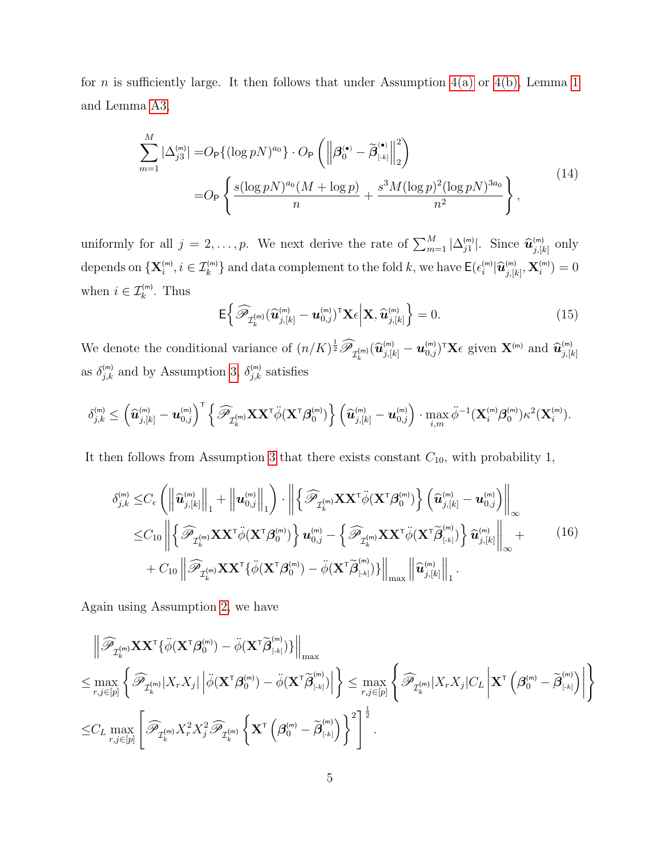for *n* is sufficiently large. It then follows that under Assumption  $4(a)$  or  $4(b)$ , Lemma [1](#page-15-1) and Lemma [A3,](#page-46-0)

<span id="page-34-1"></span>
$$
\sum_{m=1}^{M} |\Delta_{j3}^{(m)}| = O_{\mathsf{P}}\{(\log pN)^{a_0}\} \cdot O_{\mathsf{P}}\left(\left\|\boldsymbol{\beta}_{0}^{(\bullet)} - \widetilde{\boldsymbol{\beta}}_{\lfloor k \rfloor}^{(\bullet)}\right\|_{2}^{2}\right)
$$
\n
$$
= O_{\mathsf{P}}\left\{\frac{s(\log pN)^{a_0}(M + \log p)}{n} + \frac{s^{3}M(\log p)^{2}(\log pN)^{3a_0}}{n^{2}}\right\},
$$
\n(14)

uniformly for all  $j = 2, ..., p$ . We next derive the rate of  $\sum_{m=1}^{M} |\Delta_{j1}^{(m)}|$ . Since  $\widehat{u}_{j,[k]}^{(m)}$  only depends on  $\{X_i^{(m)}, i \in \mathcal{I}_k^{(m)}\}$  and data complement to the fold k, we have  $\mathsf{E}(\epsilon_i^{(m)} | \widehat{\bm{u}}_{j,[k]}^{(m)}, \mathbf{X}_i^{(m)}) = 0$ when  $i \in \mathcal{I}_k^{(m)}$ . Thus

<span id="page-34-0"></span>
$$
\mathsf{E}\left\{\widehat{\mathscr{P}}_{\mathcal{I}_k^{(\mathsf{m})}}(\widehat{\mathbf{u}}_{j,[k]}^{(\mathsf{m})}-\mathbf{u}_{0,j}^{(\mathsf{m})})^{\mathsf{T}}\mathbf{X}\epsilon\bigg|\mathbf{X},\widehat{\mathbf{u}}_{j,[k]}^{(\mathsf{m})}\right\}=0.
$$
\n(15)

We denote the conditional variance of  $(n/K)^{\frac{1}{2}} \widehat{\mathscr{P}}_{\mathcal{I}_k^{(m)}}(\widehat{\mathbf{u}}_{j,[k]}^{(m)} - \mathbf{u}_{0,j}^{(m)})^{\intercal} \mathbf{X}_{\epsilon}$  given  $\mathbf{X}^{(m)}$  and  $\widehat{\mathbf{u}}_{j,[k]}^{(m)}$ as  $\delta_{j,k}^{(m)}$  and by Assumption [3,](#page-14-2)  $\delta_{j,k}^{(m)}$  satisfies

$$
\delta_{j,k}^{(\mathsf{m})}\leq\left(\widehat{\boldsymbol{u}}_{j,[k]}^{(\mathsf{m})}-\boldsymbol{u}_{0,j}^{(\mathsf{m})}\right)^{\mathsf{T}}\left\{\widehat{\mathscr{P}}_{\mathcal{I}^{(\mathsf{m})}_k}\mathbf{X}\mathbf{X}^{\mathsf{T}}\ddot{\phi}(\mathbf{X}^{\mathsf{T}}\boldsymbol{\beta}_0^{(\mathsf{m})})\right\}\left(\widehat{\boldsymbol{u}}_{j,[k]}^{(\mathsf{m})}-\boldsymbol{u}_{0,j}^{(\mathsf{m})}\right)\cdot\max_{i,m}\ddot{\phi}^{-1}(\mathbf{X}^{(\mathsf{m})}_i\boldsymbol{\beta}_0^{(\mathsf{m})})\kappa^2(\mathbf{X}^{(\mathsf{m})}_i).
$$

It then follows from Assumption [3](#page-14-2) that there exists constant  $C_{10}$ , with probability 1,

<span id="page-34-2"></span>
$$
\delta_{j,k}^{(m)} \leq C_{\epsilon} \left( \left\| \widehat{\mathbf{u}}_{j,[k]}^{(m)} \right\|_{1} + \left\| \mathbf{u}_{0,j}^{(m)} \right\|_{1} \right) \cdot \left\| \left\{ \widehat{\mathcal{P}}_{\mathcal{I}_{k}^{(m)}} \mathbf{X} \mathbf{X}^{\mathsf{T}} \ddot{\phi} (\mathbf{X}^{\mathsf{T}} \boldsymbol{\beta}_{0}^{(m)}) \right\} \left( \widehat{\mathbf{u}}_{j,[k]}^{(m)} - \mathbf{u}_{0,j}^{(m)} \right) \right\|_{\infty} \n\leq C_{10} \left\| \left\{ \widehat{\mathcal{P}}_{\mathcal{I}_{k}^{(m)}} \mathbf{X} \mathbf{X}^{\mathsf{T}} \ddot{\phi} (\mathbf{X}^{\mathsf{T}} \boldsymbol{\beta}_{0}^{(m)}) \right\} \mathbf{u}_{0,j}^{(m)} - \left\{ \widehat{\mathcal{P}}_{\mathcal{I}_{k}^{(m)}} \mathbf{X} \mathbf{X}^{\mathsf{T}} \ddot{\phi} (\mathbf{X}^{\mathsf{T}} \widetilde{\boldsymbol{\beta}}_{[k]}^{(m)}) \right\} \widehat{\mathbf{u}}_{j,[k]}^{(m)} \right\|_{\infty} + C_{10} \left\| \widehat{\mathcal{P}}_{\mathcal{I}_{k}^{(m)}} \mathbf{X} \mathbf{X}^{\mathsf{T}} \{ \ddot{\phi} (\mathbf{X}^{\mathsf{T}} \boldsymbol{\beta}_{0}^{(m)}) - \ddot{\phi} (\mathbf{X}^{\mathsf{T}} \widetilde{\boldsymbol{\beta}}_{[k]}^{(m)}) \} \right\|_{\max} \left\| \widehat{\mathbf{u}}_{j,[k]}^{(m)} \right\|_{1} .
$$
\n(16)

Again using Assumption [2,](#page-14-1) we have

$$
\begin{split}\label{eq:Riccati} & \left\| \widehat{\mathscr{P}}_{\mathcal{I}^{(m)}_k} \mathbf{X} \mathbf{X}^\mathsf{T} \{ \ddot{\phi}(\mathbf{X}^\mathsf{T} \boldsymbol{\beta}_0^{(m)}) - \ddot{\phi}(\mathbf{X}^\mathsf{T} \widetilde{\boldsymbol{\beta}}_{\lfloor \cdot k \rfloor}^{(m)}) \} \right\|_{\max} \\ & \leq \max_{r,j \in [p]} \left\{ \widehat{\mathscr{P}}_{\mathcal{I}^{(m)}_k} |X_r X_j| \left| \ddot{\phi}(\mathbf{X}^\mathsf{T} \boldsymbol{\beta}_0^{(m)}) - \ddot{\phi}(\mathbf{X}^\mathsf{T} \widetilde{\boldsymbol{\beta}}_{\lfloor \cdot k \rfloor}^{(m)}) \right| \right\} \leq \max_{r,j \in [p]} \left\{ \widehat{\mathscr{P}}_{\mathcal{I}^{(m)}_k} |X_r X_j| C_L \left| \mathbf{X}^\mathsf{T} \left( \boldsymbol{\beta}_0^{(m)} - \widetilde{\boldsymbol{\beta}}_{\lfloor \cdot k \rfloor}^{(m)} \right) \right| \right\} \\ & \leq C_L \max_{r,j \in [p]} \left[ \widehat{\mathscr{P}}_{\mathcal{I}^{(m)}_k} X_r^2 X_j^2 \widehat{\mathscr{P}}_{\mathcal{I}^{(m)}_k} \left\{ \mathbf{X}^\mathsf{T} \left( \boldsymbol{\beta}_0^{(m)} - \widetilde{\boldsymbol{\beta}}_{\lfloor \cdot k \rfloor}^{(m)} \right) \right\}^2 \right]^\frac{1}{2} . \end{split}
$$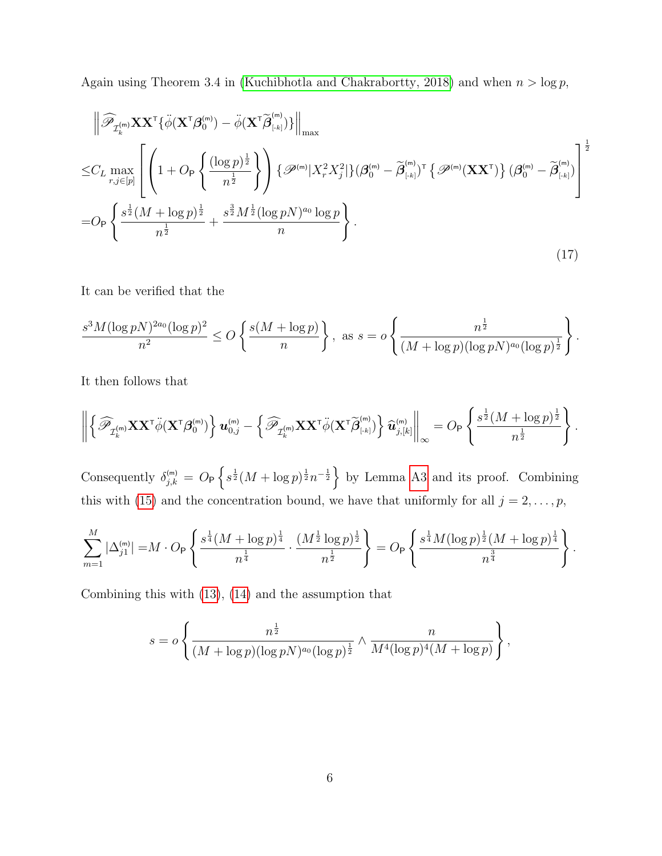Again using Theorem 3.4 in [\(Kuchibhotla and Chakrabortty, 2018\)](#page-50-8) and when  $n > \log p$ ,

<span id="page-35-0"></span>
$$
\left\| \widehat{\mathscr{P}}_{\mathcal{I}_{k}^{(m)}} \mathbf{X} \mathbf{X}^{\mathsf{T}} \{\ddot{\phi}(\mathbf{X}^{\mathsf{T}} \boldsymbol{\beta}_{0}^{(m)}) - \ddot{\phi}(\mathbf{X}^{\mathsf{T}} \widetilde{\boldsymbol{\beta}}_{\mathsf{[-k]}}^{(m)}) \} \right\|_{\max}
$$
\n
$$
\leq C_{L} \max_{r,j \in [p]} \left[ \left( 1 + O_{\mathsf{P}} \left\{ \frac{(\log p)^{\frac{1}{2}}}{n^{\frac{1}{2}}} \right\} \right) \left\{ \mathscr{P}^{(m)} | X_{r}^{2} X_{j}^{2} | \} (\boldsymbol{\beta}_{0}^{(m)} - \widetilde{\boldsymbol{\beta}}_{\mathsf{[-k]}}^{(m)})^{\mathsf{T}} \left\{ \mathscr{P}^{(m)}(\mathbf{X} \mathbf{X}^{\mathsf{T}}) \right\} (\boldsymbol{\beta}_{0}^{(m)} - \widetilde{\boldsymbol{\beta}}_{\mathsf{[-k]}}^{(m)}) \right\} \right]^{\frac{1}{2}}
$$
\n
$$
= O_{\mathsf{P}} \left\{ \frac{s^{\frac{1}{2}} (M + \log p)^{\frac{1}{2}}}{n^{\frac{1}{2}}} + \frac{s^{\frac{3}{2}} M^{\frac{1}{2}} (\log p N)^{a_{0}} \log p}{n} \right\}. \tag{17}
$$

It can be verified that the

$$
\frac{s^3 M (\log pN)^{2a_0} (\log p)^2}{n^2} \le O\left\{\frac{s(M + \log p)}{n}\right\}, \text{ as } s = o\left\{\frac{n^{\frac{1}{2}}}{(M + \log p)(\log pN)^{a_0}(\log p)^{\frac{1}{2}}}\right\}.
$$

It then follows that

$$
\left\| \left\{ \widehat{\mathscr{P}}_{\mathcal{I}_k^{(m)}} \mathbf{X} \mathbf{X}^\mathsf{T} \ddot{\phi} (\mathbf{X}^\mathsf{T} \boldsymbol{\beta}_0^{(m)}) \right\} u_{0,j}^{(m)} - \left\{ \widehat{\mathscr{P}}_{\mathcal{I}_k^{(m)}} \mathbf{X} \mathbf{X}^\mathsf{T} \ddot{\phi} (\mathbf{X}^\mathsf{T} \widetilde{\boldsymbol{\beta}}_{\lfloor \mathsf{k} \rfloor}^{(m)}) \right\} \widehat{\boldsymbol{u}}_{j,[k]}^{(m)} \right\|_{\infty} = O_\mathsf{P} \left\{ \frac{s^{\frac{1}{2}} (M + \log p)^{\frac{1}{2}}}{n^{\frac{1}{2}}} \right\}.
$$

Consequently  $\delta_{j,k}^{(m)} = O_P \left\{ s^{\frac{1}{2}} (M + \log p)^{\frac{1}{2}} n^{-\frac{1}{2}} \right\}$  by Lemma [A3](#page-46-0) and its proof. Combining this with [\(15\)](#page-34-0) and the concentration bound, we have that uniformly for all  $j = 2, \ldots, p$ ,

$$
\sum_{m=1}^{M} |\Delta_{j1}^{(m)}| = M \cdot O_P\left\{\frac{s^{\frac{1}{4}}(M + \log p)^{\frac{1}{4}}}{n^{\frac{1}{4}}} \cdot \frac{(M^{\frac{1}{2}} \log p)^{\frac{1}{2}}}{n^{\frac{1}{2}}}\right\} = O_P\left\{\frac{s^{\frac{1}{4}}M(\log p)^{\frac{1}{2}}(M + \log p)^{\frac{1}{4}}}{n^{\frac{3}{4}}}\right\}.
$$

Combining this with [\(13\)](#page-33-0), [\(14\)](#page-34-1) and the assumption that

$$
s = o\left\{\frac{n^{\frac{1}{2}}}{(M+\log p)(\log p N)^{a_0}(\log p)^{\frac{1}{2}}}\wedge \frac{n}{M^4(\log p)^4(M+\log p)}\right\},\,
$$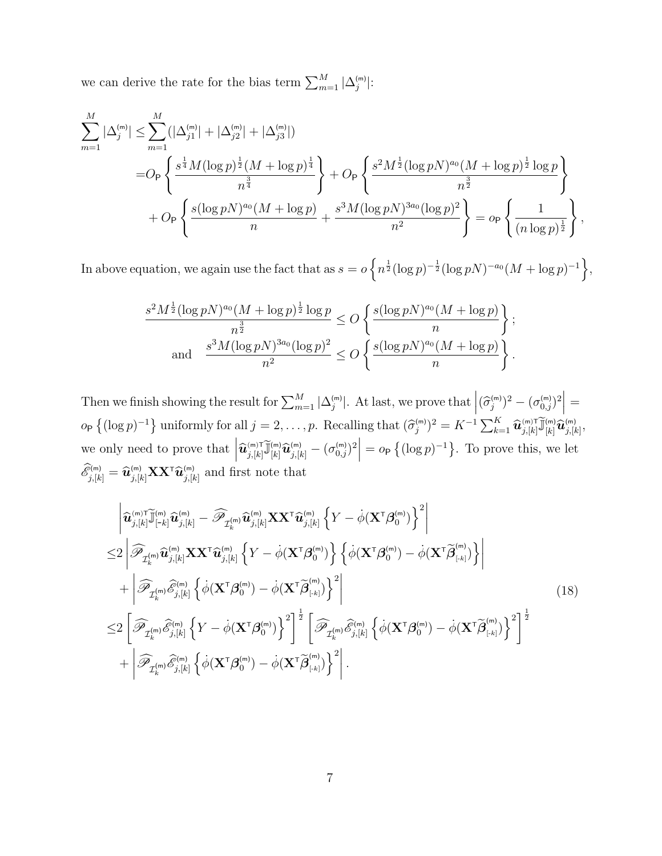we can derive the rate for the bias term  $\sum_{m=1}^{M} |\Delta_j^{(m)}|$ :

$$
\sum_{m=1}^{M} |\Delta_j^{(m)}| \leq \sum_{m=1}^{M} (|\Delta_{j1}^{(m)}| + |\Delta_{j2}^{(m)}| + |\Delta_{j3}^{(m)}|)
$$
  
= 
$$
O_P\left\{\frac{s^{\frac{1}{4}}M(\log p)^{\frac{1}{2}}(M + \log p)^{\frac{1}{4}}}{n^{\frac{3}{4}}}\right\} + O_P\left\{\frac{s^2M^{\frac{1}{2}}(\log pN)^{a_0}(M + \log p)^{\frac{1}{2}}\log p}{n^{\frac{3}{2}}}\right\}
$$
  
+ 
$$
O_P\left\{\frac{s(\log pN)^{a_0}(M + \log p)}{n} + \frac{s^3M(\log pN)^{3a_0}(\log p)^2}{n^2}\right\} = o_P\left\{\frac{1}{(n\log p)^{\frac{1}{2}}}\right\},
$$

In above equation, we again use the fact that as  $s = o\left\{n^{\frac{1}{2}}(\log p)^{-\frac{1}{2}}(\log pN)^{-a_0}(M + \log p)^{-1}\right\},$ 

$$
\frac{s^2 M^{\frac{1}{2}} (\log pN)^{a_0} (M + \log p)^{\frac{1}{2}} \log p}{n^{\frac{3}{2}}} \le O\left\{\frac{s (\log pN)^{a_0} (M + \log p)}{n}\right\};
$$
  
and 
$$
\frac{s^3 M (\log pN)^{a_0} (\log p)^2}{n^2} \le O\left\{\frac{s (\log pN)^{a_0} (M + \log p)}{n}\right\}.
$$

Then we finish showing the result for  $\sum_{m=1}^{M} |\Delta_j^{(m)}|$ . At last, we prove that  $|(\widehat{\sigma}_j^{(m)})^2 - (\sigma_{0,j}^{(m)})^2|$  =  $o_P\left\{(\log p)^{-1}\right\}$  uniformly for all  $j = 2, \ldots, p$ . Recalling that  $(\widehat{\sigma}_j^{(m)})^2 = K^{-1} \sum_{k=1}^K \widehat{\bm{u}}_{j,[k]}^{(m)} \widetilde{\bm{u}}_{[k]}^{(m)} \widehat{\bm{u}}_{j,[k]}^{(m)}$ we only need to prove that  $\left|\widehat{\mathbf{u}}_{j,[k]}^{(\text{m})}\widetilde{\mathbf{u}}_{j,[k]}^{(\text{m})}\widehat{\mathbf{u}}_{j,[k]}^{(\text{m})} - (\sigma_{0,j}^{(\text{m})})^2\right| = o_{\mathsf{P}}\left\{(\log p)^{-1}\right\}$ . To prove this, we let  $\mathscr{E}_{j,[k]}^{(m)} = \widehat{\mathbf{u}}_{j,[k]}^{(m)} \mathbf{X} \mathbf{X}^{\mathsf{T}} \widehat{\mathbf{u}}_{j,[k]}^{(m)}$  and first note that

$$
\begin{split}\n&\left|\widehat{\mathbf{u}}_{j,[k]}^{\text{(m)}\top\widetilde{\mathbf{u}}_{[m]}^{\text{(m)}}}\widehat{\mathbf{u}}_{j,[k]}^{\text{(m)}}-\widehat{\mathbf{P}}_{\mathcal{I}_{k}^{\text{(m)}}}\widehat{\mathbf{u}}_{j,[k]}^{\text{(m)}}\mathbf{X}\mathbf{X}^{\top}\widehat{\mathbf{u}}_{j,[k]}^{\text{(m)}}\mathbf{X}\mathbf{X}^{\top}\widehat{\mathbf{u}}_{j,[k]}^{\text{(m)}}\mathbf{X}\mathbf{X}^{\top}\widehat{\mathbf{u}}_{j,[k]}^{\text{(m)}}\left\{\dot{Y}-\dot{\phi}(\mathbf{X}^{\top}\boldsymbol{\beta}_{0}^{\text{(m)}})\right\}^{2}\right| \\
&\leq&2\left|\widehat{\mathbf{P}}_{\mathcal{I}_{k}^{\text{(m)}}}\widehat{\mathbf{u}}_{j,[k]}^{\text{(m)}}\mathbf{X}\mathbf{X}^{\top}\widehat{\mathbf{u}}_{j,[k]}^{\text{(m)}}\left\{\dot{\phi}(\mathbf{X}^{\top}\boldsymbol{\beta}_{0}^{\text{(m)}})\right\}\left\{\dot{\phi}(\mathbf{X}^{\top}\boldsymbol{\beta}_{0}^{\text{(m)}})-\dot{\phi}(\mathbf{X}^{\top}\widetilde{\boldsymbol{\beta}}_{0}^{\text{(m)}})\right\}^{2}\right| \\
&\leq&2\left[\widehat{\mathbf{P}}_{\mathcal{I}_{k}^{\text{(m)}}}\widehat{\mathbf{e}}_{j,[k]}^{\text{(m)}}\left\{\dot{\phi}(\mathbf{X}^{\top}\boldsymbol{\beta}_{0}^{\text{(m)}})-\dot{\phi}(\mathbf{X}^{\top}\widetilde{\boldsymbol{\beta}}_{0}^{\text{(m)}})\right\}^{2}\right]^{2}\left[\widehat{\mathbf{P}}_{\mathcal{I}_{k}^{\text{(m)}}}\widehat{\mathbf{e}}_{j,[k]}^{\text{(m)}}\left\{\dot{\phi}(\mathbf{X}^{\top}\boldsymbol{\beta}_{0}^{\text{(m)}})-\dot{\phi}(\mathbf{X}^{\top}\widetilde{\boldsymbol{\beta}}_{0}^{\text{(m)}})\right\}^{2}\right]^{2}\right]^{2} \\
&+\left|\widehat{\mathbf{P}}_{\mathcal{I}_{k}^{\text{(m)}}}\widehat{\mathbf{e}}_{j,[k]}^{\text
$$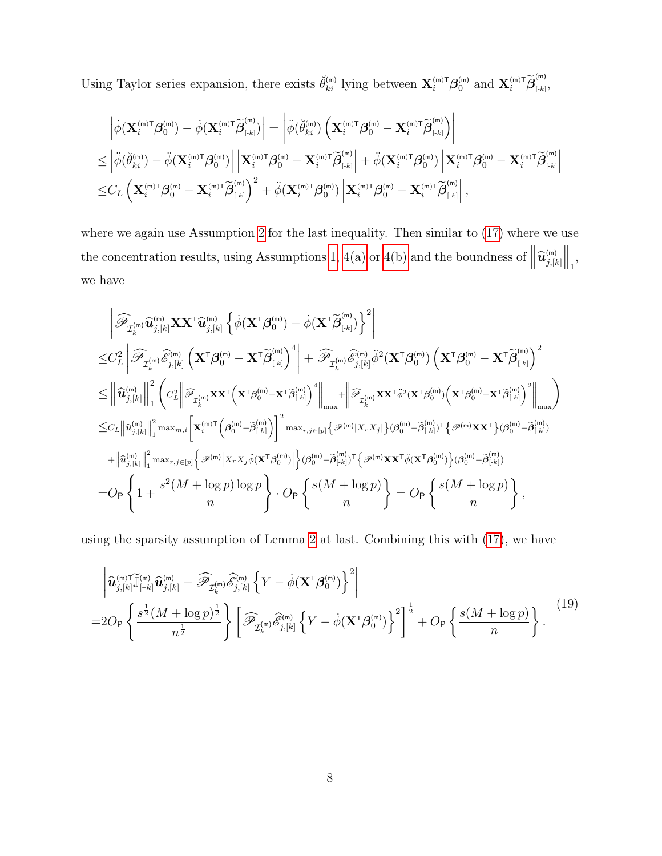Using Taylor series expansion, there exists  $\check{\theta}_{ki}^{(m)}$  lying between  $\mathbf{X}_{i}^{(m)\mathsf{T}}\boldsymbol{\beta}_{0}^{(m)}$  and  $\mathbf{X}_{i}^{(m)\mathsf{T}}\widetilde{\boldsymbol{\beta}}_{\left[\cdot,k\right]}^{(m)}$  $\binom{n+1}{k}$ 

$$
\begin{aligned} &\left|\dot{\phi}(\mathbf{X}^{^{(m)\mathsf{T}}}_{i}\boldsymbol{\beta}^{^{(m)}}_{0})-\dot{\phi}(\mathbf{X}^{^{(m)\mathsf{T}}}_{i}\widetilde{\boldsymbol{\beta}}^{^{(m)}}_{[-k]})\right|=\left|\ddot{\phi}(\breve{\theta}^{^{(m)}}_{ki})\left(\mathbf{X}^{^{(m)\mathsf{T}}}_{i}\boldsymbol{\beta}^{^{(m)}}_{0}-\mathbf{X}^{^{(m)\mathsf{T}}}_{i}\widetilde{\boldsymbol{\beta}}^{^{(m)}}_{[-k]}\right)\right|\\ \leq&\left|\ddot{\phi}(\breve{\theta}^{^{(m)}}_{ki})-\ddot{\phi}(\mathbf{X}^{^{(m)\mathsf{T}}}_{i}\boldsymbol{\beta}^{^{(m)}}_{0})\right|\left|\mathbf{X}^{^{(m)\mathsf{T}}}_{i}\boldsymbol{\beta}^{^{(m)}}_{0}-\mathbf{X}^{^{(m)\mathsf{T}}}_{i}\widetilde{\boldsymbol{\beta}}^{^{(m)}}_{[-k]}\right|+\ddot{\phi}(\mathbf{X}^{^{(m)\mathsf{T}}}_{i}\boldsymbol{\beta}^{^{(m)}}_{0})\left|\mathbf{X}^{^{(m)\mathsf{T}}}_{i}\boldsymbol{\beta}^{^{(m)}}_{0}-\mathbf{X}^{^{(m)\mathsf{T}}}_{i}\widetilde{\boldsymbol{\beta}}^{^{(m)}}_{[-k]}\right|\\ \leq &C_{L}\left(\mathbf{X}^{^{(m)\mathsf{T}}}_{i}\boldsymbol{\beta}^{^{(m)}}_{0}-\mathbf{X}^{^{(m)\mathsf{T}}}_{i}\widetilde{\boldsymbol{\beta}}^{^{(m)}}_{[-k]}\right)^{2}+\ddot{\phi}(\mathbf{X}^{^{(m)\mathsf{T}}}_{i}\boldsymbol{\beta}^{^{(m)}}_{0})\left|\mathbf{X}^{^{(m)\mathsf{T}}}_{i}\boldsymbol{\beta}^{^{(m)}}_{0}-\mathbf{X}^{^{(m)\mathsf{T}}}_{i}\widetilde{\boldsymbol{\beta}}^{^{(m)}}_{[-k]}\right|, \end{aligned}
$$

where we again use Assumption [2](#page-14-1) for the last inequality. Then similar to  $(17)$  where we use the concentration results, using Assumptions [1, 4\(a\)](#page-14-0) or [4\(b\)](#page-14-1) and the boundness of  $\left\|\widehat{\bm{u}}_{j,[k]}^{\text{(m)}}\right\|$  $\Big\|_1,$ we have

$$
\begin{split}\n&\left|\widehat{\mathscr{P}}_{\mathcal{I}_{k}^{(\text{m})}}\widehat{u}_{j,[k]}^{(\text{m})}\mathbf{X}\mathbf{X}^{\intercal}\widehat{u}_{j,[k]}^{(\text{m})}\left\{\dot{\phi}(\mathbf{X}^{\intercal}\boldsymbol{\beta}_{0}^{(\text{m})})-\dot{\phi}(\mathbf{X}^{\intercal}\widetilde{\boldsymbol{\beta}}_{[-k]}^{(\text{m})})\right\}^{2}\right| \\
&\leq & C_{L}^{2}\left|\widehat{\mathscr{P}}_{\mathcal{I}_{k}^{(\text{m})}}\widehat{\mathscr{E}}_{j,[k]}^{(\text{m})}\left(\mathbf{X}^{\intercal}\boldsymbol{\beta}_{0}^{(\text{m})}-\mathbf{X}^{\intercal}\widetilde{\boldsymbol{\beta}}_{[-k]}^{(\text{m})}\right)^{4}\right| + \widehat{\mathscr{P}}_{\mathcal{I}_{k}^{(\text{m})}}\widehat{\mathscr{E}}_{j,[k]}^{(\text{m})}\ddot{\phi}^{2}(\mathbf{X}^{\intercal}\boldsymbol{\beta}_{0}^{(\text{m})})\left(\mathbf{X}^{\intercal}\boldsymbol{\beta}_{0}^{(\text{m})}-\mathbf{X}^{\intercal}\widetilde{\boldsymbol{\beta}}_{[-k]}^{(\text{m})}\right)^{2} \\
&\leq & \left\|\widehat{u}_{j,[k]}^{(\text{m})}\right\|_{1}^{2}\left(c_{L}^{2}\left\|\widehat{\mathscr{P}}_{\mathcal{I}_{k}^{(\text{m})}}\mathbf{x}\mathbf{x}^{\intercal}\left(\mathbf{x}^{\intercal}\boldsymbol{\beta}_{0}^{(\text{m})}-\mathbf{x}^{\intercal}\widetilde{\boldsymbol{\beta}}_{[-k]}^{(\text{m})}\right)^{4}\right\|_{\max} + \left\|\widehat{\mathscr{P}}_{\mathcal{I}_{k}^{(\text{m})}}\mathbf{x}\mathbf{x}^{\intercal}\ddot{\phi}^{2}(\mathbf{x}^{\intercal}\boldsymbol{\beta}_{0}^{(\text{m})})\left(\mathbf{x}^{\intercal}\boldsymbol{\beta}_{0}^{(\text{m})}-\mathbf{x}^{\intercal}\widetilde{\boldsymbol{\beta}}_{[-k]}^{(\text{m})}\right)^{2}\right\|_{\max} \\
&\leq & c_{L}\left\|\widehat{u}_{j,[k]}^{(\text{m})}\right\|_{1}^{2}\max_{
$$

using the sparsity assumption of Lemma [2](#page-16-0) at last. Combining this with [\(17\)](#page-35-0), we have

<span id="page-37-0"></span>
$$
\left| \widehat{\mathbf{u}}_{j,[k]}^{(m)} \widetilde{\mathbf{u}}_{[-k]}^{(m)} \widehat{\mathbf{u}}_{j,[k]}^{(m)} - \widehat{\mathscr{P}}_{\mathcal{I}_k^{(m)}} \widehat{\mathscr{E}}_{j,[k]}^{(m)} \left\{ Y - \dot{\phi} (\mathbf{X}^{\mathsf{T}} \boldsymbol{\beta}_0^{(m)}) \right\}^2 \right|
$$
  
=2O<sub>P</sub>  $\left\{ \frac{s^{\frac{1}{2}} (M + \log p)^{\frac{1}{2}}}{n^{\frac{1}{2}}} \right\} \left[ \widehat{\mathscr{P}}_{\mathcal{I}_k^{(m)}} \widehat{\mathscr{E}}_{j,[k]}^{(m)} \left\{ Y - \dot{\phi} (\mathbf{X}^{\mathsf{T}} \boldsymbol{\beta}_0^{(m)}) \right\}^2 \right]^{\frac{1}{2}} + OP \left\{ \frac{s (M + \log p)}{n} \right\}.$  (19)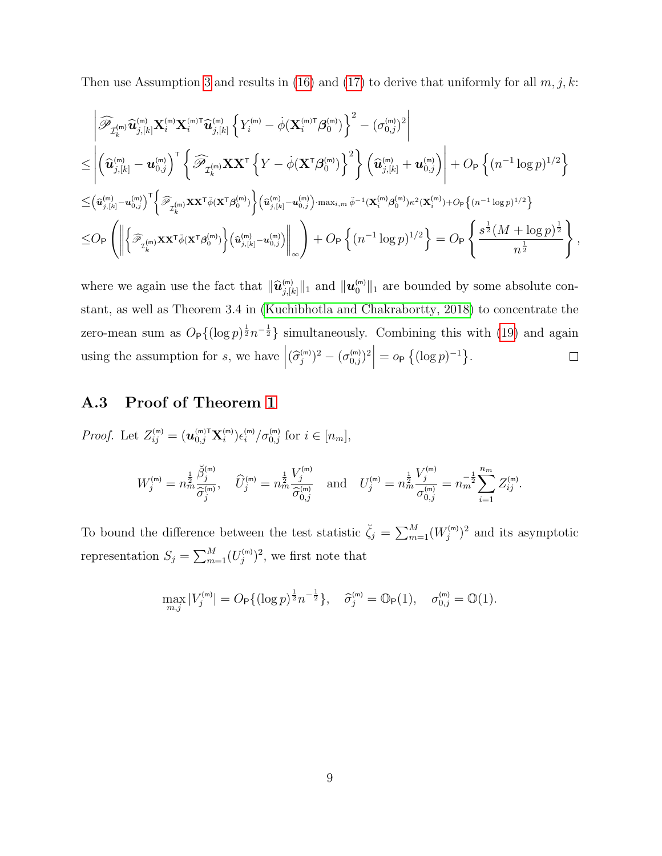Then use Assumption [3](#page-14-2) and results in [\(16\)](#page-34-2) and [\(17\)](#page-35-0) to derive that uniformly for all  $m, j, k$ :

$$
\begin{split} &\left|\widehat{\mathscr{P}}_{\mathcal{I}^{(\mathsf{m})}_{k}}\widehat{\mathbf{u}}^{(\mathsf{m})}_{j,[k]} \mathbf{X}^{(\mathsf{m})}_{i} \mathbf{X}^{(\mathsf{m}) \mathsf{T}}_{i} \widehat{\mathbf{u}}^{(\mathsf{m})}_{j,[k]} \left\{Y^{(\mathsf{m})}_{i} - \dot{\phi}(\mathbf{X}^{(\mathsf{m}) \mathsf{T}}_{i} \boldsymbol{\beta}^{(\mathsf{m})}_{0})\right\}^{2} - (\sigma_{0,j}^{(\mathsf{m})})^{2} \right| \\ &\leq \left| \left(\widehat{\mathbf{u}}^{(\mathsf{m})}_{j,[k]} - \mathbf{u}^{(\mathsf{m})}_{0,j}\right)^{\mathsf{T}} \left\{\widehat{\mathscr{P}}_{\mathcal{I}^{(\mathsf{m})}_{k}} \mathbf{X} \mathbf{X}^{\mathsf{T}} \left\{Y - \dot{\phi}(\mathbf{X}^{\mathsf{T}} \boldsymbol{\beta}^{(\mathsf{m})}_{0})\right\}^{2}\right\} \left(\widehat{\mathbf{u}}^{(\mathsf{m})}_{j,[k]} + \mathbf{u}^{(\mathsf{m})}_{0,j}\right) \right| + O_{\mathsf{P}}\left\{ (n^{-1} \log p)^{1/2} \right\} \\ &\leq & \left(\widehat{\mathbf{u}}^{(\mathsf{m})}_{j,[k]} - \mathbf{u}^{(\mathsf{m})}_{0,j}\right)^{\mathsf{T}} \left\{\widehat{\mathscr{P}}_{\mathcal{I}^{(\mathsf{m})}_{k}} \mathbf{X} \mathbf{X}^{\mathsf{T}} \ddot{\phi}(\mathbf{X}^{\mathsf{T}} \boldsymbol{\beta}^{(\mathsf{m})}_{0})\right\} \left(\widehat{\mathbf{u}}^{(\mathsf{m})}_{j,[k]} - \mathbf{u}^{(\mathsf{m})}_{0,j}\right) \cdot \max_{i,m} \ddot{\phi}^{-1}(\mathbf{X}^{(\mathsf{m})} \boldsymbol{\beta}^{(\mathsf{m})}_{0}) \kappa^{2}(\mathbf{X}^{(\mathsf{m})}) + O_{\mathsf{P}}\left\{ (n^{-1} \log p)^{1/2} \right\} \\ &\leq & O_{\mathsf{P}}\left(\left\|\left\{\widehat{\mathscr{P}}_{\mathcal{I}^{(\mathsf{m})}_{k}} \mathbf{
$$

where we again use the fact that  $\|\hat{\bm{u}}_{j,[k]}^{(m)}\|_1$  and  $\|\bm{u}_0^{(m)}\|_1$  are bounded by some absolute constant, as well as Theorem 3.4 in [\(Kuchibhotla and Chakrabortty, 2018\)](#page-50-8) to concentrate the zero-mean sum as  $O_P\{(\log p)^{\frac{1}{2}}n^{-\frac{1}{2}}\}$  simultaneously. Combining this with [\(19\)](#page-37-0) and again using the assumption for s, we have  $\left| (\widehat{\sigma}_{j}^{(m)})^2 - (\sigma_{0,j}^{(m)})^2 \right| = o_P \left\{ (\log p)^{-1} \right\}.$  $\Box$ 

### A.3 Proof of Theorem [1](#page-17-0)

*Proof.* Let  $Z_{ij}^{(m)} = (\boldsymbol{u}_{0,j}^{(m)T} \mathbf{X}_i^{(m)}) \epsilon_i^{(m)}/\sigma_{0,j}^{(m)}$  for  $i \in [n_m]$ ,

$$
W_j^{(m)} = n_m^{\frac{1}{2}} \frac{\check{\beta}_j^{(m)}}{\hat{\sigma}_j^{(m)}}, \quad \widehat{U}_j^{(m)} = n_m^{\frac{1}{2}} \frac{V_j^{(m)}}{\hat{\sigma}_{0,j}^{(m)}} \quad \text{and} \quad U_j^{(m)} = n_m^{\frac{1}{2}} \frac{V_j^{(m)}}{\sigma_{0,j}^{(m)}} = n_m^{-\frac{1}{2}} \sum_{i=1}^{n_m} Z_{ij}^{(m)}.
$$

To bound the difference between the test statistic  $\check{\zeta}_j = \sum_{m=1}^M (W_j^{(m)})^2$  and its asymptotic representation  $S_j = \sum_{m=1}^{M} (U_j^{(m)})^2$ , we first note that

$$
\max_{m,j} |V_j^{(m)}| = O_P\{ (\log p)^{\frac{1}{2}} n^{-\frac{1}{2}} \}, \quad \widehat{\sigma}_j^{(m)} = \mathbb{O}_P(1), \quad \sigma_{0,j}^{(m)} = \mathbb{O}(1).
$$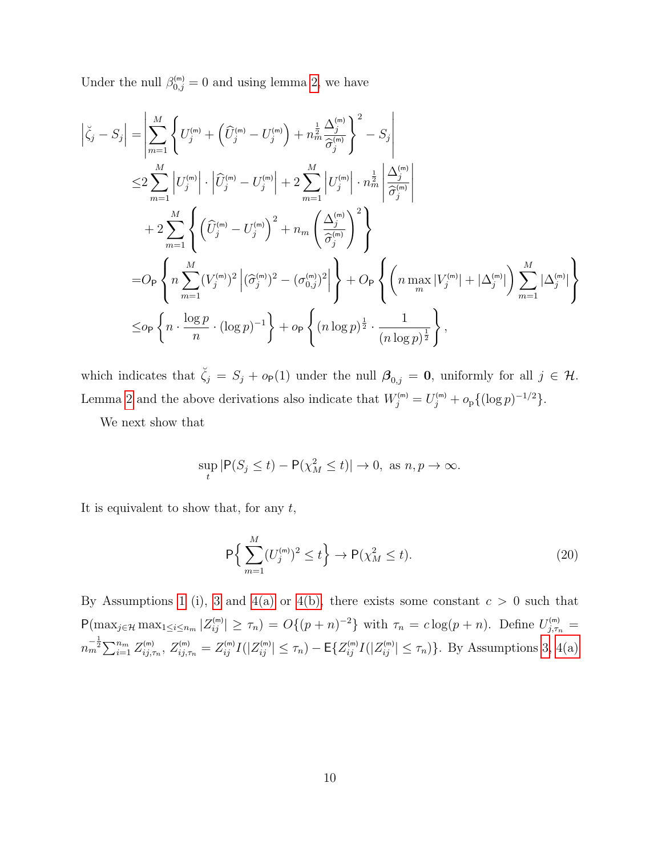Under the null  $\beta_{0,j}^{(m)} = 0$  and using lemma [2,](#page-16-0) we have

$$
\left| \xi_{j} - S_{j} \right| = \left| \sum_{m=1}^{M} \left\{ U_{j}^{(m)} + \left( \widehat{U}_{j}^{(m)} - U_{j}^{(m)} \right) + n_{m}^{\frac{1}{2}} \frac{\Delta_{j}^{(m)}}{\widehat{\sigma}_{j}^{(m)}} \right\}^{2} - S_{j} \right|
$$
\n
$$
\leq 2 \sum_{m=1}^{M} \left| U_{j}^{(m)} \right| \cdot \left| \widehat{U}_{j}^{(m)} - U_{j}^{(m)} \right| + 2 \sum_{m=1}^{M} \left| U_{j}^{(m)} \right| \cdot n_{m}^{\frac{1}{2}} \left| \frac{\Delta_{j}^{(m)}}{\widehat{\sigma}_{j}^{(m)}} \right|
$$
\n
$$
+ 2 \sum_{m=1}^{M} \left\{ \left( \widehat{U}_{j}^{(m)} - U_{j}^{(m)} \right)^{2} + n_{m} \left( \frac{\Delta_{j}^{(m)}}{\widehat{\sigma}_{j}^{(m)}} \right)^{2} \right\}
$$
\n
$$
= O_{\mathsf{P}} \left\{ n \sum_{m=1}^{M} (V_{j}^{(m)})^{2} \left| (\widehat{\sigma}_{j}^{(m)})^{2} - (\sigma_{0,j}^{(m)})^{2} \right| \right\} + O_{\mathsf{P}} \left\{ \left( n \max_{m} |V_{j}^{(m)}| + |\Delta_{j}^{(m)}| \right) \sum_{m=1}^{M} |\Delta_{j}^{(m)}| \right\}
$$
\n
$$
\leq o_{\mathsf{P}} \left\{ n \cdot \frac{\log p}{n} \cdot (\log p)^{-1} \right\} + o_{\mathsf{P}} \left\{ (n \log p)^{\frac{1}{2}} \cdot \frac{1}{(n \log p)^{\frac{1}{2}}} \right\},
$$

which indicates that  $\check{\zeta}_j = S_j + o_P(1)$  under the null  $\beta_{0,j} = 0$ , uniformly for all  $j \in \mathcal{H}$ . Lemma [2](#page-16-0) and the above derivations also indicate that  $W_j^{(m)} = U_j^{(m)} + o_p \{ (\log p)^{-1/2} \}.$ 

We next show that

$$
\sup_{t} |\mathsf{P}(S_j \le t) - \mathsf{P}(\chi_M^2 \le t)| \to 0, \text{ as } n, p \to \infty.
$$

It is equivalent to show that, for any  $t$ ,

<span id="page-39-0"></span>
$$
\mathsf{P}\Big\{\sum_{m=1}^{M} (U_j^{(m)})^2 \le t\Big\} \to \mathsf{P}(\chi_M^2 \le t). \tag{20}
$$

By Assumptions [1](#page-14-0) (i), [3](#page-14-2) and [4\(a\)](#page-14-0) or [4\(b\),](#page-14-1) there exists some constant  $c > 0$  such that  $P(\max_{j\in\mathcal{H}}\max_{1\leq i\leq n_m}|Z_{ij}^{(m)}|\geq \tau_n)=O\{(p+n)^{-2}\}\text{ with }\tau_n=c\log(p+n).$  Define  $U_{j,\tau_n}^{(m)}=C\{u,\tau_n\}$  $n_m^{-\frac{1}{2}} \sum_{i=1}^{n_m} Z_{ij,\tau_n}^{(m)}$ ,  $Z_{ij,\tau_n}^{(m)} = Z_{ij}^{(m)} I(|Z_{ij}^{(m)}| \leq \tau_n) - \mathsf{E}\{Z_{ij}^{(m)} I(|Z_{ij}^{(m)}| \leq \tau_n)\}\.$  By Assumptions [3,](#page-14-2) [4\(a\)](#page-14-0)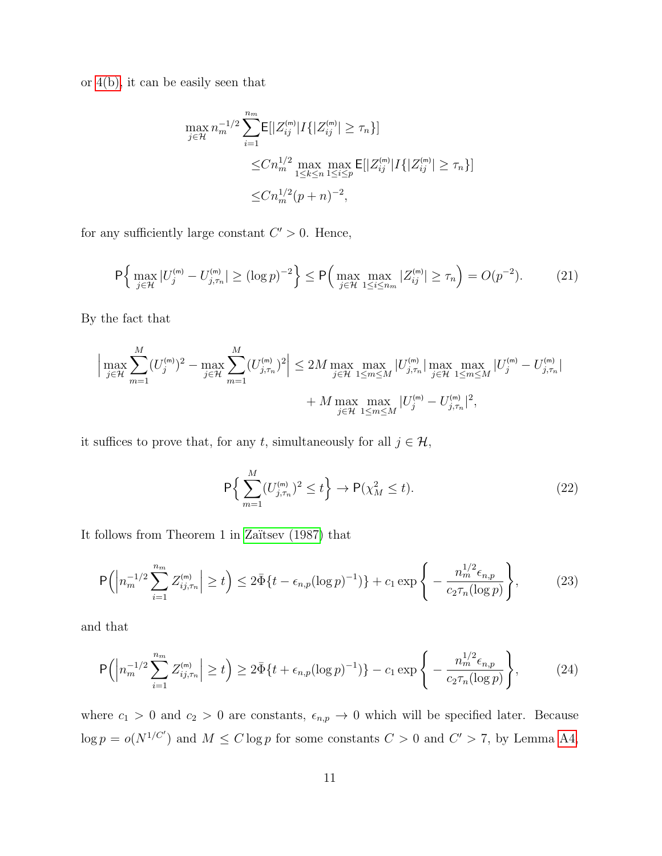or [4\(b\),](#page-14-1) it can be easily seen that

$$
\max_{j \in \mathcal{H}} n_m^{-1/2} \sum_{i=1}^{n_m} \mathsf{E}[|Z_{ij}^{(m)}| I\{|Z_{ij}^{(m)}| \ge \tau_n\}]
$$
  

$$
\le C n_m^{1/2} \max_{1 \le k \le n} \max_{1 \le i \le p} \mathsf{E}[|Z_{ij}^{(m)}| I\{|Z_{ij}^{(m)}| \ge \tau_n\}]
$$
  

$$
\le C n_m^{1/2} (p+n)^{-2},
$$

for any sufficiently large constant  $C' > 0$ . Hence,

<span id="page-40-3"></span>
$$
\mathsf{P}\Big\{\max_{j\in\mathcal{H}}|U_j^{(\mathsf{m})} - U_{j,\tau_n}^{(\mathsf{m})}| \ge (\log p)^{-2}\Big\} \le \mathsf{P}\Big(\max_{j\in\mathcal{H}}\max_{1\le i\le n_m}|Z_{ij}^{(\mathsf{m})}| \ge \tau_n\Big) = O(p^{-2}).\tag{21}
$$

By the fact that

$$
\left| \max_{j \in \mathcal{H}} \sum_{m=1}^{M} (U_j^{(m)})^2 - \max_{j \in \mathcal{H}} \sum_{m=1}^{M} (U_{j,\tau_n}^{(m)})^2 \right| \le 2M \max_{j \in \mathcal{H}} \max_{1 \le m \le M} |U_{j,\tau_n}^{(m)}| \max_{j \in \mathcal{H}} \max_{1 \le m \le M} |U_j^{(m)} - U_{j,\tau_n}^{(m)}| + M \max_{j \in \mathcal{H}} \max_{1 \le m \le M} |U_j^{(m)} - U_{j,\tau_n}^{(m)}|^2,
$$

it suffices to prove that, for any t, simultaneously for all  $j \in \mathcal{H}$ ,

<span id="page-40-0"></span>
$$
\mathsf{P}\Big\{\sum_{m=1}^{M} (U_{j,\tau_n}^{(m)})^2 \le t\Big\} \to \mathsf{P}(\chi_M^2 \le t). \tag{22}
$$

It follows from Theorem 1 in Zaïtsev  $(1987)$  that

<span id="page-40-1"></span>
$$
\mathsf{P}\Big(\Big|n_m^{-1/2}\sum_{i=1}^{n_m}Z_{ij,\tau_n}^{(\mathsf{m})}\Big|\geq t\Big)\leq 2\bar{\Phi}\{t-\epsilon_{n,p}(\log p)^{-1})\}+c_1\exp\Bigg\{-\frac{n_m^{1/2}\epsilon_{n,p}}{c_2\tau_n(\log p)}\Bigg\},\tag{23}
$$

and that

<span id="page-40-2"></span>
$$
\mathsf{P}\Big(\Big|n_m^{-1/2}\sum_{i=1}^{n_m} Z_{ij,\tau_n}^{(\mathsf{m})}\Big| \ge t\Big) \ge 2\bar{\Phi}\{t + \epsilon_{n,p}(\log p)^{-1})\} - c_1 \exp\Bigg\{-\frac{n_m^{1/2}\epsilon_{n,p}}{c_2\tau_n(\log p)}\Bigg\},\tag{24}
$$

where  $c_1 > 0$  and  $c_2 > 0$  are constants,  $\epsilon_{n,p} \to 0$  which will be specified later. Because  $\log p = o(N^{1/C'})$  and  $M \leq C \log p$  for some constants  $C > 0$  and  $C' > 7$ , by Lemma [A4,](#page-46-1)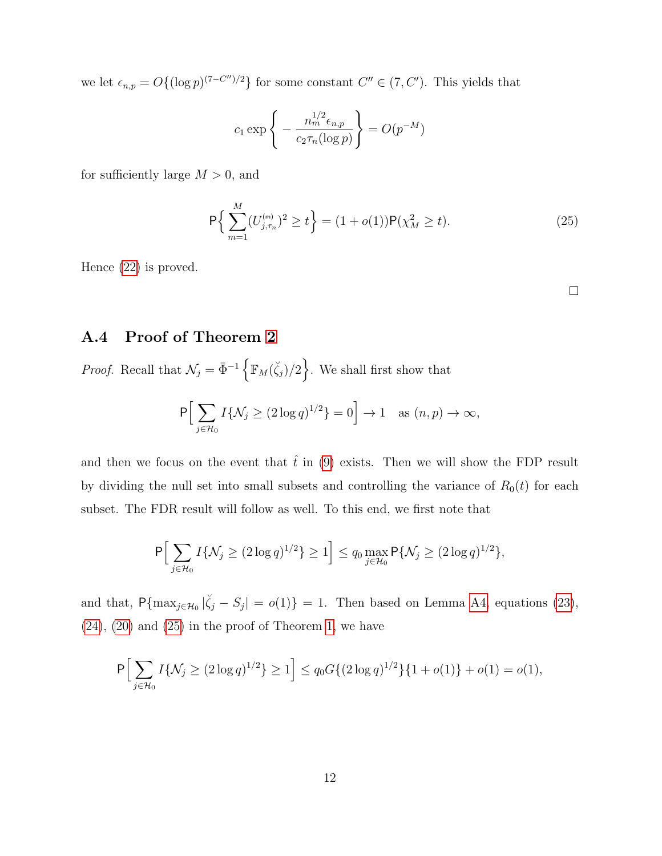we let  $\epsilon_{n,p} = O\{(\log p)^{(7-C'')/2}\}\$ for some constant  $C'' \in (7, C')$ . This yields that

$$
c_1 \exp\left\{-\frac{n_m^{1/2}\epsilon_{n,p}}{c_2 \tau_n(\log p)}\right\} = O(p^{-M})
$$

for sufficiently large  $M > 0$ , and

<span id="page-41-0"></span>
$$
\mathsf{P}\left\{\sum_{m=1}^{M} (U_{j,\tau_n}^{(m)})^2 \ge t\right\} = (1+o(1))\mathsf{P}(\chi_M^2 \ge t). \tag{25}
$$

Hence [\(22\)](#page-40-0) is proved.

### A.4 Proof of Theorem [2](#page-17-1)

*Proof.* Recall that  $\mathcal{N}_j = \bar{\Phi}^{-1} \left\{ \mathbb{F}_M(\zeta_j)/2 \right\}$ . We shall first show that

$$
P\Big[\sum_{j\in\mathcal{H}_0} I\{\mathcal{N}_j \ge (2\log q)^{1/2}\} = 0\Big] \to 1 \quad \text{as } (n,p) \to \infty,
$$

and then we focus on the event that  $\hat{t}$  in [\(9\)](#page-11-0) exists. Then we will show the FDP result by dividing the null set into small subsets and controlling the variance of  $R_0(t)$  for each subset. The FDR result will follow as well. To this end, we first note that

$$
\mathsf{P}\Big[\sum_{j\in\mathcal{H}_0} I\{\mathcal{N}_j \ge (2\log q)^{1/2}\} \ge 1\Big] \le q_0 \max_{j\in\mathcal{H}_0} \mathsf{P}\{\mathcal{N}_j \ge (2\log q)^{1/2}\},\
$$

and that,  $P{\max_{j\in\mathcal{H}_0}|\zeta_j-S_j|} = o(1) = 1$ . Then based on Lemma [A4,](#page-46-1) equations [\(23\)](#page-40-1),  $(24)$ ,  $(20)$  and  $(25)$  in the proof of Theorem [1,](#page-17-0) we have

$$
P\Big[\sum_{j\in\mathcal{H}_0} I\{\mathcal{N}_j \ge (2\log q)^{1/2}\} \ge 1\Big] \le q_0 G\{(2\log q)^{1/2}\}\{1+o(1)\}+o(1)=o(1),
$$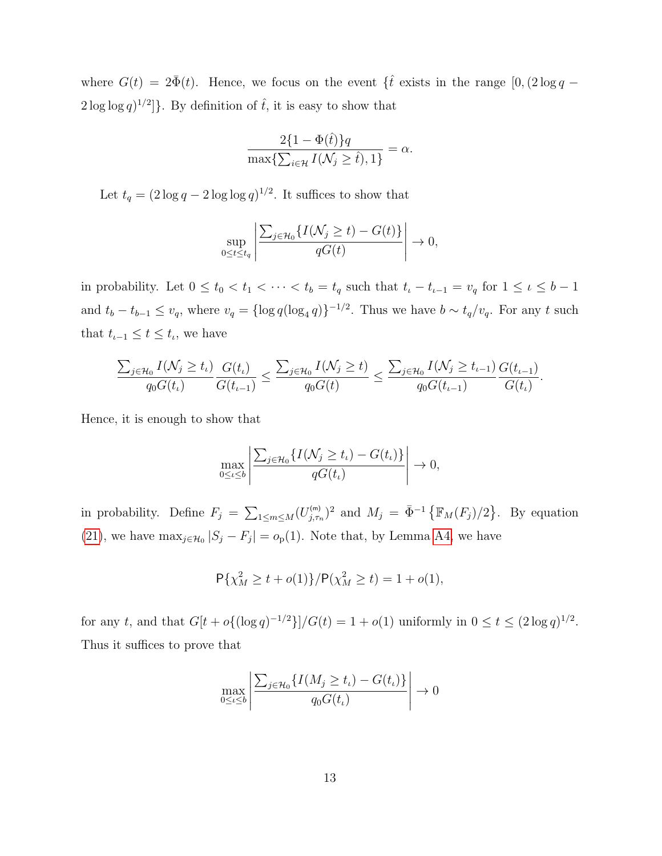where  $G(t) = 2\bar{\Phi}(t)$ . Hence, we focus on the event  $\{\hat{t} \text{ exists in the range } [0,(2\log q 2\log\log q$ <sup>1/2</sup>]. By definition of  $\hat{t}$ , it is easy to show that

$$
\frac{2\{1-\Phi(\hat{t})\}q}{\max\{\sum_{i\in\mathcal{H}}I(\mathcal{N}_j\geq \hat{t}),1\}}=\alpha.
$$

Let  $t_q = (2 \log q - 2 \log \log q)^{1/2}$ . It suffices to show that

$$
\sup_{0 \le t \le t_q} \left| \frac{\sum_{j \in \mathcal{H}_0} \{ I(\mathcal{N}_j \ge t) - G(t) \}}{qG(t)} \right| \to 0,
$$

in probability. Let  $0 \le t_0 < t_1 < \cdots < t_b = t_q$  such that  $t_i - t_{i-1} = v_q$  for  $1 \le \iota \le b-1$ and  $t_b - t_{b-1} \le v_q$ , where  $v_q = {\log q(\log_4 q)}^{-1/2}$ . Thus we have  $b \sim t_q/v_q$ . For any t such that  $t_{\iota-1} \leq t \leq t_{\iota}$ , we have

$$
\frac{\sum_{j\in \mathcal{H}_0} I(\mathcal{N}_j\geq t_\iota)}{q_0G(t_\iota)}\frac{G(t_\iota)}{G(t_{\iota-1})}\leq \frac{\sum_{j\in \mathcal{H}_0} I(\mathcal{N}_j\geq t)}{q_0G(t)}\leq \frac{\sum_{j\in \mathcal{H}_0} I(\mathcal{N}_j\geq t_{\iota-1})}{q_0G(t_{\iota-1})}\frac{G(t_{\iota-1})}{G(t_\iota)}.
$$

Hence, it is enough to show that

$$
\max_{0 \leq t \leq b} \left| \frac{\sum_{j \in \mathcal{H}_0} \{ I(\mathcal{N}_j \geq t_\iota) - G(t_\iota) \}}{qG(t_\iota)} \right| \to 0,
$$

in probability. Define  $F_j = \sum_{1 \le m \le M} (U_{j,\tau_n}^{(m)})^2$  and  $M_j = \bar{\Phi}^{-1} \{ \mathbb{F}_M(F_j)/2 \}$ . By equation [\(21\)](#page-40-3), we have  $\max_{j \in \mathcal{H}_0} |S_j - F_j| = o_p(1)$ . Note that, by Lemma [A4,](#page-46-1) we have

$$
P\{\chi_M^2 \ge t + o(1)\}/P(\chi_M^2 \ge t) = 1 + o(1),
$$

for any t, and that  $G[t + o\{(\log q)^{-1/2}\}]/G(t) = 1 + o(1)$  uniformly in  $0 \le t \le (2 \log q)^{1/2}$ . Thus it suffices to prove that

$$
\max_{0 \leq \iota \leq b} \left| \frac{\sum_{j \in \mathcal{H}_0} \{ I(M_j \geq t_\iota) - G(t_\iota) \}}{q_0 G(t_\iota)} \right| \to 0
$$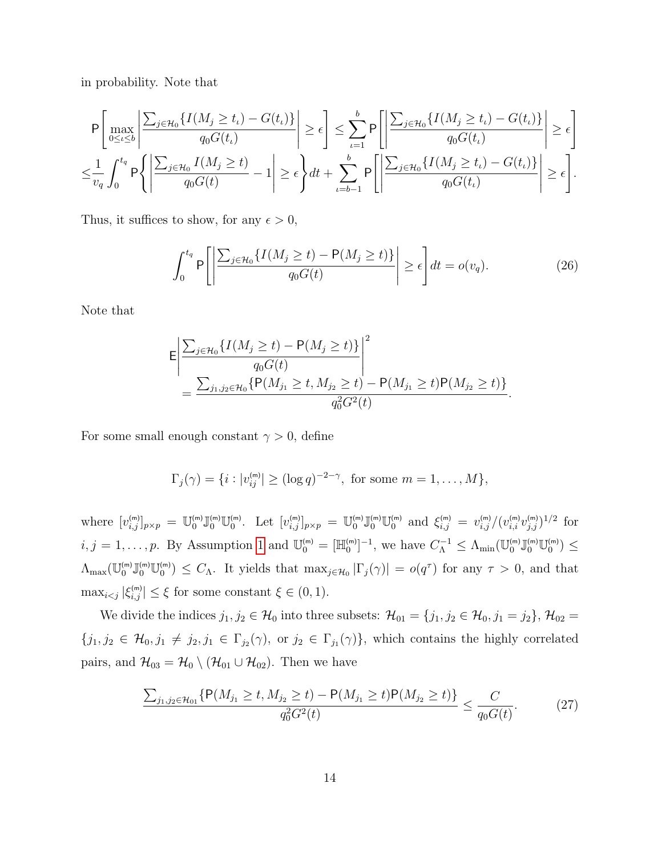in probability. Note that

$$
\mathsf{P}\left[\max_{0\leq\iota\leq b}\left|\frac{\sum_{j\in\mathcal{H}_0}\{I(M_j\geq t_\iota)-G(t_\iota)\}}{q_0G(t_\iota)}\right|\geq\epsilon\right]\leq\sum_{\iota=1}^b\mathsf{P}\left[\left|\frac{\sum_{j\in\mathcal{H}_0}\{I(M_j\geq t_\iota)-G(t_\iota)\}}{q_0G(t_\iota)}\right|\geq\epsilon\right]\leq\epsilon\right]
$$

$$
\leq\frac{1}{v_q}\int_0^{t_q}\mathsf{P}\left\{\left|\frac{\sum_{j\in\mathcal{H}_0}I(M_j\geq t)}{q_0G(t)}-1\right|\geq\epsilon\right\}dt+\sum_{\iota=b-1}^b\mathsf{P}\left[\left|\frac{\sum_{j\in\mathcal{H}_0}\{I(M_j\geq t_\iota)-G(t_\iota)\}}{q_0G(t_\iota)}\right|\geq\epsilon\right].
$$

Thus, it suffices to show, for any  $\epsilon > 0$ ,

<span id="page-43-1"></span>
$$
\int_0^{t_q} P\left[\left|\frac{\sum_{j\in\mathcal{H}_0} \{I(M_j \ge t) - P(M_j \ge t)\}}{q_0 G(t)}\right| \ge \epsilon\right] dt = o(v_q). \tag{26}
$$

Note that

$$
\mathsf{E}\left|\frac{\sum_{j\in\mathcal{H}_0}\{I(M_j\geq t)-\mathsf{P}(M_j\geq t)\}}{q_0G(t)}\right|^2 = \frac{\sum_{j_1,j_2\in\mathcal{H}_0}\{\mathsf{P}(M_{j_1}\geq t,M_{j_2}\geq t)-\mathsf{P}(M_{j_1}\geq t)\mathsf{P}(M_{j_2}\geq t)\}}{q_0^2G^2(t)}.
$$

For some small enough constant  $\gamma > 0$ , define

$$
\Gamma_j(\gamma) = \{i : |v_{ij}^{(m)}| \geq (\log q)^{-2-\gamma}, \text{ for some } m = 1, ..., M\},\
$$

where  $[v_{i,j}^{(m)}]_{p\times p} = \mathbb{U}_{0}^{(m)} \mathbb{U}_{0}^{(m)}$ . Let  $[v_{i,j}^{(m)}]_{p\times p} = \mathbb{U}_{0}^{(m)} \mathbb{U}_{0}^{(m)}$  and  $\xi_{i,j}^{(m)} = v_{i,j}^{(m)}/(v_{i,i}^{(m)}v_{j,j}^{(m)})^{1/2}$  for  $i, j = 1, \ldots, p$  $i, j = 1, \ldots, p$  $i, j = 1, \ldots, p$ . By Assumption 1 and  $\mathbb{U}_{0}^{(m)} = [\mathbb{H}_{0}^{(m)}]^{-1}$ , we have  $C_{\Lambda}^{-1} \leq \Lambda_{\min}(\mathbb{U}_{0}^{(m)}\mathbb{J}_{0}^{(m)}\mathbb{U}_{0}^{(m)}) \leq$  $\Lambda_{\max}(\mathbb{U}_{0}^{(m)}\mathbb{U}_{0}^{(m)})\leq C_{\Lambda}$ . It yields that  $\max_{j\in\mathcal{H}_{0}}|\Gamma_{j}(\gamma)|=o(q^{\tau})$  for any  $\tau>0$ , and that  $\max_{i \leq j} |\xi_{i,j}^{(m)}| \leq \xi$  for some constant  $\xi \in (0,1)$ .

We divide the indices  $j_1, j_2 \in \mathcal{H}_0$  into three subsets:  $\mathcal{H}_{01} = \{j_1, j_2 \in \mathcal{H}_0, j_1 = j_2\}, \mathcal{H}_{02} =$  $\{j_1, j_2 \in \mathcal{H}_0, j_1 \neq j_2, j_1 \in \Gamma_{j_2}(\gamma) \}$ , or  $j_2 \in \Gamma_{j_1}(\gamma) \}$ , which contains the highly correlated pairs, and  $\mathcal{H}_{03} = \mathcal{H}_0 \setminus (\mathcal{H}_{01} \cup \mathcal{H}_{02})$ . Then we have

<span id="page-43-0"></span>
$$
\frac{\sum_{j_1,j_2 \in \mathcal{H}_{01}} \{P(M_{j_1} \ge t, M_{j_2} \ge t) - P(M_{j_1} \ge t)P(M_{j_2} \ge t)\}}{q_0^2 G^2(t)} \le \frac{C}{q_0 G(t)}.\tag{27}
$$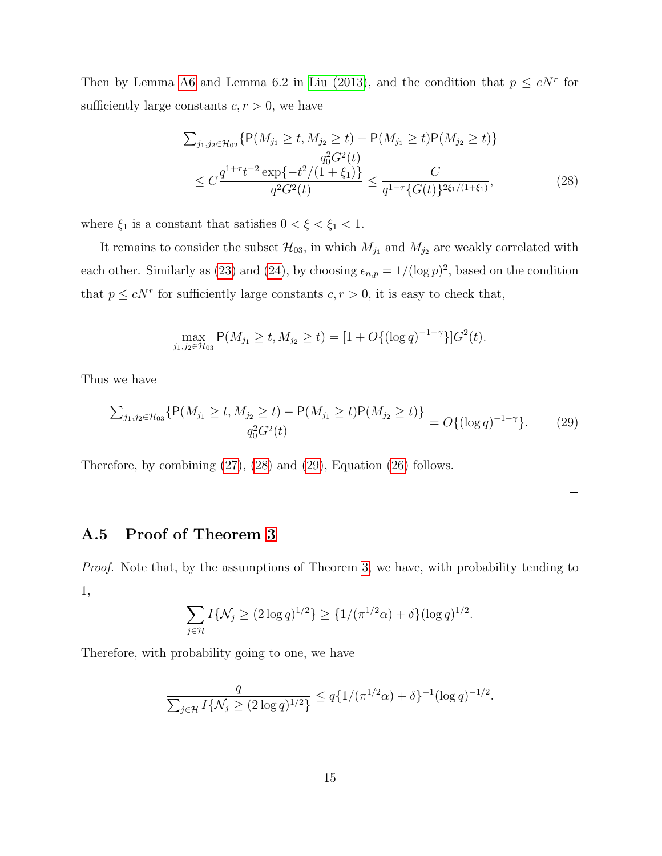Then by Lemma [A6](#page-47-0) and Lemma 6.2 in [Liu \(2013\)](#page-50-9), and the condition that  $p \leq cN^r$  for sufficiently large constants  $c, r > 0$ , we have

<span id="page-44-0"></span>
$$
\frac{\sum_{j_1, j_2 \in \mathcal{H}_{02}} \{P(M_{j_1} \ge t, M_{j_2} \ge t) - P(M_{j_1} \ge t) P(M_{j_2} \ge t)\}}{q_0^2 G^2(t)} \le C \frac{q^{1+\tau} t^{-2} \exp\{-t^2/(1+\xi_1)\}}{q^2 G^2(t)} \le \frac{C}{q^{1-\tau} \{G(t)\}^{2\xi_1/(1+\xi_1)}},
$$
\n(28)

where  $\xi_1$  is a constant that satisfies  $0 < \xi < \xi_1 < 1$ .

It remains to consider the subset  $\mathcal{H}_{03}$ , in which  $M_{j_1}$  and  $M_{j_2}$  are weakly correlated with each other. Similarly as [\(23\)](#page-40-1) and [\(24\)](#page-40-2), by choosing  $\epsilon_{n,p} = 1/(\log p)^2$ , based on the condition that  $p \leq cN^r$  for sufficiently large constants  $c, r > 0$ , it is easy to check that,

$$
\max_{j_1,j_2 \in \mathcal{H}_{03}} P(M_{j_1} \ge t, M_{j_2} \ge t) = [1 + O\{(\log q)^{-1-\gamma}\}]G^2(t).
$$

Thus we have

<span id="page-44-1"></span>
$$
\frac{\sum_{j_1,j_2 \in \mathcal{H}_{03}} \{P(M_{j_1} \ge t, M_{j_2} \ge t) - P(M_{j_1} \ge t)P(M_{j_2} \ge t)\}}{q_0^2 G^2(t)} = O\{(\log q)^{-1-\gamma}\}.
$$
 (29)

Therefore, by combining [\(27\)](#page-43-0), [\(28\)](#page-44-0) and [\(29\)](#page-44-1), Equation [\(26\)](#page-43-1) follows.

 $\Box$ 

### A.5 Proof of Theorem [3](#page-18-2)

Proof. Note that, by the assumptions of Theorem [3,](#page-18-2) we have, with probability tending to 1,

$$
\sum_{j \in \mathcal{H}} I\{\mathcal{N}_j \ge (2 \log q)^{1/2}\} \ge \{1/(\pi^{1/2}\alpha) + \delta\} (\log q)^{1/2}.
$$

Therefore, with probability going to one, we have

$$
\frac{q}{\sum_{j\in\mathcal{H}}I\{\mathcal{N}_j\geq (2\log q)^{1/2}\}}\leq q\{1/(\pi^{1/2}\alpha)+\delta\}^{-1}(\log q)^{-1/2}.
$$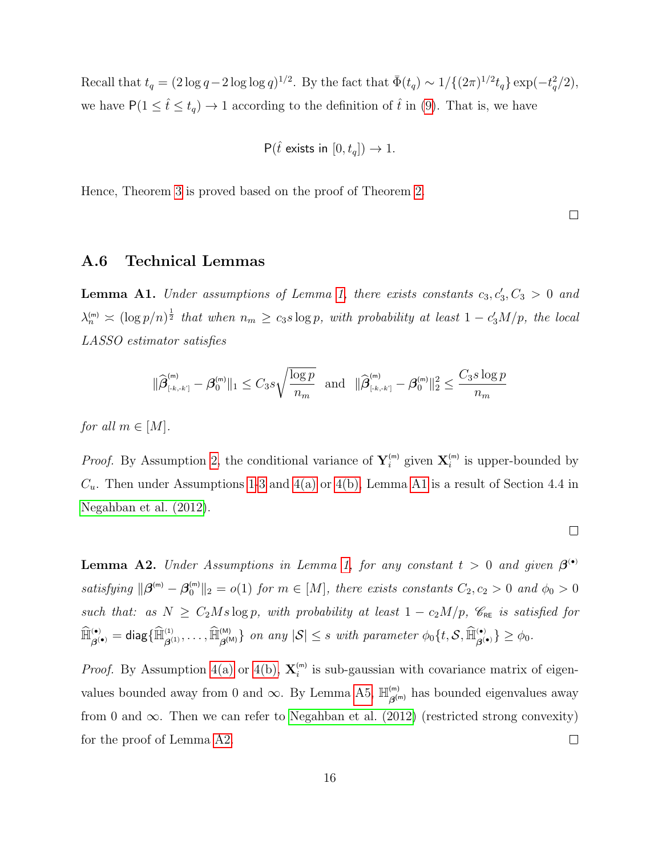Recall that  $t_q = (2 \log q - 2 \log \log q)^{1/2}$ . By the fact that  $\bar{\Phi}(t_q) \sim 1/\{(2\pi)^{1/2} t_q\} \exp(-t_q^2/2)$ , we have  $P(1 \leq \hat{t} \leq t_q) \to 1$  according to the definition of  $\hat{t}$  in [\(9\)](#page-11-0). That is, we have

$$
\mathsf{P}(\hat{t} \text{ exists in } [0, t_q]) \to 1.
$$

Hence, Theorem [3](#page-18-2) is proved based on the proof of Theorem [2.](#page-17-1)

 $\Box$ 

### <span id="page-45-0"></span>A.6 Technical Lemmas

**Lemma A1.** Under assumptions of Lemma [1,](#page-15-1) there exists constants  $c_3, c'_3, C_3 > 0$  and  $\lambda_n^{(m)} \asymp (\log p/n)^{\frac{1}{2}}$  that when  $n_m \geq c_3 s \log p$ , with probability at least  $1 - c_3'M/p$ , the local LASSO estimator satisfies

$$
\|\widehat{\beta}_{\text{\tiny{[-k,-k']}}}^{\text{\tiny{(m)}}} - \beta_0^{\text{\tiny{(m)}}}\|_1 \leq C_3 s \sqrt{\frac{\log p}{n_m}} \text{ and } \|\widehat{\beta}_{\text{\tiny{[-k,-k']}}}^{\text{\tiny{(m)}}} - \beta_0^{\text{\tiny{(m)}}}\|_2^2 \leq \frac{C_3 s \log p}{n_m}
$$

for all  $m \in [M]$ .

*Proof.* By Assumption [2,](#page-14-1) the conditional variance of  $Y_i^{(m)}$  given  $X_i^{(m)}$  is upper-bounded by  $C_u$ . Then under Assumptions [1-](#page-14-0)[3](#page-14-2) and [4\(a\)](#page-14-0) or [4\(b\),](#page-14-1) Lemma [A1](#page-15-1) is a result of Section 4.4 in [Negahban et al. \(2012\)](#page-51-5).

 $\Box$ 

**Lemma A2.** Under Assumptions in Lemma [1,](#page-15-1) for any constant  $t > 0$  and given  $\beta^{(0)}$ satisfying  $\|\boldsymbol{\beta}^{(m)} - \boldsymbol{\beta}_0^{(m)}\|_2 = o(1)$  for  $m \in [M]$ , there exists constants  $C_2, c_2 > 0$  and  $\phi_0 > 0$ such that: as  $N \geq C_2Ms \log p$ , with probability at least  $1 - c_2M/p$ ,  $\mathscr{C}_{RE}$  is satisfied for  $\widehat{\mathbb{H}}_{\boldsymbol{\beta}^{(\bullet)}}^{(\bullet)}=\textsf{diag}\{\widehat{\mathbb{H}}_{\boldsymbol{\beta}^{(1)}}^{(1)},\ldots,\widehat{\mathbb{H}}_{\boldsymbol{\beta}^{(\mathsf{M})}}^{(\mathsf{M})}\}$  on any  $|\mathcal{S}|\leq s$  with parameter  $\phi_0\{t,\mathcal{S},\widehat{\mathbb{H}}_{\boldsymbol{\beta}^{(\bullet)}}^{(\bullet)}\}\geq\phi_0.$ 

*Proof.* By Assumption [4\(a\)](#page-14-0) or [4\(b\),](#page-14-1)  $\mathbf{X}_{i}^{(m)}$  is sub-gaussian with covariance matrix of eigenvalues bounded away from 0 and  $\infty$ . By Lemma [A5,](#page-47-1)  $\mathbb{H}_{\text{alt}}^{(m)}$  $\beta_{\beta^{(m)}}^{^{(m)}}$  has bounded eigenvalues away from 0 and  $\infty$ . Then we can refer to [Negahban et al. \(2012\)](#page-51-5) (restricted strong convexity) for the proof of Lemma [A2.](#page-16-0)  $\Box$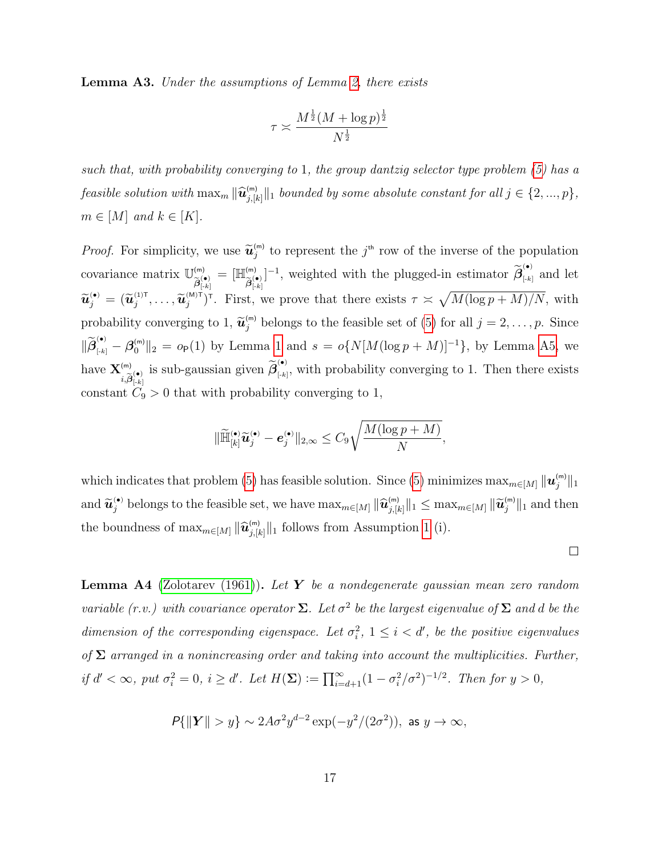<span id="page-46-0"></span>Lemma A3. Under the assumptions of Lemma [2,](#page-16-0) there exists

$$
\tau \asymp \frac{M^{\frac{1}{2}}(M+\log p)^{\frac{1}{2}}}{N^{\frac{1}{2}}}
$$

such that, with probability converging to 1, the group dantzig selector type problem [\(5\)](#page-9-2) has a feasible solution with  $\max_{m} \|\widehat{\bm{u}}_{j,[k]}^{(\mathsf{m})}\|_1$  bounded by some absolute constant for all  $j \in \{2,...,p\}$ ,  $m \in [M]$  and  $k \in [K]$ .

*Proof.* For simplicity, we use  $\tilde{\mathbf{u}}_j^{(m)}$  to represent the j<sup>th</sup> row of the inverse of the population covariance matrix  $\mathbb{U}^{(m)}_{\leq 0}$  $\widetilde{\bm{\beta}}_{[-k]}^{(\bullet)}$  $=$   $[\mathbb{H}^{(m)}_{\sim}$  $\widetilde{\bm{\beta}}_{[{\text{-}k}]}^{(\bullet)}$  $]^{-1}$ , weighted with the plugged-in estimator  $\widetilde{\beta}_{\left[k\right]}^{(\bullet)}$  $\sum_{k=1}^{N}$  and let  $\widetilde{\mathbf{u}}_j^{(\bullet)} = (\widetilde{\mathbf{u}}_j^{(1)\mathsf{T}}, \ldots, \widetilde{\mathbf{u}}_j^{(M)\mathsf{T}})^{\mathsf{T}}$ . First, we prove that there exists  $\tau \asymp \sqrt{M(\log p + M)/N}$ , with probability converging to 1,  $\tilde{u}_j^{(m)}$  belongs to the feasible set of [\(5\)](#page-9-2) for all  $j = 2, \ldots, p$ . Since  $\|\widetilde{\beta}_{[k]}^{(\bullet)} - \beta_0^{(m)} \|_2 = o_P(1)$  by Lemma [1](#page-15-1) and  $s = o\{N[M(\log p + M)]^{-1}\}\)$ , by Lemma [A5,](#page-47-1) we have  $\mathbf{X}^{\scriptscriptstyle{\mathsf{(m)}}}$  $\widetilde{\beta}^{(\mathsf{m})}_{[i,\widetilde{\beta}^{(\bullet)}_{[-k]}}$  is sub-gaussian given  $\widetilde{\beta}^{(\bullet)}_{[-k]}$  $\left( \begin{matrix} \cdot \\ \cdot \\ \cdot \end{matrix} \right)$ , with probability converging to 1. Then there exists constant  $C_9 > 0$  that with probability converging to 1,

$$
\|\widetilde{\mathbb{H}}^{(\bullet)}_{[k]}\widetilde{\boldsymbol{u}}^{(\bullet)}_j-\boldsymbol{e}^{(\bullet)}_j\|_{2,\infty}\leq C_9\sqrt{\frac{M(\log p+M)}{N}},
$$

which indicates that problem [\(5\)](#page-9-2) has feasible solution. Since (5) minimizes  $\max_{m \in [M]} \|\bm{u}^{(m)}_j\|_1$ and  $\widetilde{\mathbf{u}}_j^{(\bullet)}$  belongs to the feasible set, we have  $\max_{m \in [M]} \|\widehat{\mathbf{u}}_{j,[k]}^{(m)}\|_1 \leq \max_{m \in [M]} \|\widetilde{\mathbf{u}}_j^{(m)}\|_1$  and then the boundness of  $\max_{m \in [M]} ||\hat{\boldsymbol{u}}_{j,[k]}^{(m)}||_1$  follows from Assumption [1](#page-14-0) (i).

 $\Box$ 

<span id="page-46-1"></span>**Lemma A4** [\(Zolotarev \(1961\)](#page-53-7)). Let Y be a nondegenerate gaussian mean zero random variable (r.v.) with covariance operator  $\Sigma$ . Let  $\sigma^2$  be the largest eigenvalue of  $\Sigma$  and d be the dimension of the corresponding eigenspace. Let  $\sigma_i^2$ ,  $1 \leq i < d'$ , be the positive eigenvalues of  $\Sigma$  arranged in a nonincreasing order and taking into account the multiplicities. Further, if  $d' < \infty$ , put  $\sigma_i^2 = 0$ ,  $i \ge d'$ . Let  $H(\mathbf{\Sigma}) := \prod_{i=d+1}^{\infty} (1 - \sigma_i^2/\sigma^2)^{-1/2}$ . Then for  $y > 0$ ,

$$
P\{\|\boldsymbol{Y}\| > y\} \sim 2A\sigma^2 y^{d-2} \exp(-y^2/(2\sigma^2)), \text{ as } y \to \infty,
$$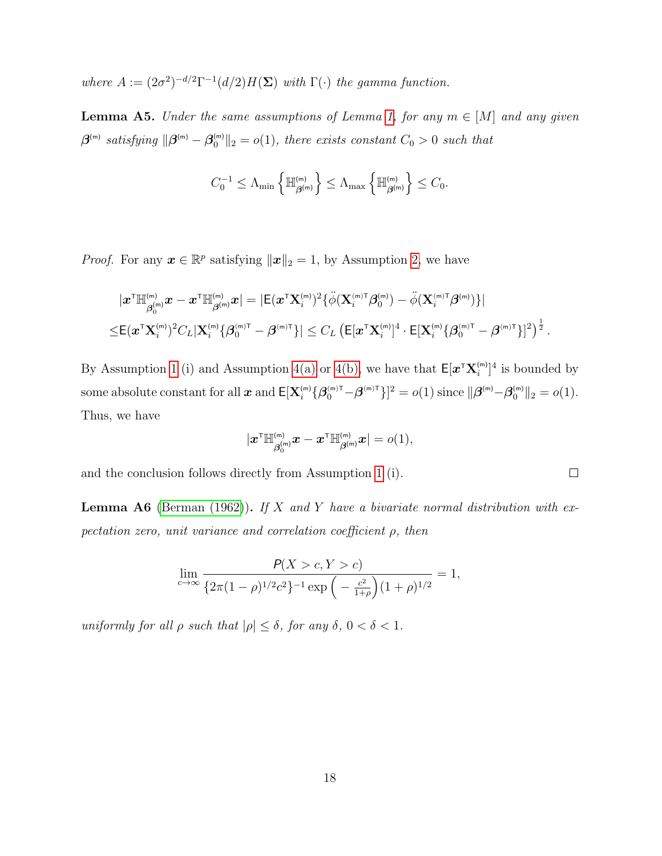where  $A := (2\sigma^2)^{-d/2} \Gamma^{-1}(d/2) H(\Sigma)$  with  $\Gamma(\cdot)$  the gamma function.

<span id="page-47-1"></span>**Lemma A5.** Under the same assumptions of Lemma [1,](#page-15-1) for any  $m \in [M]$  and any given  $\boldsymbol{\beta}^{\textsf{(m)}}$  satisfying  $\|\boldsymbol{\beta}^{\textsf{(m)}}-\boldsymbol{\beta}_0^{\textsf{(m)}}\|_2 = o(1)$ , there exists constant  $C_0 > 0$  such that

$$
C_0^{-1}\leq \Lambda_{\min}\left\{{\mathbb H}_{\boldsymbol{\beta}^{(\mathsf{m})}}^{^{(\mathsf{m})}}\right\}\leq \Lambda_{\max}\left\{{\mathbb H}_{\boldsymbol{\beta}^{(\mathsf{m})}}^{^{(\mathsf{m})}}\right\}\leq C_0.
$$

*Proof.* For any  $\mathbf{x} \in \mathbb{R}^p$  satisfying  $\|\mathbf{x}\|_2 = 1$ , by Assumption [2,](#page-14-1) we have

$$
\begin{aligned} &|\boldsymbol{x}^{\mathsf{T}}\mathbb{H}^{\scriptscriptstyle{(m)}}_{\boldsymbol{\beta}^{\scriptscriptstyle{(m)}}_0}\boldsymbol{x}-\boldsymbol{x}^{\mathsf{T}}\mathbb{H}^{\scriptscriptstyle{(m)}}_{\boldsymbol{\beta}^{\scriptscriptstyle{(m)}}}\boldsymbol{x} | =|\mathsf{E}(\boldsymbol{x}^{\mathsf{T}}\mathbf{X}^{\scriptscriptstyle{(m)}}_i)^2\{\ddot{\phi}(\mathbf{X}^{\scriptscriptstyle{(m)}\mathsf{T}}_i\boldsymbol{\beta}^{\scriptscriptstyle{(m)}}_0)-\ddot{\phi}(\mathbf{X}^{\scriptscriptstyle{(m)}\mathsf{T}}_i\boldsymbol{\beta}^{\scriptscriptstyle{(m)}})\} | \\ \leq & \mathsf{E}(\boldsymbol{x}^{\mathsf{T}}\mathbf{X}^{\scriptscriptstyle{(m)}}_i)^2C_L|\mathbf{X}^{\scriptscriptstyle{(m)}}_i\{\boldsymbol{\beta}^{\scriptscriptstyle{(m)}\mathsf{T}}_i-\boldsymbol{\beta}^{\scriptscriptstyle{(m)}\mathsf{T}}\}|\leq C_L\left(\mathsf{E}[\boldsymbol{x}^{\mathsf{T}}\mathbf{X}^{\scriptscriptstyle{(m)}}_i]^4\cdot\mathsf{E}[\mathbf{X}^{\scriptscriptstyle{(m)}}_i\{\boldsymbol{\beta}^{\scriptscriptstyle{(m)}\mathsf{T}}_i-\boldsymbol{\beta}^{\scriptscriptstyle{(m)}\mathsf{T}}\}]^2\right)^{\frac{1}{2}}. \end{aligned}
$$

By Assumption [1](#page-14-0) (i) and Assumption [4\(a\)](#page-14-0) or [4\(b\),](#page-14-1) we have that  $E[\mathbf{x}^{\mathsf{T}} \mathbf{X}_{i}^{(m)}]$ <sup>4</sup> is bounded by some absolute constant for all  $\boldsymbol{x}$  and  $\mathsf{E}[\mathbf{X}_i^{(\mathsf{m})} \{ \boldsymbol{\beta}_0^{(\mathsf{m})\mathsf{T}} \} \mathbf{A}^{(\mathsf{m})\mathsf{T}} \}]^2 = o(1)$  since  $\|\boldsymbol{\beta}^{(\mathsf{m})} \!-\! \boldsymbol{\beta}_0^{(\mathsf{m})}\|_2 = o(1)$ . Thus, we have

$$
|\boldsymbol{x}^{\mathsf{T}}\mathbb{H}_{\boldsymbol{\beta}_0^{(m)}}^{^{(m)}}\boldsymbol{x}-\boldsymbol{x}^{\mathsf{T}}\mathbb{H}_{\boldsymbol{\beta}^{(m)}}^{^{(m)}}\boldsymbol{x}|=o(1),
$$

 $\Box$ 

and the conclusion follows directly from Assumption [1](#page-14-0) (i).

<span id="page-47-0"></span>**Lemma A6** [\(Berman \(1962\)](#page-48-9)). If X and Y have a bivariate normal distribution with expectation zero, unit variance and correlation coefficient  $\rho$ , then

$$
\lim_{c \to \infty} \frac{P(X > c, Y > c)}{\left\{2\pi (1 - \rho)^{1/2} c^2\right\}^{-1} \exp\left(-\frac{c^2}{1 + \rho}\right) (1 + \rho)^{1/2}} = 1,
$$

uniformly for all  $\rho$  such that  $|\rho| \leq \delta$ , for any  $\delta$ ,  $0 < \delta < 1$ .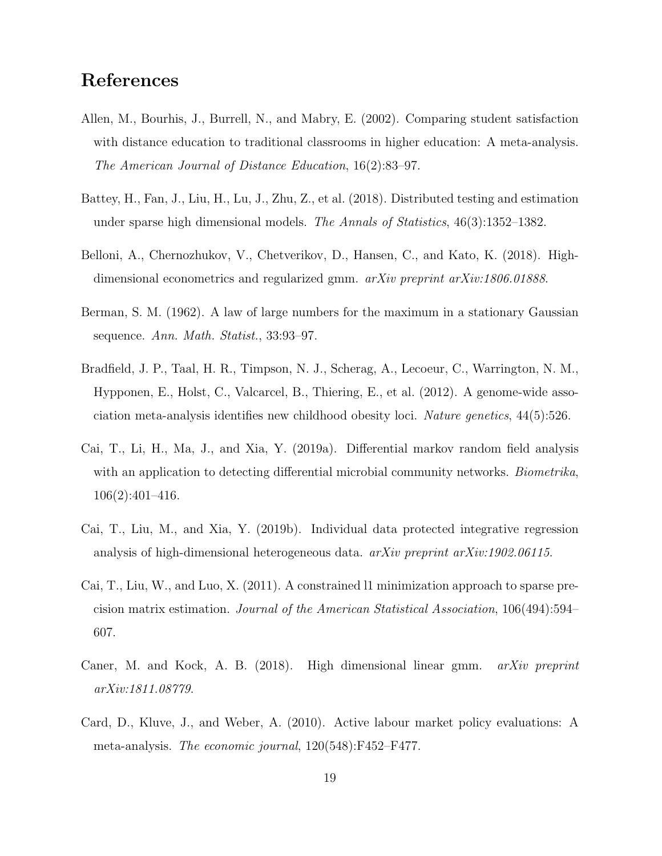# References

- <span id="page-48-0"></span>Allen, M., Bourhis, J., Burrell, N., and Mabry, E. (2002). Comparing student satisfaction with distance education to traditional classrooms in higher education: A meta-analysis. The American Journal of Distance Education, 16(2):83–97.
- <span id="page-48-3"></span>Battey, H., Fan, J., Liu, H., Lu, J., Zhu, Z., et al. (2018). Distributed testing and estimation under sparse high dimensional models. The Annals of Statistics, 46(3):1352–1382.
- <span id="page-48-5"></span>Belloni, A., Chernozhukov, V., Chetverikov, D., Hansen, C., and Kato, K. (2018). Highdimensional econometrics and regularized gmm.  $arXiv$  preprint  $arXiv:1806.01888$ .
- <span id="page-48-9"></span>Berman, S. M. (1962). A law of large numbers for the maximum in a stationary Gaussian sequence. Ann. Math. Statist., 33:93–97.
- <span id="page-48-2"></span>Bradfield, J. P., Taal, H. R., Timpson, N. J., Scherag, A., Lecoeur, C., Warrington, N. M., Hypponen, E., Holst, C., Valcarcel, B., Thiering, E., et al. (2012). A genome-wide association meta-analysis identifies new childhood obesity loci. Nature genetics, 44(5):526.
- <span id="page-48-7"></span>Cai, T., Li, H., Ma, J., and Xia, Y. (2019a). Differential markov random field analysis with an application to detecting differential microbial community networks. *Biometrika*, 106(2):401–416.
- <span id="page-48-4"></span>Cai, T., Liu, M., and Xia, Y. (2019b). Individual data protected integrative regression analysis of high-dimensional heterogeneous data. arXiv preprint arXiv:1902.06115.
- <span id="page-48-8"></span>Cai, T., Liu, W., and Luo, X. (2011). A constrained l1 minimization approach to sparse precision matrix estimation. Journal of the American Statistical Association, 106(494):594– 607.
- <span id="page-48-6"></span>Caner, M. and Kock, A. B. (2018). High dimensional linear gmm. arXiv preprint arXiv:1811.08779.
- <span id="page-48-1"></span>Card, D., Kluve, J., and Weber, A. (2010). Active labour market policy evaluations: A meta-analysis. The economic journal, 120(548):F452–F477.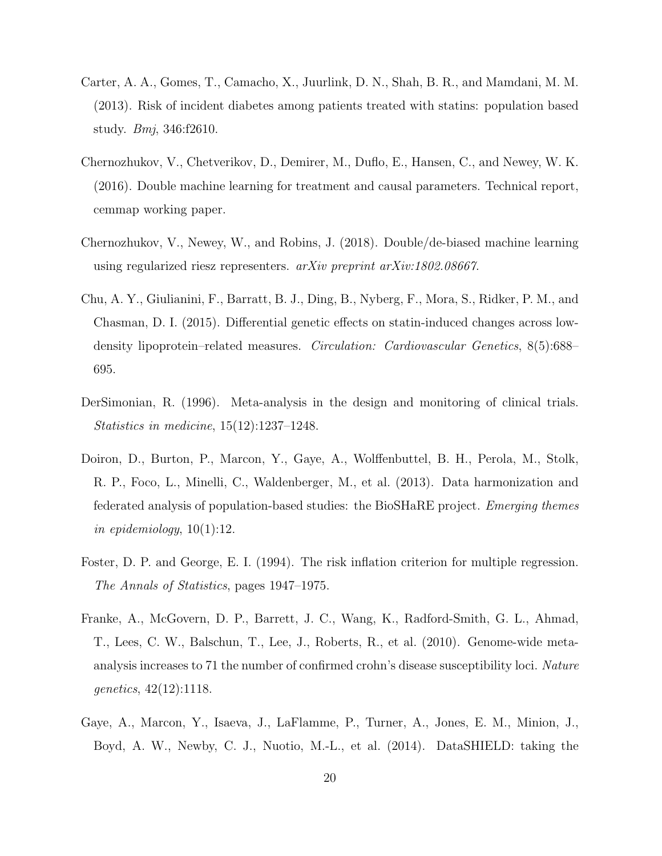- <span id="page-49-7"></span>Carter, A. A., Gomes, T., Camacho, X., Juurlink, D. N., Shah, B. R., and Mamdani, M. M. (2013). Risk of incident diabetes among patients treated with statins: population based study. Bmj, 346:f2610.
- <span id="page-49-5"></span>Chernozhukov, V., Chetverikov, D., Demirer, M., Duflo, E., Hansen, C., and Newey, W. K. (2016). Double machine learning for treatment and causal parameters. Technical report, cemmap working paper.
- <span id="page-49-0"></span>Chernozhukov, V., Newey, W., and Robins, J. (2018). Double/de-biased machine learning using regularized riesz representers. arXiv preprint arXiv:1802.08667.
- <span id="page-49-8"></span>Chu, A. Y., Giulianini, F., Barratt, B. J., Ding, B., Nyberg, F., Mora, S., Ridker, P. M., and Chasman, D. I. (2015). Differential genetic effects on statin-induced changes across lowdensity lipoprotein–related measures. Circulation: Cardiovascular Genetics, 8(5):688– 695.
- <span id="page-49-1"></span>DerSimonian, R. (1996). Meta-analysis in the design and monitoring of clinical trials. Statistics in medicine, 15(12):1237–1248.
- <span id="page-49-3"></span>Doiron, D., Burton, P., Marcon, Y., Gaye, A., Wolffenbuttel, B. H., Perola, M., Stolk, R. P., Foco, L., Minelli, C., Waldenberger, M., et al. (2013). Data harmonization and federated analysis of population-based studies: the BioSHaRE project. Emerging themes in epidemiology,  $10(1):12$ .
- <span id="page-49-6"></span>Foster, D. P. and George, E. I. (1994). The risk inflation criterion for multiple regression. The Annals of Statistics, pages 1947–1975.
- <span id="page-49-2"></span>Franke, A., McGovern, D. P., Barrett, J. C., Wang, K., Radford-Smith, G. L., Ahmad, T., Lees, C. W., Balschun, T., Lee, J., Roberts, R., et al. (2010). Genome-wide metaanalysis increases to 71 the number of confirmed crohn's disease susceptibility loci. Nature genetics, 42(12):1118.
- <span id="page-49-4"></span>Gaye, A., Marcon, Y., Isaeva, J., LaFlamme, P., Turner, A., Jones, E. M., Minion, J., Boyd, A. W., Newby, C. J., Nuotio, M.-L., et al. (2014). DataSHIELD: taking the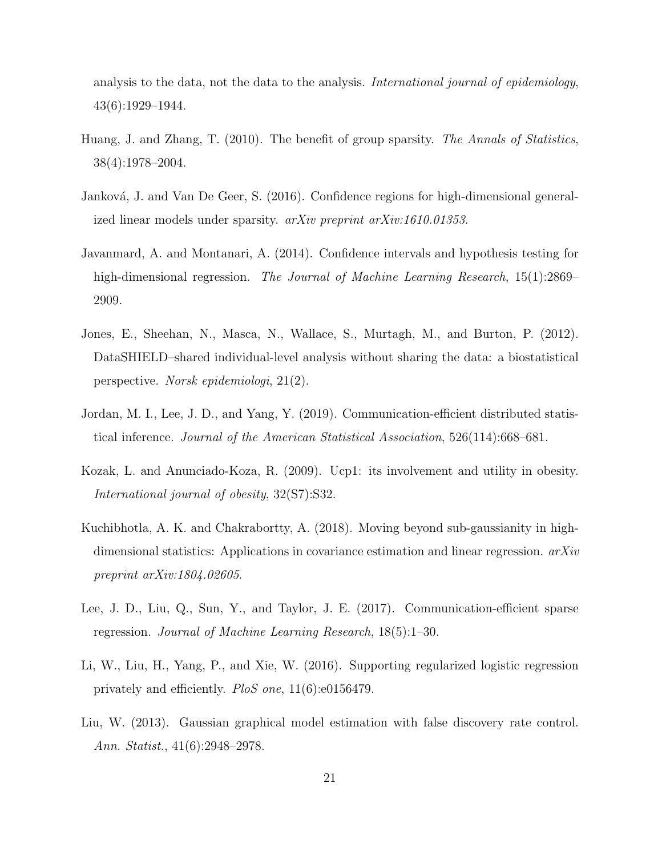analysis to the data, not the data to the analysis. International journal of epidemiology, 43(6):1929–1944.

- <span id="page-50-4"></span>Huang, J. and Zhang, T. (2010). The benefit of group sparsity. The Annals of Statistics, 38(4):1978–2004.
- <span id="page-50-5"></span>Janková, J. and Van De Geer, S. (2016). Confidence regions for high-dimensional generalized linear models under sparsity. arXiv preprint arXiv:1610.01353.
- <span id="page-50-0"></span>Javanmard, A. and Montanari, A. (2014). Confidence intervals and hypothesis testing for high-dimensional regression. The Journal of Machine Learning Research, 15(1):2869– 2909.
- <span id="page-50-1"></span>Jones, E., Sheehan, N., Masca, N., Wallace, S., Murtagh, M., and Burton, P. (2012). DataSHIELD–shared individual-level analysis without sharing the data: a biostatistical perspective. Norsk epidemiologi, 21(2).
- <span id="page-50-3"></span>Jordan, M. I., Lee, J. D., and Yang, Y. (2019). Communication-efficient distributed statistical inference. Journal of the American Statistical Association, 526(114):668–681.
- <span id="page-50-7"></span>Kozak, L. and Anunciado-Koza, R. (2009). Ucp1: its involvement and utility in obesity. International journal of obesity, 32(S7):S32.
- <span id="page-50-8"></span>Kuchibhotla, A. K. and Chakrabortty, A. (2018). Moving beyond sub-gaussianity in highdimensional statistics: Applications in covariance estimation and linear regression. arXiv preprint arXiv:1804.02605.
- <span id="page-50-2"></span>Lee, J. D., Liu, Q., Sun, Y., and Taylor, J. E. (2017). Communication-efficient sparse regression. Journal of Machine Learning Research, 18(5):1–30.
- <span id="page-50-6"></span>Li, W., Liu, H., Yang, P., and Xie, W. (2016). Supporting regularized logistic regression privately and efficiently. PloS one, 11(6):e0156479.
- <span id="page-50-9"></span>Liu, W. (2013). Gaussian graphical model estimation with false discovery rate control. Ann. Statist., 41(6):2948–2978.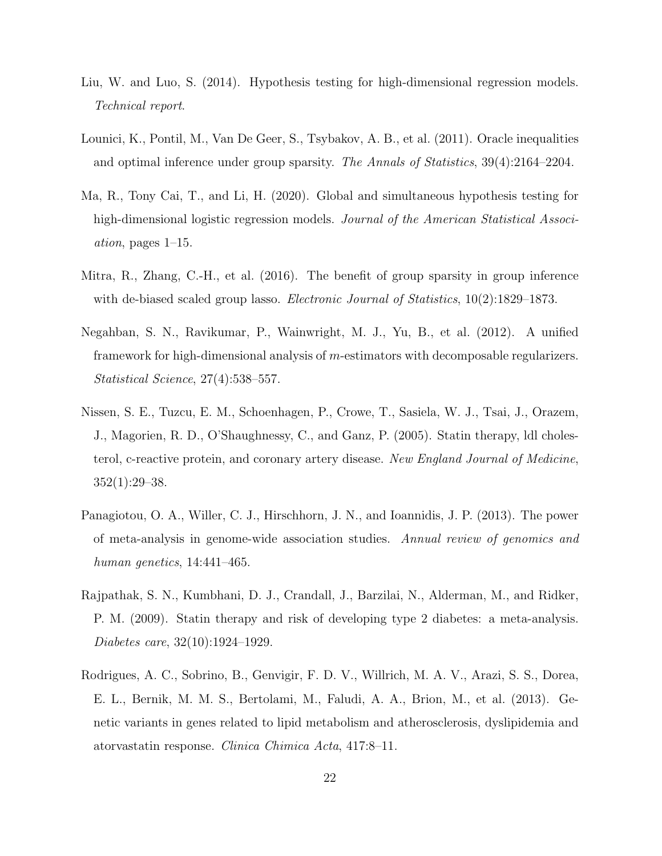- <span id="page-51-3"></span>Liu, W. and Luo, S. (2014). Hypothesis testing for high-dimensional regression models. Technical report.
- <span id="page-51-1"></span>Lounici, K., Pontil, M., Van De Geer, S., Tsybakov, A. B., et al. (2011). Oracle inequalities and optimal inference under group sparsity. The Annals of Statistics, 39(4):2164–2204.
- <span id="page-51-4"></span>Ma, R., Tony Cai, T., and Li, H. (2020). Global and simultaneous hypothesis testing for high-dimensional logistic regression models. Journal of the American Statistical Association, pages 1–15.
- <span id="page-51-2"></span>Mitra, R., Zhang, C.-H., et al. (2016). The benefit of group sparsity in group inference with de-biased scaled group lasso. Electronic Journal of Statistics, 10(2):1829–1873.
- <span id="page-51-5"></span>Negahban, S. N., Ravikumar, P., Wainwright, M. J., Yu, B., et al. (2012). A unified framework for high-dimensional analysis of m-estimators with decomposable regularizers. Statistical Science, 27(4):538–557.
- <span id="page-51-6"></span>Nissen, S. E., Tuzcu, E. M., Schoenhagen, P., Crowe, T., Sasiela, W. J., Tsai, J., Orazem, J., Magorien, R. D., O'Shaughnessy, C., and Ganz, P. (2005). Statin therapy, ldl cholesterol, c-reactive protein, and coronary artery disease. New England Journal of Medicine,  $352(1):29-38.$
- <span id="page-51-0"></span>Panagiotou, O. A., Willer, C. J., Hirschhorn, J. N., and Ioannidis, J. P. (2013). The power of meta-analysis in genome-wide association studies. Annual review of genomics and human genetics, 14:441–465.
- <span id="page-51-7"></span>Rajpathak, S. N., Kumbhani, D. J., Crandall, J., Barzilai, N., Alderman, M., and Ridker, P. M. (2009). Statin therapy and risk of developing type 2 diabetes: a meta-analysis. Diabetes care, 32(10):1924–1929.
- <span id="page-51-8"></span>Rodrigues, A. C., Sobrino, B., Genvigir, F. D. V., Willrich, M. A. V., Arazi, S. S., Dorea, E. L., Bernik, M. M. S., Bertolami, M., Faludi, A. A., Brion, M., et al. (2013). Genetic variants in genes related to lipid metabolism and atherosclerosis, dyslipidemia and atorvastatin response. Clinica Chimica Acta, 417:8–11.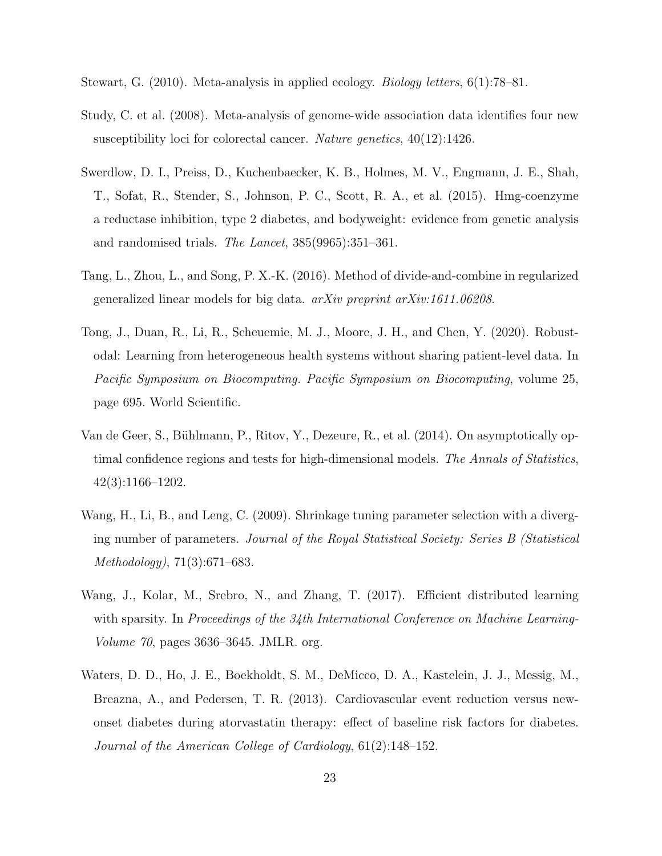<span id="page-52-1"></span>Stewart, G. (2010). Meta-analysis in applied ecology. Biology letters, 6(1):78–81.

- <span id="page-52-2"></span>Study, C. et al. (2008). Meta-analysis of genome-wide association data identifies four new susceptibility loci for colorectal cancer. Nature genetics, 40(12):1426.
- <span id="page-52-7"></span>Swerdlow, D. I., Preiss, D., Kuchenbaecker, K. B., Holmes, M. V., Engmann, J. E., Shah, T., Sofat, R., Stender, S., Johnson, P. C., Scott, R. A., et al. (2015). Hmg-coenzyme a reductase inhibition, type 2 diabetes, and bodyweight: evidence from genetic analysis and randomised trials. The Lancet, 385(9965):351–361.
- <span id="page-52-4"></span>Tang, L., Zhou, L., and Song, P. X.-K. (2016). Method of divide-and-combine in regularized generalized linear models for big data.  $a\overline{r}Xiv$  preprint  $a\overline{r}Xiv$ :1611.06208.
- <span id="page-52-3"></span>Tong, J., Duan, R., Li, R., Scheuemie, M. J., Moore, J. H., and Chen, Y. (2020). Robustodal: Learning from heterogeneous health systems without sharing patient-level data. In Pacific Symposium on Biocomputing. Pacific Symposium on Biocomputing, volume 25, page 695. World Scientific.
- <span id="page-52-0"></span>Van de Geer, S., Bühlmann, P., Ritov, Y., Dezeure, R., et al. (2014). On asymptotically optimal confidence regions and tests for high-dimensional models. The Annals of Statistics, 42(3):1166–1202.
- <span id="page-52-5"></span>Wang, H., Li, B., and Leng, C. (2009). Shrinkage tuning parameter selection with a diverging number of parameters. Journal of the Royal Statistical Society: Series B (Statistical Methodology), 71(3):671–683.
- <span id="page-52-6"></span>Wang, J., Kolar, M., Srebro, N., and Zhang, T. (2017). Efficient distributed learning with sparsity. In Proceedings of the 34th International Conference on Machine Learning-Volume 70, pages 3636–3645. JMLR. org.
- <span id="page-52-8"></span>Waters, D. D., Ho, J. E., Boekholdt, S. M., DeMicco, D. A., Kastelein, J. J., Messig, M., Breazna, A., and Pedersen, T. R. (2013). Cardiovascular event reduction versus newonset diabetes during atorvastatin therapy: effect of baseline risk factors for diabetes. Journal of the American College of Cardiology, 61(2):148–152.